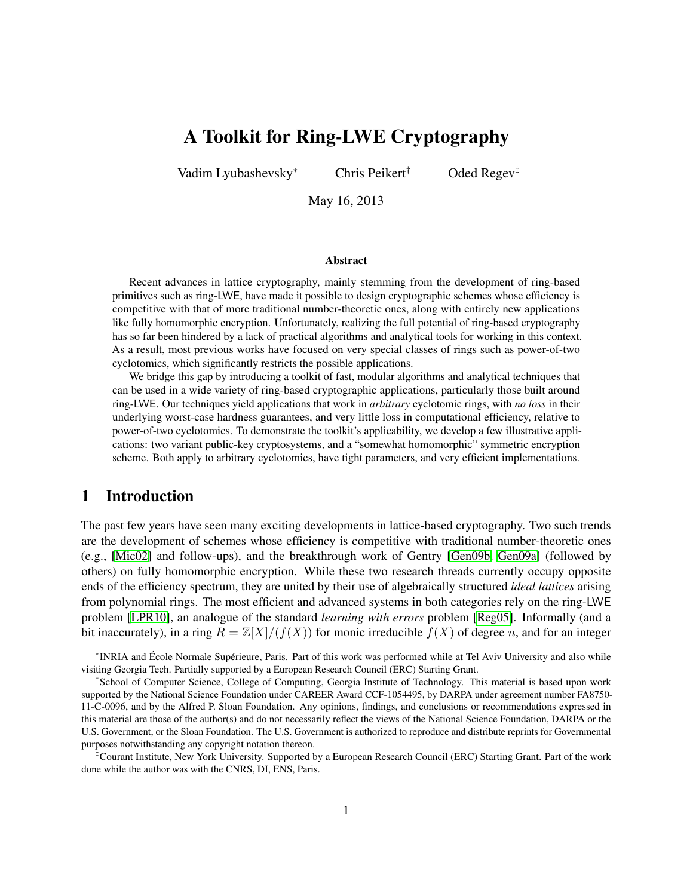# A Toolkit for Ring-LWE Cryptography

Vadim Lyubashevsky<sup>∗</sup> Chris Peikert† Oded Regev‡

May 16, 2013

### Abstract

Recent advances in lattice cryptography, mainly stemming from the development of ring-based primitives such as ring-LWE, have made it possible to design cryptographic schemes whose efficiency is competitive with that of more traditional number-theoretic ones, along with entirely new applications like fully homomorphic encryption. Unfortunately, realizing the full potential of ring-based cryptography has so far been hindered by a lack of practical algorithms and analytical tools for working in this context. As a result, most previous works have focused on very special classes of rings such as power-of-two cyclotomics, which significantly restricts the possible applications.

We bridge this gap by introducing a toolkit of fast, modular algorithms and analytical techniques that can be used in a wide variety of ring-based cryptographic applications, particularly those built around ring-LWE. Our techniques yield applications that work in *arbitrary* cyclotomic rings, with *no loss* in their underlying worst-case hardness guarantees, and very little loss in computational efficiency, relative to power-of-two cyclotomics. To demonstrate the toolkit's applicability, we develop a few illustrative applications: two variant public-key cryptosystems, and a "somewhat homomorphic" symmetric encryption scheme. Both apply to arbitrary cyclotomics, have tight parameters, and very efficient implementations.

## 1 Introduction

The past few years have seen many exciting developments in lattice-based cryptography. Two such trends are the development of schemes whose efficiency is competitive with traditional number-theoretic ones (e.g., [\[Mic02\]](#page-49-0) and follow-ups), and the breakthrough work of Gentry [\[Gen09b,](#page-48-0) [Gen09a\]](#page-48-1) (followed by others) on fully homomorphic encryption. While these two research threads currently occupy opposite ends of the efficiency spectrum, they are united by their use of algebraically structured *ideal lattices* arising from polynomial rings. The most efficient and advanced systems in both categories rely on the ring-LWE problem [\[LPR10\]](#page-49-1), an analogue of the standard *learning with errors* problem [\[Reg05\]](#page-49-2). Informally (and a bit inaccurately), in a ring  $R = \mathbb{Z}[X]/(f(X))$  for monic irreducible  $f(X)$  of degree n, and for an integer

<sup>∗</sup> INRIA and École Normale Supérieure, Paris. Part of this work was performed while at Tel Aviv University and also while visiting Georgia Tech. Partially supported by a European Research Council (ERC) Starting Grant.

<sup>†</sup> School of Computer Science, College of Computing, Georgia Institute of Technology. This material is based upon work supported by the National Science Foundation under CAREER Award CCF-1054495, by DARPA under agreement number FA8750- 11-C-0096, and by the Alfred P. Sloan Foundation. Any opinions, findings, and conclusions or recommendations expressed in this material are those of the author(s) and do not necessarily reflect the views of the National Science Foundation, DARPA or the U.S. Government, or the Sloan Foundation. The U.S. Government is authorized to reproduce and distribute reprints for Governmental purposes notwithstanding any copyright notation thereon.

<sup>‡</sup>Courant Institute, New York University. Supported by a European Research Council (ERC) Starting Grant. Part of the work done while the author was with the CNRS, DI, ENS, Paris.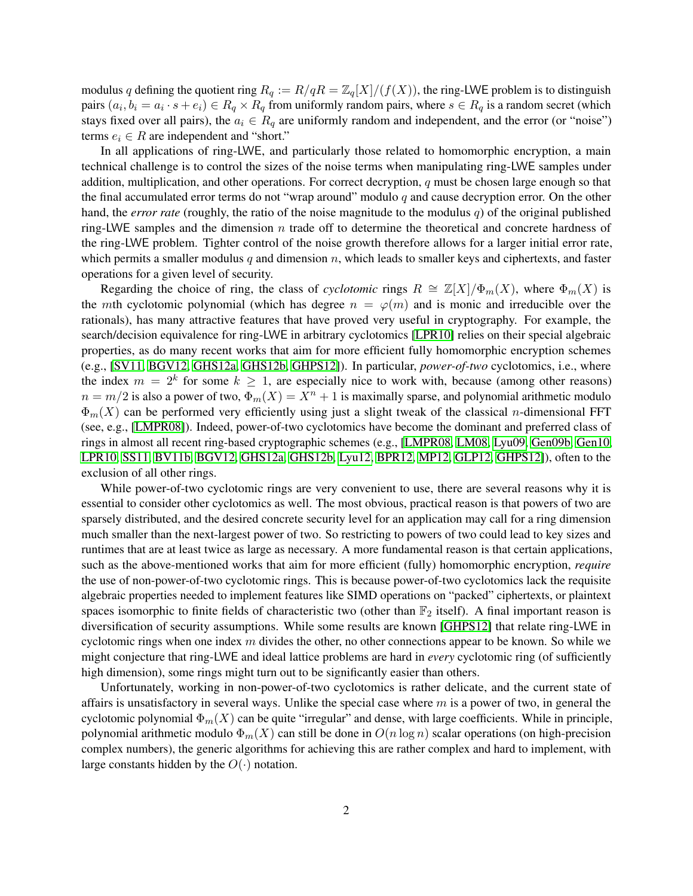modulus q defining the quotient ring  $R_q := R/qR = \mathbb{Z}_q[X]/(f(X))$ , the ring-LWE problem is to distinguish pairs  $(a_i, b_i = a_i \cdot s + e_i) \in R_q \times R_q$  from uniformly random pairs, where  $s \in R_q$  is a random secret (which stays fixed over all pairs), the  $a_i \in R_q$  are uniformly random and independent, and the error (or "noise") terms  $e_i \in R$  are independent and "short."

In all applications of ring-LWE, and particularly those related to homomorphic encryption, a main technical challenge is to control the sizes of the noise terms when manipulating ring-LWE samples under addition, multiplication, and other operations. For correct decryption,  $q$  must be chosen large enough so that the final accumulated error terms do not "wrap around" modulo  $q$  and cause decryption error. On the other hand, the *error rate* (roughly, the ratio of the noise magnitude to the modulus q) of the original published ring-LWE samples and the dimension  $n$  trade off to determine the theoretical and concrete hardness of the ring-LWE problem. Tighter control of the noise growth therefore allows for a larger initial error rate, which permits a smaller modulus q and dimension  $n$ , which leads to smaller keys and ciphertexts, and faster operations for a given level of security.

Regarding the choice of ring, the class of *cyclotomic* rings  $R \cong \mathbb{Z}[X]/\Phi_m(X)$ , where  $\Phi_m(X)$  is the mth cyclotomic polynomial (which has degree  $n = \varphi(m)$  and is monic and irreducible over the rationals), has many attractive features that have proved very useful in cryptography. For example, the search/decision equivalence for ring-LWE in arbitrary cyclotomics [\[LPR10\]](#page-49-1) relies on their special algebraic properties, as do many recent works that aim for more efficient fully homomorphic encryption schemes (e.g., [\[SV11,](#page-50-0) [BGV12,](#page-47-0) [GHS12a,](#page-48-2) [GHS12b,](#page-48-3) [GHPS12\]](#page-48-4)). In particular, *power-of-two* cyclotomics, i.e., where the index  $m = 2<sup>k</sup>$  for some  $k \ge 1$ , are especially nice to work with, because (among other reasons)  $n = m/2$  is also a power of two,  $\Phi_m(X) = X^n + 1$  is maximally sparse, and polynomial arithmetic modulo  $\Phi_m(X)$  can be performed very efficiently using just a slight tweak of the classical *n*-dimensional FFT (see, e.g., [\[LMPR08\]](#page-49-3)). Indeed, power-of-two cyclotomics have become the dominant and preferred class of rings in almost all recent ring-based cryptographic schemes (e.g., [\[LMPR08,](#page-49-3) [LM08,](#page-48-5) [Lyu09,](#page-49-4) [Gen09b,](#page-48-0) [Gen10,](#page-48-6) [LPR10,](#page-49-1) [SS11,](#page-49-5) [BV11b,](#page-48-7) [BGV12,](#page-47-0) [GHS12a,](#page-48-2) [GHS12b,](#page-48-3) [Lyu12,](#page-49-6) [BPR12,](#page-47-1) [MP12,](#page-49-7) [GLP12,](#page-48-8) [GHPS12\]](#page-48-4)), often to the exclusion of all other rings.

While power-of-two cyclotomic rings are very convenient to use, there are several reasons why it is essential to consider other cyclotomics as well. The most obvious, practical reason is that powers of two are sparsely distributed, and the desired concrete security level for an application may call for a ring dimension much smaller than the next-largest power of two. So restricting to powers of two could lead to key sizes and runtimes that are at least twice as large as necessary. A more fundamental reason is that certain applications, such as the above-mentioned works that aim for more efficient (fully) homomorphic encryption, *require* the use of non-power-of-two cyclotomic rings. This is because power-of-two cyclotomics lack the requisite algebraic properties needed to implement features like SIMD operations on "packed" ciphertexts, or plaintext spaces isomorphic to finite fields of characteristic two (other than  $\mathbb{F}_2$  itself). A final important reason is diversification of security assumptions. While some results are known [\[GHPS12\]](#page-48-4) that relate ring-LWE in cyclotomic rings when one index  $m$  divides the other, no other connections appear to be known. So while we might conjecture that ring-LWE and ideal lattice problems are hard in *every* cyclotomic ring (of sufficiently high dimension), some rings might turn out to be significantly easier than others.

Unfortunately, working in non-power-of-two cyclotomics is rather delicate, and the current state of affairs is unsatisfactory in several ways. Unlike the special case where  $m$  is a power of two, in general the cyclotomic polynomial  $\Phi_m(X)$  can be quite "irregular" and dense, with large coefficients. While in principle, polynomial arithmetic modulo  $\Phi_m(X)$  can still be done in  $O(n \log n)$  scalar operations (on high-precision complex numbers), the generic algorithms for achieving this are rather complex and hard to implement, with large constants hidden by the  $O(·)$  notation.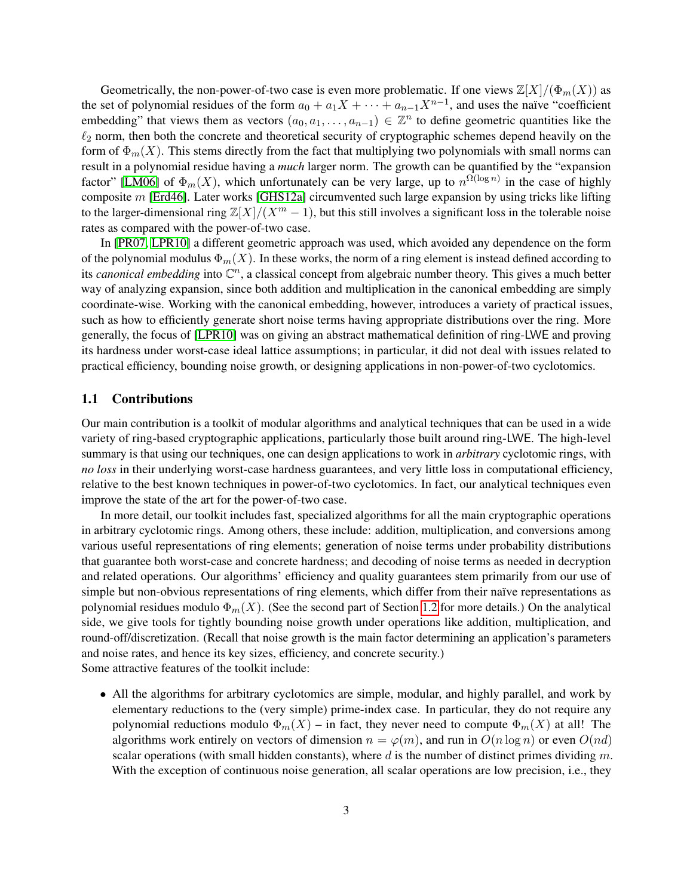Geometrically, the non-power-of-two case is even more problematic. If one views  $\mathbb{Z}[X]/(\Phi_m(X))$  as the set of polynomial residues of the form  $a_0 + a_1X + \cdots + a_{n-1}X^{n-1}$ , and uses the naïve "coefficient embedding" that views them as vectors  $(a_0, a_1, \ldots, a_{n-1}) \in \mathbb{Z}^n$  to define geometric quantities like the  $\ell_2$  norm, then both the concrete and theoretical security of cryptographic schemes depend heavily on the form of  $\Phi_m(X)$ . This stems directly from the fact that multiplying two polynomials with small norms can result in a polynomial residue having a *much* larger norm. The growth can be quantified by the "expansion factor" [\[LM06\]](#page-48-9) of  $\Phi_m(X)$ , which unfortunately can be very large, up to  $n^{\Omega(\log n)}$  in the case of highly composite m [\[Erd46\]](#page-48-10). Later works [\[GHS12a\]](#page-48-2) circumvented such large expansion by using tricks like lifting to the larger-dimensional ring  $\mathbb{Z}[X]/(X^m - 1)$ , but this still involves a significant loss in the tolerable noise rates as compared with the power-of-two case.

In [\[PR07,](#page-49-8) [LPR10\]](#page-49-1) a different geometric approach was used, which avoided any dependence on the form of the polynomial modulus  $\Phi_m(X)$ . In these works, the norm of a ring element is instead defined according to its *canonical embedding* into  $\mathbb{C}^n$ , a classical concept from algebraic number theory. This gives a much better way of analyzing expansion, since both addition and multiplication in the canonical embedding are simply coordinate-wise. Working with the canonical embedding, however, introduces a variety of practical issues, such as how to efficiently generate short noise terms having appropriate distributions over the ring. More generally, the focus of [\[LPR10\]](#page-49-1) was on giving an abstract mathematical definition of ring-LWE and proving its hardness under worst-case ideal lattice assumptions; in particular, it did not deal with issues related to practical efficiency, bounding noise growth, or designing applications in non-power-of-two cyclotomics.

### 1.1 Contributions

Our main contribution is a toolkit of modular algorithms and analytical techniques that can be used in a wide variety of ring-based cryptographic applications, particularly those built around ring-LWE. The high-level summary is that using our techniques, one can design applications to work in *arbitrary* cyclotomic rings, with *no loss* in their underlying worst-case hardness guarantees, and very little loss in computational efficiency, relative to the best known techniques in power-of-two cyclotomics. In fact, our analytical techniques even improve the state of the art for the power-of-two case.

In more detail, our toolkit includes fast, specialized algorithms for all the main cryptographic operations in arbitrary cyclotomic rings. Among others, these include: addition, multiplication, and conversions among various useful representations of ring elements; generation of noise terms under probability distributions that guarantee both worst-case and concrete hardness; and decoding of noise terms as needed in decryption and related operations. Our algorithms' efficiency and quality guarantees stem primarily from our use of simple but non-obvious representations of ring elements, which differ from their naïve representations as polynomial residues modulo  $\Phi_m(X)$ . (See the second part of Section [1.2](#page-4-0) for more details.) On the analytical side, we give tools for tightly bounding noise growth under operations like addition, multiplication, and round-off/discretization. (Recall that noise growth is the main factor determining an application's parameters and noise rates, and hence its key sizes, efficiency, and concrete security.) Some attractive features of the toolkit include:

• All the algorithms for arbitrary cyclotomics are simple, modular, and highly parallel, and work by elementary reductions to the (very simple) prime-index case. In particular, they do not require any polynomial reductions modulo  $\Phi_m(X)$  – in fact, they never need to compute  $\Phi_m(X)$  at all! The algorithms work entirely on vectors of dimension  $n = \varphi(m)$ , and run in  $O(n \log n)$  or even  $O(nd)$ scalar operations (with small hidden constants), where d is the number of distinct primes dividing  $m$ . With the exception of continuous noise generation, all scalar operations are low precision, i.e., they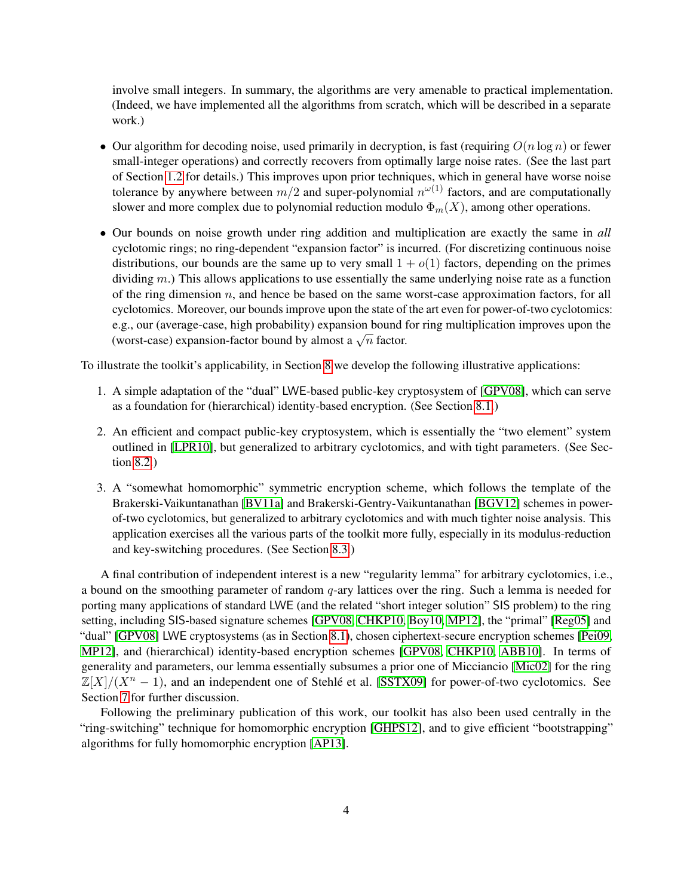involve small integers. In summary, the algorithms are very amenable to practical implementation. (Indeed, we have implemented all the algorithms from scratch, which will be described in a separate work.)

- Our algorithm for decoding noise, used primarily in decryption, is fast (requiring  $O(n \log n)$ ) or fewer small-integer operations) and correctly recovers from optimally large noise rates. (See the last part of Section [1.2](#page-4-0) for details.) This improves upon prior techniques, which in general have worse noise tolerance by anywhere between  $m/2$  and super-polynomial  $n^{\omega(1)}$  factors, and are computationally slower and more complex due to polynomial reduction modulo  $\Phi_m(X)$ , among other operations.
- Our bounds on noise growth under ring addition and multiplication are exactly the same in *all* cyclotomic rings; no ring-dependent "expansion factor" is incurred. (For discretizing continuous noise distributions, our bounds are the same up to very small  $1 + o(1)$  factors, depending on the primes dividing  $m$ .) This allows applications to use essentially the same underlying noise rate as a function of the ring dimension  $n$ , and hence be based on the same worst-case approximation factors, for all cyclotomics. Moreover, our bounds improve upon the state of the art even for power-of-two cyclotomics: e.g., our (average-case, high probability) expansion bound for ring multiplication improves upon the e.g., our (average-case, mgn probability) expansion bound is<br>(worst-case) expansion-factor bound by almost a  $\sqrt{n}$  factor.

To illustrate the toolkit's applicability, in Section [8](#page-37-0) we develop the following illustrative applications:

- 1. A simple adaptation of the "dual" LWE-based public-key cryptosystem of [\[GPV08\]](#page-48-11), which can serve as a foundation for (hierarchical) identity-based encryption. (See Section [8.1.](#page-37-1))
- 2. An efficient and compact public-key cryptosystem, which is essentially the "two element" system outlined in [\[LPR10\]](#page-49-1), but generalized to arbitrary cyclotomics, and with tight parameters. (See Section [8.2.](#page-38-0))
- 3. A "somewhat homomorphic" symmetric encryption scheme, which follows the template of the Brakerski-Vaikuntanathan [\[BV11a\]](#page-47-2) and Brakerski-Gentry-Vaikuntanathan [\[BGV12\]](#page-47-0) schemes in powerof-two cyclotomics, but generalized to arbitrary cyclotomics and with much tighter noise analysis. This application exercises all the various parts of the toolkit more fully, especially in its modulus-reduction and key-switching procedures. (See Section [8.3.](#page-40-0))

A final contribution of independent interest is a new "regularity lemma" for arbitrary cyclotomics, i.e., a bound on the smoothing parameter of random  $q$ -ary lattices over the ring. Such a lemma is needed for porting many applications of standard LWE (and the related "short integer solution" SIS problem) to the ring setting, including SIS-based signature schemes [\[GPV08,](#page-48-11) [CHKP10,](#page-48-12) [Boy10,](#page-47-3) [MP12\]](#page-49-7), the "primal" [\[Reg05\]](#page-49-2) and "dual" [\[GPV08\]](#page-48-11) LWE cryptosystems (as in Section [8.1\)](#page-37-1), chosen ciphertext-secure encryption schemes [\[Pei09,](#page-49-9) [MP12\]](#page-49-7), and (hierarchical) identity-based encryption schemes [\[GPV08,](#page-48-11) [CHKP10,](#page-48-12) [ABB10\]](#page-47-4). In terms of generality and parameters, our lemma essentially subsumes a prior one of Micciancio [\[Mic02\]](#page-49-0) for the ring  $\mathbb{Z}[X]/(X^n - 1)$ , and an independent one of Stehlé et al. [\[SSTX09\]](#page-49-10) for power-of-two cyclotomics. See Section [7](#page-33-0) for further discussion.

Following the preliminary publication of this work, our toolkit has also been used centrally in the "ring-switching" technique for homomorphic encryption [\[GHPS12\]](#page-48-4), and to give efficient "bootstrapping" algorithms for fully homomorphic encryption [\[AP13\]](#page-47-5).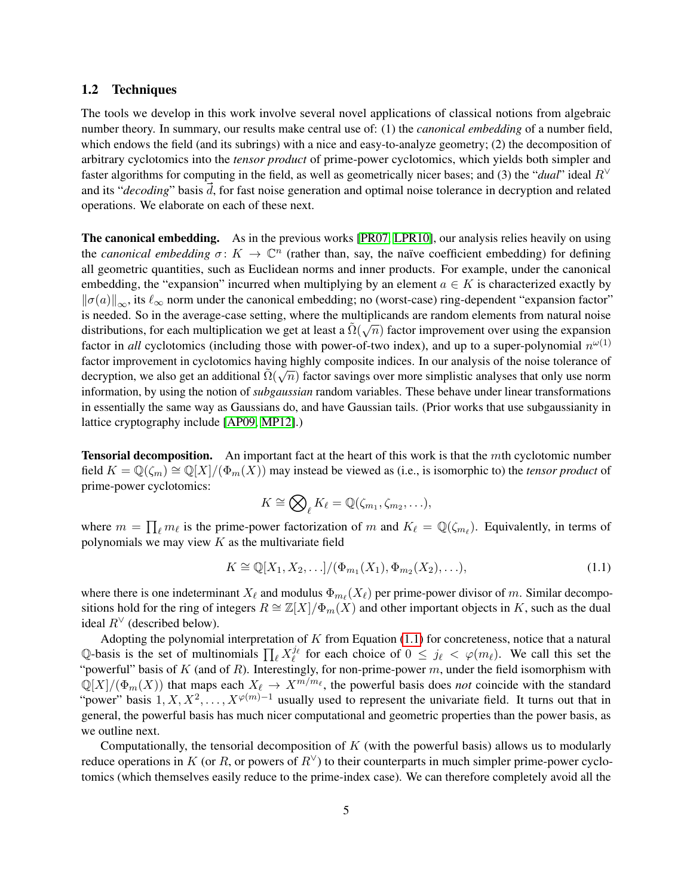### <span id="page-4-0"></span>1.2 Techniques

The tools we develop in this work involve several novel applications of classical notions from algebraic number theory. In summary, our results make central use of: (1) the *canonical embedding* of a number field, which endows the field (and its subrings) with a nice and easy-to-analyze geometry; (2) the decomposition of arbitrary cyclotomics into the *tensor product* of prime-power cyclotomics, which yields both simpler and faster algorithms for computing in the field, as well as geometrically nicer bases; and (3) the "*dual*" ideal  $R<sup>∨</sup>$ and its "*decoding*" basis  $\vec{d}$ , for fast noise generation and optimal noise tolerance in decryption and related operations. We elaborate on each of these next.

The canonical embedding. As in the previous works [\[PR07,](#page-49-8) [LPR10\]](#page-49-1), our analysis relies heavily on using the *canonical embedding*  $\sigma: K \to \mathbb{C}^n$  (rather than, say, the naïve coefficient embedding) for defining all geometric quantities, such as Euclidean norms and inner products. For example, under the canonical embedding, the "expansion" incurred when multiplying by an element  $a \in K$  is characterized exactly by  $\|\sigma(a)\|_{\infty}$ , its  $\ell_{\infty}$  norm under the canonical embedding; no (worst-case) ring-dependent "expansion factor" is needed. So in the average-case setting, where the multiplicands are random elements from natural noise distributions, for each multiplication we get at least a  $\tilde{\Omega}(\sqrt{n})$  factor improvement over using the expansion factor in *all* cyclotomics (including those with power-of-two index), and up to a super-polynomial  $n^{\omega(1)}$ factor improvement in cyclotomics having highly composite indices. In our analysis of the noise tolerance of  $\det$  intervalses that the controller matrix is also get an additional  $\tilde{\Omega}(\sqrt{n})$  factor savings over more simplistic analyses that only use norm information, by using the notion of *subgaussian* random variables. These behave under linear transformations in essentially the same way as Gaussians do, and have Gaussian tails. (Prior works that use subgaussianity in lattice cryptography include [\[AP09,](#page-47-6) [MP12\]](#page-49-7).)

**Tensorial decomposition.** An important fact at the heart of this work is that the mth cyclotomic number field  $K = \mathbb{Q}(\zeta_m) \cong \mathbb{Q}[X]/(\Phi_m(X))$  may instead be viewed as (i.e., is isomorphic to) the *tensor product* of prime-power cyclotomics:

<span id="page-4-1"></span>
$$
K \cong \bigotimes_{\ell} K_{\ell} = \mathbb{Q}(\zeta_{m_1}, \zeta_{m_2}, \ldots),
$$

where  $m = \prod_{\ell} m_{\ell}$  is the prime-power factorization of m and  $K_{\ell} = \mathbb{Q}(\zeta_{m_{\ell}})$ . Equivalently, in terms of polynomials we may view  $K$  as the multivariate field

$$
K \cong \mathbb{Q}[X_1, X_2, \ldots] / (\Phi_{m_1}(X_1), \Phi_{m_2}(X_2), \ldots),
$$
\n(1.1)

where there is one indeterminant  $X_\ell$  and modulus  $\Phi_{m_\ell}(X_\ell)$  per prime-power divisor of m. Similar decompositions hold for the ring of integers  $R \cong \mathbb{Z}[X]/\Phi_m(X)$  and other important objects in K, such as the dual ideal  $R^{\vee}$  (described below).

Adopting the polynomial interpretation of  $K$  from Equation [\(1.1\)](#page-4-1) for concreteness, notice that a natural Q-basis is the set of multinomials  $\prod_{\ell} X_{\ell}^{j_{\ell}}$  for each choice of  $0 \leq j_{\ell} < \varphi(m_{\ell})$ . We call this set the "powerful" basis of  $K$  (and of  $R$ ). Interestingly, for non-prime-power  $m$ , under the field isomorphism with  $\mathbb{Q}[X]/(\Phi_m(X))$  that maps each  $X_\ell \to X^{m/m_\ell}$ , the powerful basis does *not* coincide with the standard "power" basis  $1, X, X^2, \ldots, X^{\varphi(m)-1}$  usually used to represent the univariate field. It turns out that in general, the powerful basis has much nicer computational and geometric properties than the power basis, as we outline next.

Computationally, the tensorial decomposition of  $K$  (with the powerful basis) allows us to modularly reduce operations in K (or R, or powers of  $R<sup>V</sup>$ ) to their counterparts in much simpler prime-power cyclotomics (which themselves easily reduce to the prime-index case). We can therefore completely avoid all the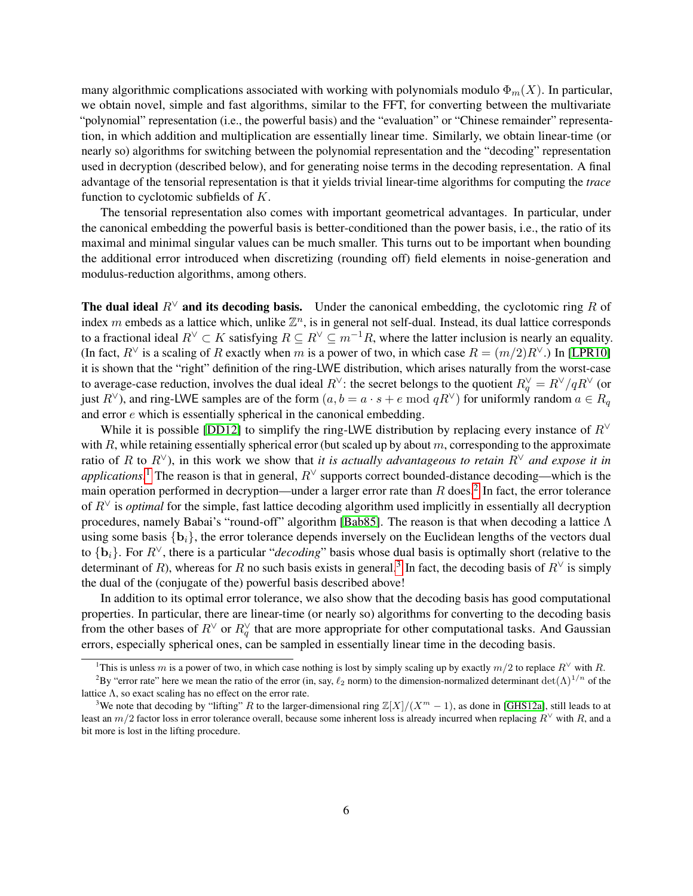many algorithmic complications associated with working with polynomials modulo  $\Phi_m(X)$ . In particular, we obtain novel, simple and fast algorithms, similar to the FFT, for converting between the multivariate "polynomial" representation (i.e., the powerful basis) and the "evaluation" or "Chinese remainder" representation, in which addition and multiplication are essentially linear time. Similarly, we obtain linear-time (or nearly so) algorithms for switching between the polynomial representation and the "decoding" representation used in decryption (described below), and for generating noise terms in the decoding representation. A final advantage of the tensorial representation is that it yields trivial linear-time algorithms for computing the *trace* function to cyclotomic subfields of K.

The tensorial representation also comes with important geometrical advantages. In particular, under the canonical embedding the powerful basis is better-conditioned than the power basis, i.e., the ratio of its maximal and minimal singular values can be much smaller. This turns out to be important when bounding the additional error introduced when discretizing (rounding off) field elements in noise-generation and modulus-reduction algorithms, among others.

The dual ideal  $R<sup>√</sup>$  and its decoding basis. Under the canonical embedding, the cyclotomic ring R of index m embeds as a lattice which, unlike  $\mathbb{Z}^n$ , is in general not self-dual. Instead, its dual lattice corresponds to a fractional ideal  $R^{\vee} \subset K$  satisfying  $R \subseteq R^{\vee} \subseteq m^{-1}R$ , where the latter inclusion is nearly an equality. (In fact,  $R^{\vee}$  is a scaling of R exactly when m is a power of two, in which case  $R = (m/2)R^{\vee}$ .) In [\[LPR10\]](#page-49-1) it is shown that the "right" definition of the ring-LWE distribution, which arises naturally from the worst-case to average-case reduction, involves the dual ideal  $R^{\vee}$ : the secret belongs to the quotient  $R^{\vee}_q = R^{\vee}/qR^{\vee}$  (or just  $R^\vee$ ), and ring-LWE samples are of the form  $(a, b = a \cdot s + e \mod qR^\vee)$  for uniformly random  $a \in R_q$ and error e which is essentially spherical in the canonical embedding.

While it is possible [\[DD12\]](#page-48-13) to simplify the ring-LWE distribution by replacing every instance of  $R<sup>∨</sup>$ with R, while retaining essentially spherical error (but scaled up by about  $m$ , corresponding to the approximate ratio of R to  $R^\vee$ ), in this work we show that *it is actually advantageous to retain*  $R^\vee$  *and expose it in applications*.<sup>[1](#page-5-0)</sup> The reason is that in general,  $R^\vee$  supports correct bounded-distance decoding—which is the main operation performed in decryption—under a larger error rate than R does.<sup>[2](#page-5-1)</sup> In fact, the error tolerance of R<sup>∨</sup> is *optimal* for the simple, fast lattice decoding algorithm used implicitly in essentially all decryption procedures, namely Babai's "round-off" algorithm [\[Bab85\]](#page-47-7). The reason is that when decoding a lattice Λ using some basis  $\{b_i\}$ , the error tolerance depends inversely on the Euclidean lengths of the vectors dual to {bi}. For R∨, there is a particular "*decoding*" basis whose dual basis is optimally short (relative to the determinant of R), whereas for R no such basis exists in general.<sup>[3](#page-5-2)</sup> In fact, the decoding basis of  $R^{\vee}$  is simply the dual of the (conjugate of the) powerful basis described above!

In addition to its optimal error tolerance, we also show that the decoding basis has good computational properties. In particular, there are linear-time (or nearly so) algorithms for converting to the decoding basis from the other bases of  $R^{\vee}$  or  $R^{\vee}_q$  that are more appropriate for other computational tasks. And Gaussian errors, especially spherical ones, can be sampled in essentially linear time in the decoding basis.

<span id="page-5-1"></span><span id="page-5-0"></span><sup>&</sup>lt;sup>1</sup>This is unless m is a power of two, in which case nothing is lost by simply scaling up by exactly  $m/2$  to replace  $R^{\vee}$  with R.

<sup>&</sup>lt;sup>2</sup>By "error rate" here we mean the ratio of the error (in, say,  $\ell_2$  norm) to the dimension-normalized determinant det( $\Lambda$ )<sup>1/n</sup> of the lattice  $\Lambda$ , so exact scaling has no effect on the error rate.

<span id="page-5-2"></span><sup>&</sup>lt;sup>3</sup>We note that decoding by "lifting" R to the larger-dimensional ring  $\mathbb{Z}[X]/(X^m - 1)$ , as done in [\[GHS12a\]](#page-48-2), still leads to at least an  $m/2$  factor loss in error tolerance overall, because some inherent loss is already incurred when replacing  $R^{\vee}$  with R, and a bit more is lost in the lifting procedure.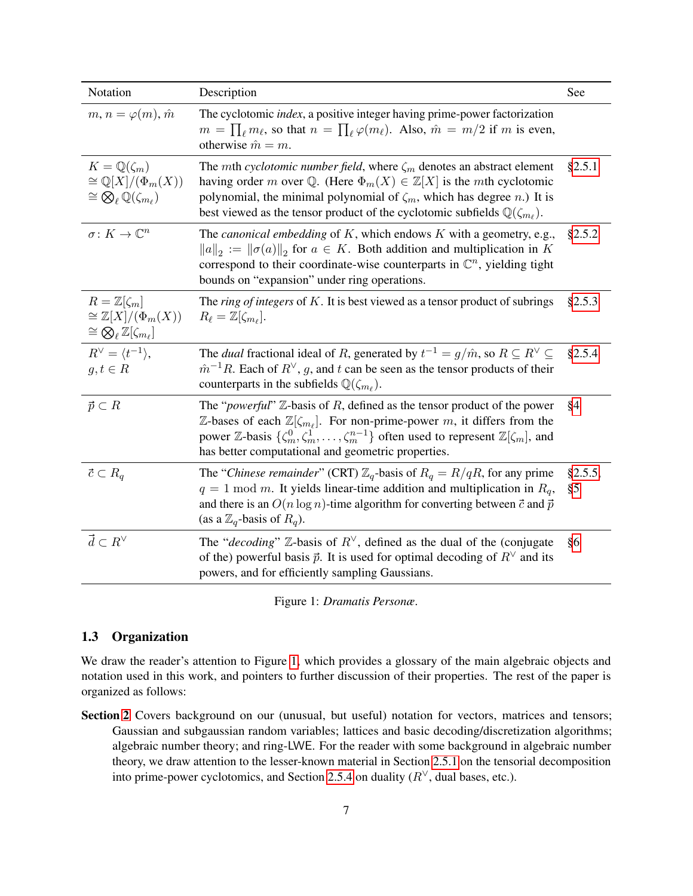| Notation                                                                                                               | Description                                                                                                                                                                                                                                                                                                                                                                        | See           |
|------------------------------------------------------------------------------------------------------------------------|------------------------------------------------------------------------------------------------------------------------------------------------------------------------------------------------------------------------------------------------------------------------------------------------------------------------------------------------------------------------------------|---------------|
| $m, n = \varphi(m), \hat{m}$                                                                                           | The cyclotomic <i>index</i> , a positive integer having prime-power factorization<br>$m = \prod_{\ell} m_{\ell}$ , so that $n = \prod_{\ell} \varphi(m_{\ell})$ . Also, $\hat{m} = m/2$ if m is even,<br>otherwise $\hat{m} = m$ .                                                                                                                                                 |               |
| $K=\mathbb{Q}(\zeta_m)$<br>$\cong \mathbb{Q}[X]/(\Phi_m(X))$<br>$\cong \bigotimes_{\ell} \mathbb{Q}(\zeta_{m_{\ell}})$ | The <i>mth cyclotomic number field</i> , where $\zeta_m$ denotes an abstract element<br>having order m over Q. (Here $\Phi_m(X) \in \mathbb{Z}[X]$ is the mth cyclotomic<br>polynomial, the minimal polynomial of $\zeta_m$ , which has degree <i>n</i> .) It is<br>best viewed as the tensor product of the cyclotomic subfields $\mathbb{Q}(\zeta_{m_\ell})$ .                   | §2.5.1        |
| $\sigma: K \to \mathbb{C}^n$                                                                                           | The <i>canonical embedding</i> of $K$ , which endows $K$ with a geometry, e.g.,<br>$  a  _2 :=   \sigma(a)  _2$ for $a \in K$ . Both addition and multiplication in K<br>correspond to their coordinate-wise counterparts in $\mathbb{C}^n$ , yielding tight<br>bounds on "expansion" under ring operations.                                                                       | §2.5.2        |
| $R=\mathbb{Z}[\zeta_m]$<br>$\cong \mathbb{Z}[X]/(\Phi_m(X))$<br>$\cong \bigotimes_{\ell} \mathbb{Z}[\zeta_{m_{\ell}}]$ | The <i>ring of integers</i> of $K$ . It is best viewed as a tensor product of subrings<br>$R_{\ell} = \mathbb{Z}[\zeta_{m_{\ell}}].$                                                                                                                                                                                                                                               | §2.5.3        |
| $R^{\vee} = \langle t^{-1} \rangle,$<br>$g, t \in R$                                                                   | The <i>dual</i> fractional ideal of R, generated by $t^{-1} = g/\hat{m}$ , so $R \subseteq R^{\vee} \subseteq R$<br>$\hat{m}^{-1}R$ . Each of $R^{\vee}$ , g, and t can be seen as the tensor products of their<br>counterparts in the subfields $\mathbb{Q}(\zeta_{m_\ell})$ .                                                                                                    | §2.5.4        |
| $\vec{p} \subset R$                                                                                                    | The " <i>powerful</i> " $\mathbb{Z}$ -basis of R, defined as the tensor product of the power<br>$\mathbb{Z}$ -bases of each $\mathbb{Z}[\zeta_{m_\ell}]$ . For non-prime-power m, it differs from the<br>power Z-basis $\{\zeta_m^0, \zeta_m^1, \ldots, \zeta_m^{n-1}\}$ often used to represent $\mathbb{Z}[\zeta_m]$ , and<br>has better computational and geometric properties. | §4            |
| $\vec{c} \subset R_q$                                                                                                  | The "Chinese remainder" (CRT) $\mathbb{Z}_q$ -basis of $R_q = R/qR$ , for any prime<br>$q = 1$ mod m. It yields linear-time addition and multiplication in $R_q$ ,<br>and there is an $O(n \log n)$ -time algorithm for converting between $\vec{c}$ and $\vec{p}$<br>(as a $\mathbb{Z}_q$ -basis of $R_q$ ).                                                                      | §2.5.5,<br>§5 |
| $\vec{d} \subset R^\vee$                                                                                               | The "decoding" $\mathbb{Z}$ -basis of $R^{\vee}$ , defined as the dual of the (conjugate<br>of the) powerful basis $\vec{p}$ . It is used for optimal decoding of $R^{\vee}$ and its<br>powers, and for efficiently sampling Gaussians.                                                                                                                                            | §6            |

<span id="page-6-0"></span>Figure 1: *Dramatis Personæ*.

## 1.3 Organization

We draw the reader's attention to Figure [1,](#page-6-0) which provides a glossary of the main algebraic objects and notation used in this work, and pointers to further discussion of their properties. The rest of the paper is organized as follows:

Section [2](#page-7-0) Covers background on our (unusual, but useful) notation for vectors, matrices and tensors; Gaussian and subgaussian random variables; lattices and basic decoding/discretization algorithms; algebraic number theory; and ring-LWE. For the reader with some background in algebraic number theory, we draw attention to the lesser-known material in Section [2.5.1](#page-14-0) on the tensorial decomposition into prime-power cyclotomics, and Section [2.5.4](#page-17-0) on duality  $(R^{\vee})$ , dual bases, etc.).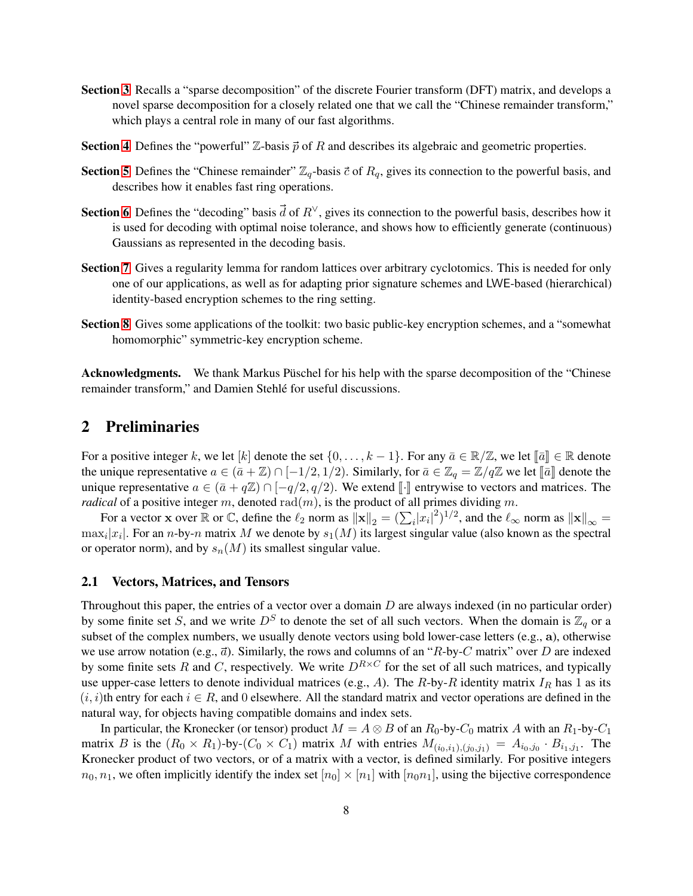- Section [3](#page-22-0) Recalls a "sparse decomposition" of the discrete Fourier transform (DFT) matrix, and develops a novel sparse decomposition for a closely related one that we call the "Chinese remainder transform," which plays a central role in many of our fast algorithms.
- **Section [4](#page-23-0)** Defines the "powerful"  $\mathbb{Z}$ -basis  $\vec{p}$  of R and describes its algebraic and geometric properties.
- Section [5](#page-26-0) Defines the "Chinese remainder"  $\mathbb{Z}_q$ -basis  $\vec{c}$  of  $R_q$ , gives its connection to the powerful basis, and describes how it enables fast ring operations.
- Section [6](#page-27-0) Defines the "decoding" basis  $\vec{d}$  of  $R^{\vee}$ , gives its connection to the powerful basis, describes how it is used for decoding with optimal noise tolerance, and shows how to efficiently generate (continuous) Gaussians as represented in the decoding basis.
- Section [7](#page-33-0) Gives a regularity lemma for random lattices over arbitrary cyclotomics. This is needed for only one of our applications, as well as for adapting prior signature schemes and LWE-based (hierarchical) identity-based encryption schemes to the ring setting.
- Section [8](#page-37-0) Gives some applications of the toolkit: two basic public-key encryption schemes, and a "somewhat homomorphic" symmetric-key encryption scheme.

Acknowledgments. We thank Markus Püschel for his help with the sparse decomposition of the "Chinese remainder transform," and Damien Stehlé for useful discussions.

# <span id="page-7-0"></span>2 Preliminaries

For a positive integer k, we let [k] denote the set  $\{0,\ldots,k-1\}$ . For any  $\bar{a}\in\mathbb{R}/\mathbb{Z}$ , we let  $\lbrack\lbrack\bar{a}\rbrack\rbrack\in\mathbb{R}$  denote the unique representative  $a \in (\bar{a} + \mathbb{Z}) \cap [-1/2, 1/2)$ . Similarly, for  $\bar{a} \in \mathbb{Z}_q = \mathbb{Z}/q\mathbb{Z}$  we let  $[\![\bar{a}]\!]$  denote the unique representative  $a \in (\bar{a} + q\mathbb{Z}) \cap [-q/2, q/2)$ . We extend [.] entrywise to vectors and matrices. The *radical* of a positive integer m, denoted  $rad(m)$ , is the product of all primes dividing m.

For a vector x over  $\mathbb R$  or  $\mathbb C$ , define the  $\ell_2$  norm as  $\|\mathbf x\|_2 = (\sum_i |x_i|^2)^{1/2}$ , and the  $\ell_\infty$  norm as  $\|\mathbf x\|_\infty =$  $\max_i |x_i|$ . For an *n*-by-*n* matrix M we denote by  $s_1(M)$  its largest singular value (also known as the spectral or operator norm), and by  $s_n(M)$  its smallest singular value.

### <span id="page-7-1"></span>2.1 Vectors, Matrices, and Tensors

Throughout this paper, the entries of a vector over a domain  $D$  are always indexed (in no particular order) by some finite set S, and we write  $D<sup>S</sup>$  to denote the set of all such vectors. When the domain is  $\mathbb{Z}_q$  or a subset of the complex numbers, we usually denote vectors using bold lower-case letters (e.g., a), otherwise we use arrow notation (e.g.,  $\vec{a}$ ). Similarly, the rows and columns of an "R-by-C matrix" over D are indexed by some finite sets R and C, respectively. We write  $D^{R\times C}$  for the set of all such matrices, and typically use upper-case letters to denote individual matrices (e.g., A). The R-by-R identity matrix  $I_R$  has 1 as its  $(i, i)$ th entry for each  $i \in R$ , and 0 elsewhere. All the standard matrix and vector operations are defined in the natural way, for objects having compatible domains and index sets.

In particular, the Kronecker (or tensor) product  $M = A \otimes B$  of an  $R_0$ -by- $C_0$  matrix A with an  $R_1$ -by- $C_1$ matrix B is the  $(R_0 \times R_1)$ -by- $(C_0 \times C_1)$  matrix M with entries  $M_{(i_0,i_1),(j_0,j_1)} = A_{i_0,j_0} \cdot B_{i_1,j_1}$ . The Kronecker product of two vectors, or of a matrix with a vector, is defined similarly. For positive integers  $n_0, n_1$ , we often implicitly identify the index set  $[n_0] \times [n_1]$  with  $[n_0n_1]$ , using the bijective correspondence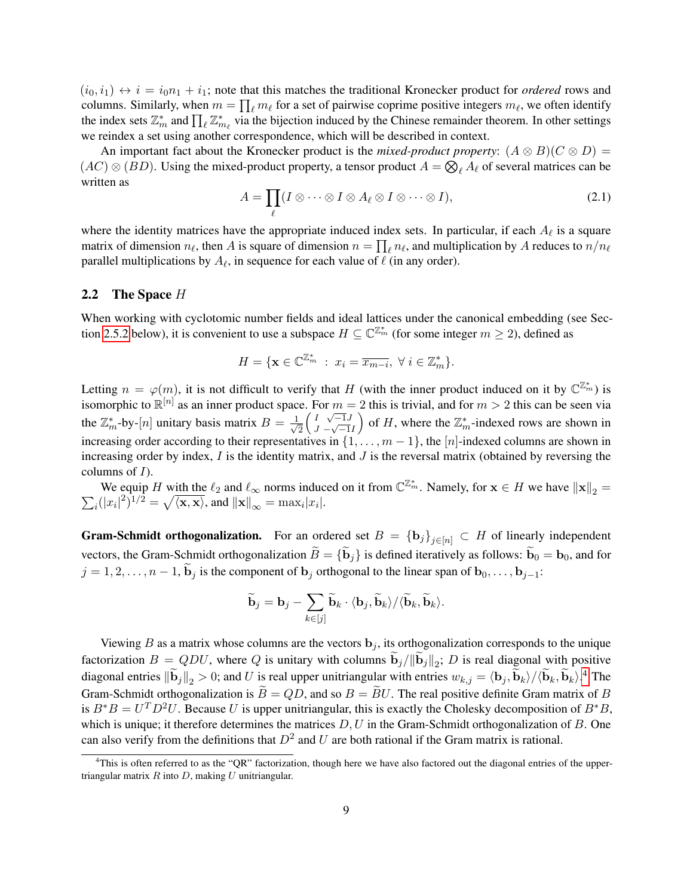$(i_0, i_1) \leftrightarrow i = i_0 n_1 + i_1$ ; note that this matches the traditional Kronecker product for *ordered* rows and columns. Similarly, when  $m = \prod_{\ell} m_{\ell}$  for a set of pairwise coprime positive integers  $m_{\ell}$ , we often identify the index sets  $\mathbb{Z}_m^*$  and  $\prod_{\ell} \mathbb{Z}_{m_{\ell}}^*$  via the bijection induced by the Chinese remainder theorem. In other settings we reindex a set using another correspondence, which will be described in context.

An important fact about the Kronecker product is the *mixed-product property*:  $(A \otimes B)(C \otimes D)$  =  $(AC) \otimes (BD)$ . Using the mixed-product property, a tensor product  $A = \bigotimes_{\ell} A_{\ell}$  of several matrices can be written as

$$
A = \prod_{\ell} (I \otimes \cdots \otimes I \otimes A_{\ell} \otimes I \otimes \cdots \otimes I), \tag{2.1}
$$

where the identity matrices have the appropriate induced index sets. In particular, if each  $A_\ell$  is a square matrix of dimension  $n_\ell$ , then A is square of dimension  $n = \prod_\ell n_\ell$ , and multiplication by A reduces to  $n/n_\ell$ parallel multiplications by  $A_\ell$ , in sequence for each value of  $\ell$  (in any order).

### <span id="page-8-1"></span>2.2 The Space  $H$

When working with cyclotomic number fields and ideal lattices under the canonical embedding (see Sec-tion [2.5.2](#page-15-0) below), it is convenient to use a subspace  $H \subseteq \mathbb{C}^{\mathbb{Z}_m}$  (for some integer  $m \geq 2$ ), defined as

$$
H = \{ \mathbf{x} \in \mathbb{C}^{\mathbb{Z}_m^*} : x_i = \overline{x_{m-i}}, \ \forall \ i \in \mathbb{Z}_m^* \}.
$$

Letting  $n = \varphi(m)$ , it is not difficult to verify that H (with the inner product induced on it by  $\mathbb{C}^{\mathbb{Z}_m^*}$ ) is isomorphic to  $\mathbb{R}^{[n]}$  as an inner product space. For  $m = 2$  this is trivial, and for  $m > 2$  this can be seen via the  $\mathbb{Z}_m^*$ -by-[n] unitary basis matrix  $B = \frac{1}{\sqrt{2}}$ 2  $\int I \sqrt{-1}J$  $\frac{1}{J} - \sqrt{-1}I$ ) of H, where the  $\mathbb{Z}_m^*$ -indexed rows are shown in increasing order according to their representatives in  $\{1, \ldots, m-1\}$ , the  $[n]$ -indexed columns are shown in increasing order by index,  $I$  is the identity matrix, and  $J$  is the reversal matrix (obtained by reversing the columns of  $I$ ).

We equip H with the  $\ell_2$  and  $\ell_{\infty}$  norms induced on it from  $\mathbb{C}^{\mathbb{Z}_m^*}$ . Namely, for  $\mathbf{x} \in H$  we have  $\|\mathbf{x}\|_2 =$  $\sum_i (|x_i|^2)^{1/2} = \sqrt{\langle \mathbf{x}, \mathbf{x} \rangle}$ , and  $\|\mathbf{x}\|_{\infty} = \max_i |x_i|$ .

**Gram-Schmidt orthogonalization.** For an ordered set  $B = {\{\mathbf{b}_j\}}_{j \in [n]} \subset H$  of linearly independent vectors, the Gram-Schmidt orthogonalization  $\widetilde{B} = {\{\widetilde{\mathbf{b}}_j\}}$  is defined iteratively as follows:  $\widetilde{\mathbf{b}}_0 = \mathbf{b}_0$ , and for  $j = 1, 2, \ldots, n - 1$ ,  $\widetilde{\mathbf{b}}_j$  is the component of  $\mathbf{b}_j$  orthogonal to the linear span of  $\mathbf{b}_0, \ldots, \mathbf{b}_{j-1}$ :

$$
\widetilde{\mathbf{b}}_j = \mathbf{b}_j - \sum_{k \in [j]} \widetilde{\mathbf{b}}_k \cdot \langle \mathbf{b}_j, \widetilde{\mathbf{b}}_k \rangle / \langle \widetilde{\mathbf{b}}_k, \widetilde{\mathbf{b}}_k \rangle.
$$

Viewing B as a matrix whose columns are the vectors  $\mathbf{b}_i$ , its orthogonalization corresponds to the unique factorization  $B = QDU$ , where Q is unitary with columns  $\mathbf{b}_j / ||\mathbf{b}_j||_2$ ; D is real diagonal with positive diagonal entries  $\|\dot{\mathbf{b}}_j\|_2 > 0$ ; and U is real upper unitriangular with entries  $w_{k,j} = \langle \mathbf{b}_j, \dot{\mathbf{b}}_k \rangle / \langle \dot{\mathbf{b}}_k, \dot{\mathbf{b}}_k \rangle$ .<sup>[4](#page-8-0)</sup> The Gram-Schmidt orthogonalization is  $\widetilde{B} = QD$ , and so  $B = \widetilde{B}U$ . The real positive definite Gram matrix of B is  $B^*B = U^T D^2 U$ . Because U is upper unitriangular, this is exactly the Cholesky decomposition of  $B^*B$ , which is unique; it therefore determines the matrices  $D, U$  in the Gram-Schmidt orthogonalization of  $B$ . One can also verify from the definitions that  $D^2$  and U are both rational if the Gram matrix is rational.

<span id="page-8-0"></span><sup>&</sup>lt;sup>4</sup>This is often referred to as the "QR" factorization, though here we have also factored out the diagonal entries of the uppertriangular matrix  $R$  into  $D$ , making  $U$  unitriangular.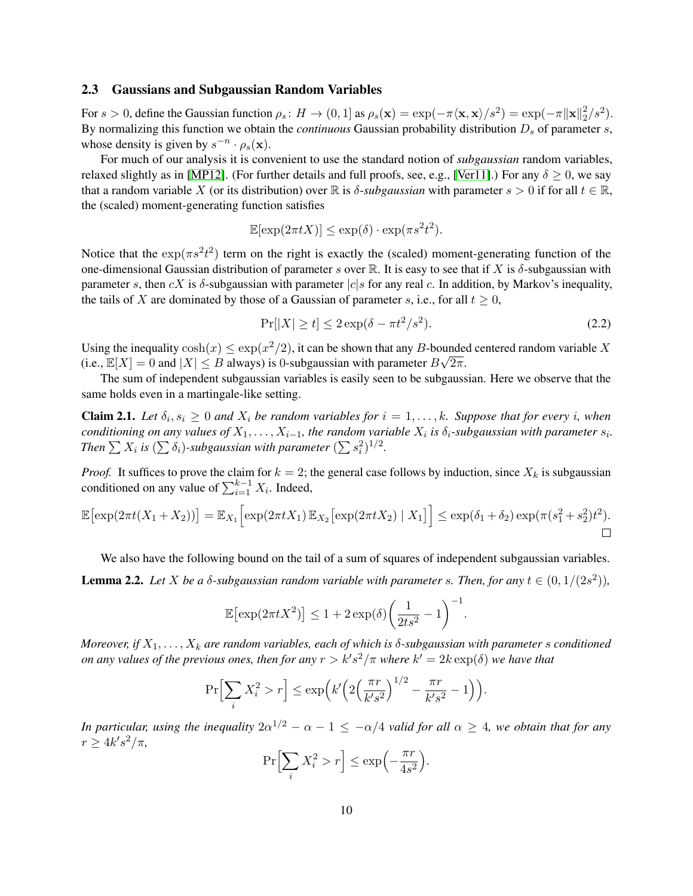### <span id="page-9-2"></span>2.3 Gaussians and Subgaussian Random Variables

For  $s > 0$ , define the Gaussian function  $\rho_s: H \to (0,1]$  as  $\rho_s(\mathbf{x}) = \exp(-\pi \langle \mathbf{x}, \mathbf{x} \rangle / s^2) = \exp(-\pi \|\mathbf{x}\|_2^2)$  $\binom{2}{2}/s^2$ . By normalizing this function we obtain the *continuous* Gaussian probability distribution  $D_s$  of parameter  $s$ , whose density is given by  $s^{-n} \cdot \rho_s(\mathbf{x})$ .

For much of our analysis it is convenient to use the standard notion of *subgaussian* random variables, relaxed slightly as in [\[MP12\]](#page-49-7). (For further details and full proofs, see, e.g., [\[Ver11\]](#page-50-1).) For any  $\delta > 0$ , we say that a random variable X (or its distribution) over R is  $\delta$ -*subgaussian* with parameter  $s > 0$  if for all  $t \in \mathbb{R}$ , the (scaled) moment-generating function satisfies

$$
\mathbb{E}[\exp(2\pi t X)] \le \exp(\delta) \cdot \exp(\pi s^2 t^2).
$$

Notice that the  $\exp(\pi s^2 t^2)$  term on the right is exactly the (scaled) moment-generating function of the one-dimensional Gaussian distribution of parameter s over R. It is easy to see that if X is  $\delta$ -subgaussian with parameter s, then cX is  $\delta$ -subgaussian with parameter  $|c|s$  for any real c. In addition, by Markov's inequality, the tails of X are dominated by those of a Gaussian of parameter s, i.e., for all  $t > 0$ ,

<span id="page-9-0"></span>
$$
\Pr[|X| \ge t] \le 2\exp(\delta - \pi t^2/s^2). \tag{2.2}
$$

.

Using the inequality  $\cosh(x) \leq \exp(x^2/2)$ , it can be shown that any B-bounded centered random variable X (i.e.,  $\mathbb{E}[X] = 0$  and  $|X| \leq B$  always) is 0-subgaussian with parameter  $B\sqrt{2\pi}$ .

The sum of independent subgaussian variables is easily seen to be subgaussian. Here we observe that the same holds even in a martingale-like setting.

<span id="page-9-1"></span>**Claim 2.1.** Let  $\delta_i, s_i \geq 0$  and  $X_i$  be random variables for  $i = 1, \ldots, k$ . Suppose that for every i, when *conditioning on any values of*  $X_1, \ldots, X_{i-1}$ , the random variable  $X_i$  is  $\delta_i$ -subgaussian with parameter  $s_i$ . Then  $\sum X_i$  is  $(\sum \delta_i)$ -subgaussian with parameter  $(\sum s_i^2)^{1/2}$ .

*Proof.* It suffices to prove the claim for  $k = 2$ ; the general case follows by induction, since  $X_k$  is subgaussian conditioned on any value of  $\sum_{i=1}^{k-1} X_i$ . Indeed,

$$
\mathbb{E}\big[\exp(2\pi t(X_1+X_2))\big]=\mathbb{E}_{X_1}\Big[\exp(2\pi tX_1)\,\mathbb{E}_{X_2}\big[\exp(2\pi tX_2)\mid X_1\big]\Big]\leq \exp(\delta_1+\delta_2)\exp(\pi(s_1^2+s_2^2)t^2).
$$

<span id="page-9-3"></span>We also have the following bound on the tail of a sum of squares of independent subgaussian variables. **Lemma 2.2.** Let X be a  $\delta$ -subgaussian random variable with parameter s. Then, for any  $t \in (0, 1/(2s^2))$ ,

$$
\mathbb{E}\left[\exp(2\pi t X^2)\right] \le 1 + 2\exp(\delta)\left(\frac{1}{2ts^2} - 1\right)^{-1}
$$

*Moreover, if*  $X_1, \ldots, X_k$  *are random variables, each of which is*  $\delta$ *-subgaussian with parameter s conditioned on any values of the previous ones, then for any*  $r > k's^2/\pi$  *where*  $k' = 2k \exp(\delta)$  *we have that* 

$$
\Pr\Big[\sum_{i} X_i^2 > r\Big] \le \exp\Big(k'\Big(2\Big(\frac{\pi r}{k's^2}\Big)^{1/2} - \frac{\pi r}{k's^2} - 1\Big)\Big).
$$

*In particular, using the inequality*  $2\alpha^{1/2} - \alpha - 1 \leq -\alpha/4$  *valid for all*  $\alpha \geq 4$ *, we obtain that for any*  $r \geq 4k's^2/\pi$ ,

$$
\Pr\Big[\sum_{i} X_i^2 > r\Big] \le \exp\Big(-\frac{\pi r}{4s^2}\Big).
$$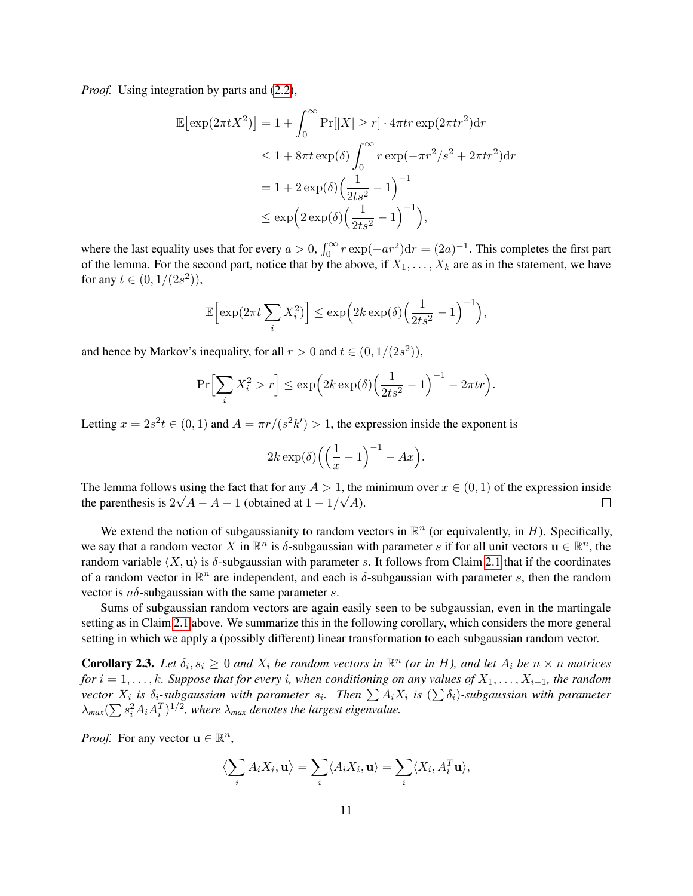*Proof.* Using integration by parts and [\(2.2\)](#page-9-0),

$$
\mathbb{E}[\exp(2\pi t X^2)] = 1 + \int_0^\infty \Pr[|X| \ge r] \cdot 4\pi t r \exp(2\pi t r^2) dr
$$
  
\n
$$
\le 1 + 8\pi t \exp(\delta) \int_0^\infty r \exp(-\pi r^2/s^2 + 2\pi t r^2) dr
$$
  
\n
$$
= 1 + 2 \exp(\delta) \Big(\frac{1}{2ts^2} - 1\Big)^{-1}
$$
  
\n
$$
\le \exp\Big(2 \exp(\delta) \Big(\frac{1}{2ts^2} - 1\Big)^{-1}\Big),
$$

where the last equality uses that for every  $a > 0$ ,  $\int_0^\infty r \exp(-ar^2) dr = (2a)^{-1}$ . This completes the first part of the lemma. For the second part, notice that by the above, if  $X_1, \ldots, X_k$  are as in the statement, we have for any  $t \in (0, 1/(2s^2)),$ 

$$
\mathbb{E}\Big[\exp(2\pi t \sum_{i} X_i^2)\Big] \leq \exp\Big(2k \exp(\delta) \Big(\frac{1}{2ts^2} - 1\Big)^{-1}\Big),\,
$$

and hence by Markov's inequality, for all  $r > 0$  and  $t \in (0, 1/(2s^2))$ ,

$$
\Pr\Bigl[\sum_i X_i^2 > r\Bigr] \le \exp\Bigl(2k\exp(\delta)\Bigl(\frac{1}{2ts^2} - 1\Bigr)^{-1} - 2\pi tr\Bigr).
$$

Letting  $x = 2s^2t \in (0, 1)$  and  $A = \pi r/(s^2k') > 1$ , the expression inside the exponent is

$$
2k\exp(\delta)\left(\left(\frac{1}{x}-1\right)^{-1}-Ax\right).
$$

The lemma follows using the fact that for any  $A > 1$ , the minimum over  $x \in (0,1)$  of the expression inside the parenthesis is  $2\sqrt{A - A} - 1$  (obtained at  $1 - 1/\sqrt{A}$ ).  $\Box$ 

We extend the notion of subgaussianity to random vectors in  $\mathbb{R}^n$  (or equivalently, in H). Specifically, we say that a random vector X in  $\mathbb{R}^n$  is  $\delta$ -subgaussian with parameter s if for all unit vectors  $\mathbf{u} \in \mathbb{R}^n$ , the random variable  $\langle X, \mathbf{u} \rangle$  is  $\delta$ -subgaussian with parameter s. It follows from Claim [2.1](#page-9-1) that if the coordinates of a random vector in  $\mathbb{R}^n$  are independent, and each is  $\delta$ -subgaussian with parameter s, then the random vector is  $n\delta$ -subgaussian with the same parameter s.

Sums of subgaussian random vectors are again easily seen to be subgaussian, even in the martingale setting as in Claim [2.1](#page-9-1) above. We summarize this in the following corollary, which considers the more general setting in which we apply a (possibly different) linear transformation to each subgaussian random vector.

<span id="page-10-0"></span>**Corollary 2.3.** Let  $\delta_i, s_i \geq 0$  and  $X_i$  be random vectors in  $\mathbb{R}^n$  (or in H), and let  $A_i$  be  $n \times n$  matrices  $for i = 1, \ldots, k$ *. Suppose that for every i, when conditioning on any values of*  $X_1, \ldots, X_{i-1}$ *, the random*  $vector X_i$  is  $\delta_i$ -subgaussian with parameter  $s_i$ . Then  $\sum A_iX_i$  is  $(\sum \delta_i)$ -subgaussian with parameter  $\lambda_{max}(\sum s_i^2 A_i A_i^T)^{1/2}$ , where  $\lambda_{max}$  denotes the largest eigenvalue.

*Proof.* For any vector  $\mathbf{u} \in \mathbb{R}^n$ ,

$$
\langle \sum_i A_i X_i, \mathbf{u} \rangle = \sum_i \langle A_i X_i, \mathbf{u} \rangle = \sum_i \langle X_i, A_i^T \mathbf{u} \rangle,
$$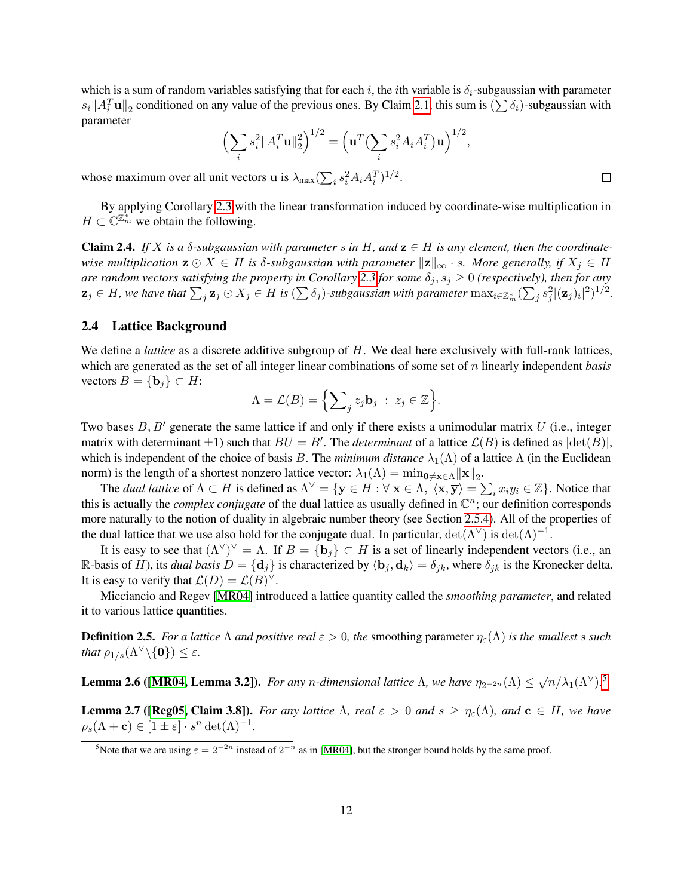which is a sum of random variables satisfying that for each i, the ith variable is  $\delta_i$ -subgaussian with parameter  $s_i || A_i^T \mathbf{u} ||_2$  conditioned on any value of the previous ones. By Claim [2.1,](#page-9-1) this sum is  $(\sum \delta_i)$ -subgaussian with parameter

<span id="page-11-5"></span>
$$
\left(\sum_{i} s_i^2 \|A_i^T \mathbf{u}\|_2^2\right)^{1/2} = \left(\mathbf{u}^T \left(\sum_{i} s_i^2 A_i A_i^T\right) \mathbf{u}\right)^{1/2},
$$

whose maximum over all unit vectors **u** is  $\lambda_{\text{max}} \left( \sum_i s_i^2 A_i A_i^T \right)^{1/2}$ .

By applying Corollary [2.3](#page-10-0) with the linear transformation induced by coordinate-wise multiplication in  $H \subset \mathbb{C}^{\mathbb{Z}_m^*}$  we obtain the following.

Claim 2.4. *If* X is a  $\delta$ -subgaussian with parameter s in H, and  $z \in H$  is any element, then the coordinate*wise multiplication*  $\mathbf{z} \odot X \in H$  *is*  $\delta$ *-subgaussian with parameter*  $\|\mathbf{z}\|_{\infty} \cdot s$ *. More generally, if*  $X_j \in H$ *are random vectors satisfying the property in Corollary* [2.3](#page-10-0) *for some*  $\delta_i$ ,  $s_i \geq 0$  (respectively), then for any  $\mathbf{z}_j\in H$ , we have that  $\sum_j \mathbf{z}_j\odot X_j\in H$  is  $(\sum \delta_j)$ -subgaussian with parameter  $\max_{i\in\mathbb{Z}_m^*}(\sum_j s_j^2|(\mathbf{z}_j)_i|^2)^{1/2}$ .

### <span id="page-11-1"></span>2.4 Lattice Background

We define a *lattice* as a discrete additive subgroup of H. We deal here exclusively with full-rank lattices, which are generated as the set of all integer linear combinations of some set of n linearly independent *basis* vectors  $B = \{ \mathbf{b}_i \} \subset H$ :

$$
\Lambda = \mathcal{L}(B) = \Big\{ \sum_j z_j \mathbf{b}_j \ : \ z_j \in \mathbb{Z} \Big\}.
$$

Two bases  $B, B'$  generate the same lattice if and only if there exists a unimodular matrix U (i.e., integer matrix with determinant  $\pm 1$ ) such that  $BU = B'$ . The *determinant* of a lattice  $\mathcal{L}(B)$  is defined as  $|\text{det}(B)|$ , which is independent of the choice of basis B. The *minimum distance*  $\lambda_1(\Lambda)$  of a lattice  $\Lambda$  (in the Euclidean norm) is the length of a shortest nonzero lattice vector:  $\lambda_1(\Lambda) = \min_{\mathbf{0} \neq \mathbf{x} \in \Lambda} ||\mathbf{x}||_2$ .

The *dual lattice* of  $\Lambda \subset H$  is defined as  $\Lambda^{\vee} = {\{y \in H : \forall x \in \Lambda, \langle x, \overline{y} \rangle = \sum_i x_i y_i \in \mathbb{Z}}\}.$  Notice that this is actually the *complex conjugate* of the dual lattice as usually defined in  $\mathbb{C}^n$ ; our definition corresponds more naturally to the notion of duality in algebraic number theory (see Section [2.5.4\)](#page-17-0). All of the properties of the dual lattice that we use also hold for the conjugate dual. In particular,  $\det(\Lambda^{\vee})$  is  $\det(\Lambda)^{-1}$ .

It is easy to see that  $(\Lambda^{\vee})^{\vee} = \Lambda$ . If  $B = \{b_j\} \subset H$  is a set of linearly independent vectors (i.e., an R-basis of H), its *dual basis*  $D = {\bf{d}_j}$  is characterized by  $\langle {\bf{b}_j}, {\bf{d}_k} \rangle = \delta_{jk}$ , where  $\delta_{jk}$  is the Kronecker delta. It is easy to verify that  $\mathcal{L}(D) = \mathcal{L}(B)^{\vee}$ .

Micciancio and Regev [\[MR04\]](#page-49-11) introduced a lattice quantity called the *smoothing parameter*, and related it to various lattice quantities.

<span id="page-11-2"></span>**Definition 2.5.** *For a lattice*  $\Lambda$  *and positive real*  $\varepsilon > 0$ *, the* smoothing parameter  $\eta_{\varepsilon}(\Lambda)$  *is the smallest s such that*  $\rho_{1/s}(\Lambda^{\vee}\backslash{\{\mathbf{0}\}}) \leq \varepsilon$ *.* 

<span id="page-11-3"></span>**Lemma 2.6 ([\[MR04,](#page-49-11) Lemma 3.2]).** For any n-dimensional lattice  $\Lambda$ , we have  $\eta_{2^{-2n}}(\Lambda) \leq \sqrt{n}/\lambda_1(\Lambda^{\vee})$ .<sup>[5](#page-11-0)</sup>

<span id="page-11-4"></span>**Lemma 2.7 ([\[Reg05,](#page-49-2) Claim 3.8]).** *For any lattice*  $\Lambda$ *, real*  $\varepsilon > 0$  *and*  $s \geq \eta_{\varepsilon}(\Lambda)$ *, and*  $\mathbf{c} \in H$ *, we have*  $\rho_s(\Lambda + \mathbf{c}) \in [1 \pm \varepsilon] \cdot s^n \det(\Lambda)^{-1}.$ 

<span id="page-11-0"></span><sup>&</sup>lt;sup>5</sup>Note that we are using  $\varepsilon = 2^{-2n}$  instead of  $2^{-n}$  as in [\[MR04\]](#page-49-11), but the stronger bound holds by the same proof.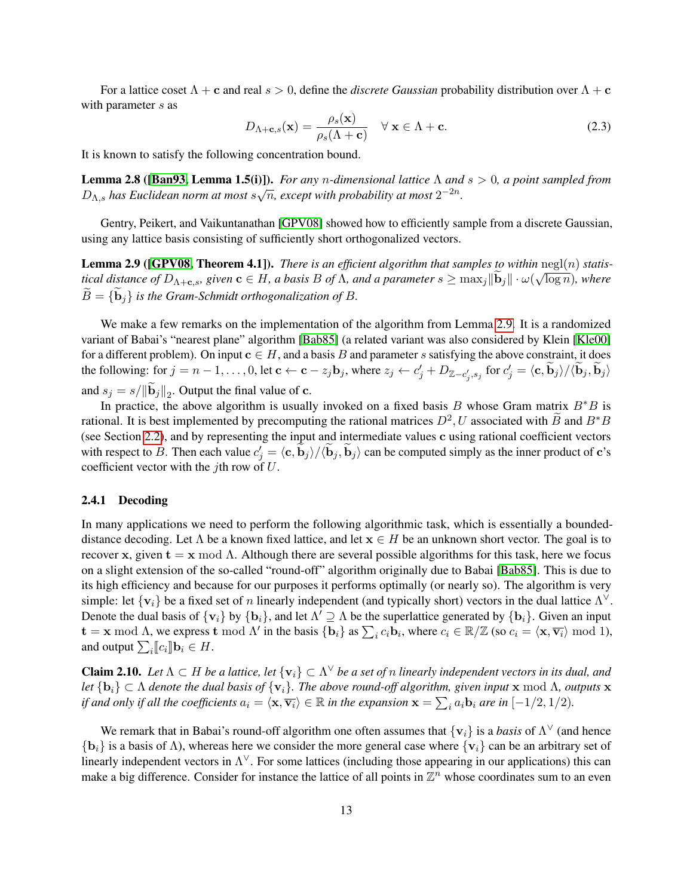For a lattice coset  $\Lambda + c$  and real  $s > 0$ , define the *discrete Gaussian* probability distribution over  $\Lambda + c$ with parameter s as

$$
D_{\Lambda + \mathbf{c}, s}(\mathbf{x}) = \frac{\rho_s(\mathbf{x})}{\rho_s(\Lambda + \mathbf{c})} \quad \forall \mathbf{x} \in \Lambda + \mathbf{c}.
$$
 (2.3)

<span id="page-12-3"></span>It is known to satisfy the following concentration bound.

**Lemma 2.8 ([\[Ban93,](#page-47-8) Lemma 1.5(i)]).** *For any n-dimensional lattice*  $\Lambda$  *and*  $s > 0$ *, a point sampled from*  $D_{\Lambda,s}$  has Euclidean norm at most  $s\sqrt{n}$ , except with probability at most  $2^{-2n}$ .

Gentry, Peikert, and Vaikuntanathan [\[GPV08\]](#page-48-11) showed how to efficiently sample from a discrete Gaussian, using any lattice basis consisting of sufficiently short orthogonalized vectors.

<span id="page-12-0"></span>**Lemma 2.9** ([\[GPV08,](#page-48-11) Theorem 4.1]). *There is an efficient algorithm that samples to within*  $\text{negl}(n)$  *statistical distance of*  $D_{\Lambda+\mathbf{c},s}$ *, given*  $\mathbf{c} \in H$ *, a basis*  $B$  *of*  $\Lambda$ *, and a parameter*  $s \geq \max_j ||\mathbf{b}_j|| \cdot \omega(\sqrt{\log n})$ *, where*  $B = \{b_i\}$  *is the Gram-Schmidt orthogonalization of* B.

We make a few remarks on the implementation of the algorithm from Lemma [2.9.](#page-12-0) It is a randomized variant of Babai's "nearest plane" algorithm [\[Bab85\]](#page-47-7) (a related variant was also considered by Klein [\[Kle00\]](#page-48-14) for a different problem). On input  $c \in H$ , and a basis B and parameter s satisfying the above constraint, it does the following: for  $j = n - 1, \ldots, 0$ , let  $\mathbf{c} \leftarrow \mathbf{c} - z_j \mathbf{b}_j$ , where  $z_j \leftarrow c'_j + D_{\mathbb{Z} - c'_j, s_j}$  for  $c'_j = \langle \mathbf{c}, \widetilde{\mathbf{b}}_j \rangle / \langle \widetilde{\mathbf{b}}_j, \widetilde{\mathbf{b}}_j \rangle$ and  $s_j = s / ||\mathbf{b}_j||_2$ . Output the final value of **c**.

In practice, the above algorithm is usually invoked on a fixed basis B whose Gram matrix  $B^*B$  is rational. It is best implemented by precomputing the rational matrices  $D^2$ , U associated with  $\widetilde{B}$  and  $B^*B$ (see Section [2.2\)](#page-8-1), and by representing the input and intermediate values c using rational coefficient vectors with respect to B. Then each value  $c'_j = \langle \mathbf{c}, \mathbf{b}_j \rangle / \langle \mathbf{b}_j, \mathbf{b}_j \rangle$  can be computed simply as the inner product of c's coefficient vector with the *j*th row of  $U$ .

### <span id="page-12-1"></span>2.4.1 Decoding

In many applications we need to perform the following algorithmic task, which is essentially a boundeddistance decoding. Let  $\Lambda$  be a known fixed lattice, and let  $x \in H$  be an unknown short vector. The goal is to recover x, given  $t = x \mod Λ$ . Although there are several possible algorithms for this task, here we focus on a slight extension of the so-called "round-off" algorithm originally due to Babai [\[Bab85\]](#page-47-7). This is due to its high efficiency and because for our purposes it performs optimally (or nearly so). The algorithm is very simple: let  $\{v_i\}$  be a fixed set of n linearly independent (and typically short) vectors in the dual lattice  $\Lambda^{\vee}$ . Denote the dual basis of  $\{v_i\}$  by  $\{b_i\}$ , and let  $\Lambda' \supseteq \Lambda$  be the superlattice generated by  $\{b_i\}$ . Given an input  $\mathbf{t} = \mathbf{x} \bmod \Lambda$ , we express  $\mathbf{t} \bmod \Lambda'$  in the basis  $\{\mathbf{b}_i\}$  as  $\sum_i c_i \mathbf{b}_i$ , where  $c_i \in \mathbb{R}/\mathbb{Z}$  (so  $c_i = \langle \mathbf{x}, \overline{\mathbf{v}_i} \rangle \bmod 1$ ), and output  $\sum_i [ \![c_i]\!] \mathbf{b}_i \in H$ .

<span id="page-12-2"></span>**Claim 2.10.** Let  $\Lambda \subset H$  be a lattice, let  $\{v_i\} \subset \Lambda^\vee$  be a set of n linearly independent vectors in its dual, and *let*  $\{b_i\} \subset \Lambda$  *denote the dual basis of*  $\{v_i\}$ *. The above round-off algorithm, given input* **x** mod  $\Lambda$ *, outputs* **x** *if and only if all the coefficients*  $a_i = \langle \mathbf{x}, \overline{\mathbf{v}_i} \rangle \in \mathbb{R}$  *in the expansion*  $\mathbf{x} = \sum_i a_i \mathbf{b}_i$  *are in*  $[-1/2, 1/2)$ *.* 

We remark that in Babai's round-off algorithm one often assumes that  $\{v_i\}$  is a *basis* of  $\Lambda^{\vee}$  (and hence  ${b_i}$  is a basis of  $\Lambda$ ), whereas here we consider the more general case where  ${v_i}$  can be an arbitrary set of linearly independent vectors in  $\Lambda^{\vee}$ . For some lattices (including those appearing in our applications) this can make a big difference. Consider for instance the lattice of all points in  $\mathbb{Z}^n$  whose coordinates sum to an even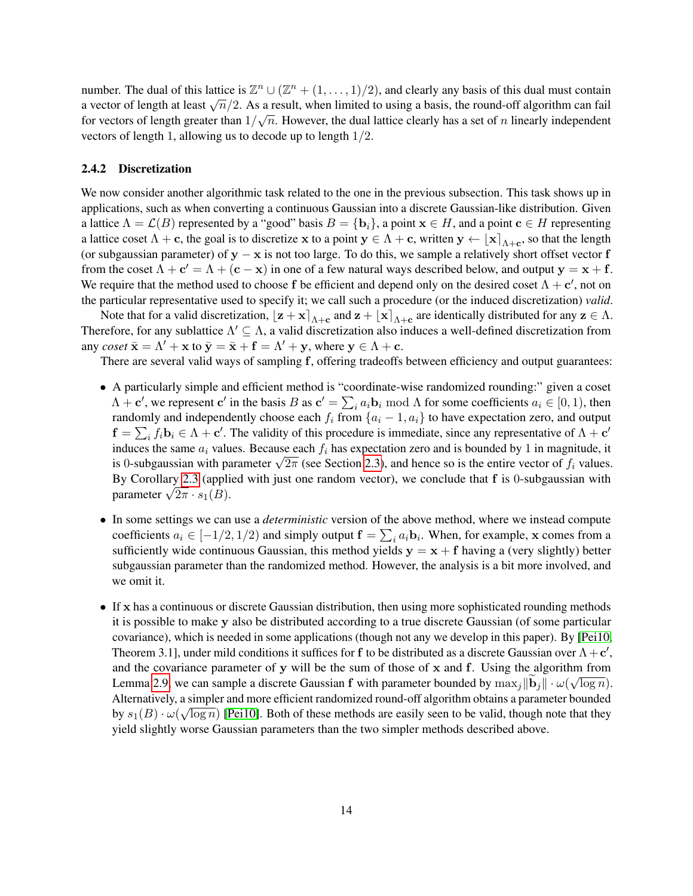number. The dual of this lattice is  $\mathbb{Z}^n \cup (\mathbb{Z}^n + (1, \ldots, 1)/2)$ , and clearly any basis of this dual must contain a vector of length at least  $\sqrt{n}/2$ . As a result, when limited to using a basis, the round-off algorithm can fail for vectors of length greater than  $1/\sqrt{n}$ . However, the dual lattice clearly has a set of n linearly independent vectors of length 1, allowing us to decode up to length 1/2.

### <span id="page-13-0"></span>2.4.2 Discretization

We now consider another algorithmic task related to the one in the previous subsection. This task shows up in applications, such as when converting a continuous Gaussian into a discrete Gaussian-like distribution. Given a lattice  $\Lambda = \mathcal{L}(B)$  represented by a "good" basis  $B = \{b_i\}$ , a point  $x \in H$ , and a point  $c \in H$  representing a lattice coset  $\Lambda + c$ , the goal is to discretize x to a point  $y \in \Lambda + c$ , written  $y \leftarrow [x]_{\Lambda + c}$ , so that the length (or subgaussian parameter) of  $y - x$  is not too large. To do this, we sample a relatively short offset vector f from the coset  $\Lambda + c' = \Lambda + (c - x)$  in one of a few natural ways described below, and output  $y = x + f$ . We require that the method used to choose f be efficient and depend only on the desired coset  $\Lambda + c'$ , not on the particular representative used to specify it; we call such a procedure (or the induced discretization) *valid*.

Note that for a valid discretization,  $\left[\mathbf{z} + \mathbf{x}\right]_{\Lambda+\mathbf{c}}$  and  $\mathbf{z} + \left[\mathbf{x}\right]_{\Lambda+\mathbf{c}}$  are identically distributed for any  $\mathbf{z} \in \Lambda$ . Therefore, for any sublattice  $\Lambda' \subseteq \Lambda$ , a valid discretization also induces a well-defined discretization from any *coset*  $\bar{\mathbf{x}} = \Lambda' + \mathbf{x}$  to  $\bar{\mathbf{y}} = \bar{\mathbf{x}} + \mathbf{f} = \Lambda' + \mathbf{y}$ , where  $\mathbf{y} \in \Lambda + \mathbf{c}$ .

There are several valid ways of sampling f, offering tradeoffs between efficiency and output guarantees:

- A particularly simple and efficient method is "coordinate-wise randomized rounding:" given a coset  $\Lambda + \mathbf{c}'$ , we represent  $\mathbf{c}'$  in the basis B as  $\mathbf{c}' = \sum_i a_i \mathbf{b}_i \bmod \Lambda$  for some coefficients  $a_i \in [0, 1)$ , then randomly and independently choose each  $f_i$  from  $\{a_i - 1, a_i\}$  to have expectation zero, and output  $f = \sum_i f_i \mathbf{b}_i \in \Lambda + \mathbf{c}'$ . The validity of this procedure is immediate, since any representative of  $\Lambda + \mathbf{c}'$ induces the same  $a_i$  values. Because each  $f_i$  has expectation zero and is bounded by 1 in magnitude, it matrices the same  $a_i$  values. Because each  $j_i$  has expectation zero and is bounded by 1 in magnitude, it is 0-subgaussian with parameter  $\sqrt{2\pi}$  (see Section [2.3\)](#page-9-2), and hence so is the entire vector of  $f_i$  values. By Corollary [2.3](#page-10-0) (applied with just one random vector), we conclude that f is 0-subgaussian with By Coronary 2.3 (appli<br>parameter  $\sqrt{2\pi} \cdot s_1(B)$ .
- In some settings we can use a *deterministic* version of the above method, where we instead compute coefficients  $a_i \in [-1/2, 1/2)$  and simply output  $\mathbf{f} = \sum_i a_i \mathbf{b}_i$ . When, for example, x comes from a sufficiently wide continuous Gaussian, this method yields  $y = x + f$  having a (very slightly) better subgaussian parameter than the randomized method. However, the analysis is a bit more involved, and we omit it.
- If x has a continuous or discrete Gaussian distribution, then using more sophisticated rounding methods it is possible to make y also be distributed according to a true discrete Gaussian (of some particular covariance), which is needed in some applications (though not any we develop in this paper). By [\[Pei10,](#page-49-12) Theorem 3.1], under mild conditions it suffices for f to be distributed as a discrete Gaussian over  $\Lambda + c'$ , and the covariance parameter of y will be the sum of those of x and f. Using the algorithm from Lemma [2.9,](#page-12-0) we can sample a discrete Gaussian f with parameter bounded by  $\max_j ||\mathbf{b}_j|| \cdot \omega(\sqrt{\log n}).$ Alternatively, a simpler and more efficient randomized round-off algorithm obtains a parameter bounded by  $s_1(B) \cdot \omega(\sqrt{\log n})$  [\[Pei10\]](#page-49-12). Both of these methods are easily seen to be valid, though note that they yield slightly worse Gaussian parameters than the two simpler methods described above.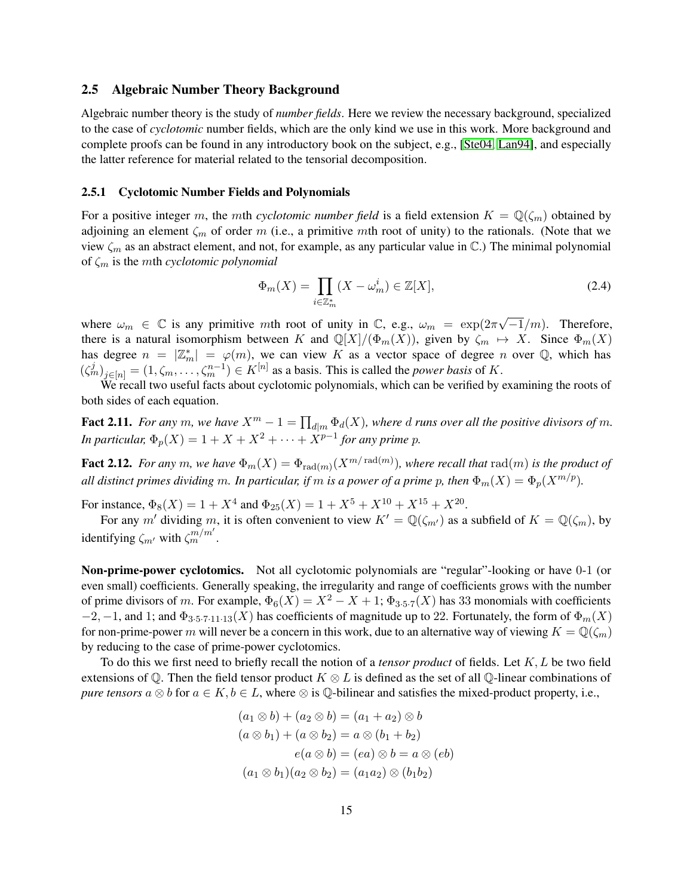### 2.5 Algebraic Number Theory Background

Algebraic number theory is the study of *number fields*. Here we review the necessary background, specialized to the case of *cyclotomic* number fields, which are the only kind we use in this work. More background and complete proofs can be found in any introductory book on the subject, e.g., [\[Ste04,](#page-49-13) [Lan94\]](#page-48-15), and especially the latter reference for material related to the tensorial decomposition.

### <span id="page-14-0"></span>2.5.1 Cyclotomic Number Fields and Polynomials

For a positive integer m, the mth *cyclotomic number field* is a field extension  $K = \mathbb{Q}(\zeta_m)$  obtained by adjoining an element  $\zeta_m$  of order m (i.e., a primitive mth root of unity) to the rationals. (Note that we view  $\zeta_m$  as an abstract element, and not, for example, as any particular value in  $\mathbb{C}$ .) The minimal polynomial of ζ<sup>m</sup> is the mth *cyclotomic polynomial*

$$
\Phi_m(X) = \prod_{i \in \mathbb{Z}_m^*} (X - \omega_m^i) \in \mathbb{Z}[X],\tag{2.4}
$$

where  $\omega_m \in \mathbb{C}$  is any primitive mth root of unity in  $\mathbb{C}$ , e.g.,  $\omega_m = \exp(2\pi\sqrt{m})$  $\overline{-1}/m$ ). Therefore, there is a natural isomorphism between K and  $\mathbb{Q}[X]/(\Phi_m(X))$ , given by  $\zeta_m \mapsto X$ . Since  $\Phi_m(X)$ has degree  $n = |\mathbb{Z}_m^*| = \varphi(m)$ , we can view K as a vector space of degree n over Q, which has  $(\zeta_m^j)_{j \in [n]} = (1, \zeta_m, \ldots, \zeta_m^{n-1}) \in K^{[n]}$  as a basis. This is called the *power basis* of K.

We recall two useful facts about cyclotomic polynomials, which can be verified by examining the roots of both sides of each equation.

**Fact 2.11.** For any m, we have  $X^m - 1 = \prod_{d|m} \Phi_d(X)$ , where d runs over all the positive divisors of m. *In particular,*  $\Phi_p(X) = 1 + X + X^2 + \cdots + X^{p-1}$  for any prime p.

**Fact 2.12.** For any  $m$ , we have  $\Phi_m(X) = \Phi_{\text{rad}(m)}(X^{m/\text{rad}(m)})$ , where recall that  $\text{rad}(m)$  is the product of *all distinct primes dividing* m. In particular, if m is a power of a prime p, then  $\Phi_m(X) = \Phi_n(X^{m/p})$ .

For instance,  $\Phi_8(X) = 1 + X^4$  and  $\Phi_{25}(X) = 1 + X^5 + X^{10} + X^{15} + X^{20}$ .

For any m' dividing m, it is often convenient to view  $K' = \mathbb{Q}(\zeta_{m'})$  as a subfield of  $K = \mathbb{Q}(\zeta_m)$ , by identifying  $\zeta_{m'}$  with  $\zeta_{m}^{m/m'}$ .

Non-prime-power cyclotomics. Not all cyclotomic polynomials are "regular"-looking or have 0-1 (or even small) coefficients. Generally speaking, the irregularity and range of coefficients grows with the number of prime divisors of m. For example,  $\Phi_6(X) = X^2 - X + 1$ ;  $\Phi_{3.5.7}(X)$  has 33 monomials with coefficients  $-2$ ,  $-1$ , and 1; and  $\Phi_{3.5.7.11.13}(X)$  has coefficients of magnitude up to 22. Fortunately, the form of  $\Phi_m(X)$ for non-prime-power m will never be a concern in this work, due to an alternative way of viewing  $K = \mathbb{Q}(\zeta_m)$ by reducing to the case of prime-power cyclotomics.

To do this we first need to briefly recall the notion of a *tensor product* of fields. Let K, L be two field extensions of  $\mathbb Q$ . Then the field tensor product  $K \otimes L$  is defined as the set of all  $\mathbb Q$ -linear combinations of *pure tensors*  $a \otimes b$  for  $a \in K$ ,  $b \in L$ , where  $\otimes$  is  $\mathbb Q$ -bilinear and satisfies the mixed-product property, i.e.,

$$
(a_1 \otimes b) + (a_2 \otimes b) = (a_1 + a_2) \otimes b
$$
  
\n
$$
(a \otimes b_1) + (a \otimes b_2) = a \otimes (b_1 + b_2)
$$
  
\n
$$
e(a \otimes b) = (ea) \otimes b = a \otimes (eb)
$$
  
\n
$$
(a_1 \otimes b_1)(a_2 \otimes b_2) = (a_1 a_2) \otimes (b_1 b_2)
$$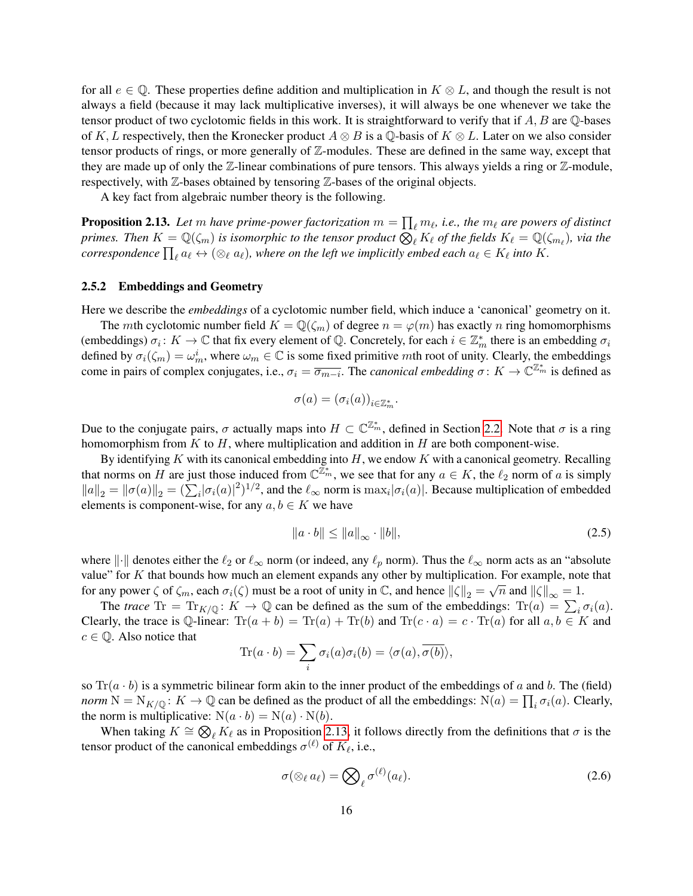for all  $e \in \mathbb{Q}$ . These properties define addition and multiplication in  $K \otimes L$ , and though the result is not always a field (because it may lack multiplicative inverses), it will always be one whenever we take the tensor product of two cyclotomic fields in this work. It is straightforward to verify that if  $A, B$  are  $\mathbb Q$ -bases of K, L respectively, then the Kronecker product  $A \otimes B$  is a Q-basis of  $K \otimes L$ . Later on we also consider tensor products of rings, or more generally of Z-modules. These are defined in the same way, except that they are made up of only the Z-linear combinations of pure tensors. This always yields a ring or Z-module, respectively, with Z-bases obtained by tensoring Z-bases of the original objects.

A key fact from algebraic number theory is the following.

**Proposition 2.13.** Let  $m$  have prime-power factorization  $m = \prod_{\ell} m_{\ell}$ , i.e., the  $m_{\ell}$  are powers of distinct primes. Then  $K=\mathbb{Q}(\zeta_m)$  is isomorphic to the tensor product  $\overline{\bigotimes_\ell}K_\ell$  of the fields  $K_\ell=\mathbb{Q}(\zeta_{m_\ell})$ , via the  $correspondence \prod_\ell a_\ell \leftrightarrow (\otimes_\ell a_\ell)$ , where on the left we implicitly embed each  $a_\ell \in K_\ell$  into  $K.$ 

### <span id="page-15-0"></span>2.5.2 Embeddings and Geometry

Here we describe the *embeddings* of a cyclotomic number field, which induce a 'canonical' geometry on it.

The mth cyclotomic number field  $K = \mathbb{Q}(\zeta_m)$  of degree  $n = \varphi(m)$  has exactly n ring homomorphisms (embeddings)  $\sigma_i: K \to \mathbb{C}$  that fix every element of  $\mathbb{Q}$ . Concretely, for each  $i \in \mathbb{Z}_m^*$  there is an embedding  $\sigma_i$ defined by  $\sigma_i(\zeta_m) = \omega_m^i$ , where  $\omega_m \in \mathbb{C}$  is some fixed primitive mth root of unity. Clearly, the embeddings come in pairs of complex conjugates, i.e.,  $\sigma_i = \overline{\sigma_{m-i}}$ . The *canonical embedding*  $\sigma: K \to \mathbb{C}^{\mathbb{Z}_m^*}$  is defined as

<span id="page-15-1"></span>
$$
\sigma(a) = (\sigma_i(a))_{i \in \mathbb{Z}_m^*}.
$$

Due to the conjugate pairs,  $\sigma$  actually maps into  $H \subset \mathbb{C}^{\mathbb{Z}_m^*}$ , defined in Section [2.2.](#page-8-1) Note that  $\sigma$  is a ring homomorphism from  $K$  to  $H$ , where multiplication and addition in  $H$  are both component-wise.

By identifying  $K$  with its canonical embedding into  $H$ , we endow  $K$  with a canonical geometry. Recalling that norms on H are just those induced from  $\mathbb{C}^{\mathbb{Z}_m}$ , we see that for any  $a \in K$ , the  $\ell_2$  norm of a is simply  $||a||_2 = ||\sigma(a)||_2 = (\sum_i |\sigma_i(a)|^2)^{1/2}$ , and the  $\ell_{\infty}$  norm is  $\max_i |\sigma_i(a)|$ . Because multiplication of embedded elements is component-wise, for any  $a, b \in K$  we have

<span id="page-15-3"></span>
$$
\|a \cdot b\| \le \|a\|_{\infty} \cdot \|b\|,\tag{2.5}
$$

where  $\|\cdot\|$  denotes either the  $\ell_2$  or  $\ell_\infty$  norm (or indeed, any  $\ell_p$  norm). Thus the  $\ell_\infty$  norm acts as an "absolute value" for K that bounds how much an element expands any other by multiplication. For example, note that for any power  $\zeta$  of  $\zeta_m$ , each  $\sigma_i(\zeta)$  must be a root of unity in  $\mathbb{C}$ , and hence  $\|\zeta\|_2 = \sqrt{n}$  and  $\|\zeta\|_{\infty} = 1$ .

The *trace*  $Tr = Tr_{K/\mathbb{Q}} \colon K \to \mathbb{Q}$  can be defined as the sum of the embeddings:  $Tr(a) = \sum_i \sigma_i(a)$ . Clearly, the trace is Q-linear:  $\text{Tr}(a + b) = \text{Tr}(a) + \text{Tr}(b)$  and  $\text{Tr}(c \cdot a) = c \cdot \text{Tr}(a)$  for all  $a, b \in K$  and  $c \in \mathbb{Q}$ . Also notice that

$$
\text{Tr}(a \cdot b) = \sum_{i} \sigma_i(a)\sigma_i(b) = \langle \sigma(a), \overline{\sigma(b)} \rangle,
$$

so  $Tr(a \cdot b)$  is a symmetric bilinear form akin to the inner product of the embeddings of a and b. The (field) *norm*  $N = N_{K/\mathbb{Q}}$ :  $K \to \mathbb{Q}$  can be defined as the product of all the embeddings:  $N(a) = \prod_i \sigma_i(a)$ . Clearly, the norm is multiplicative:  $N(a \cdot b) = N(a) \cdot N(b)$ .

When taking  $K \cong \bigotimes_{\ell} K_{\ell}$  as in Proposition [2.13,](#page-15-1) it follows directly from the definitions that  $\sigma$  is the tensor product of the canonical embeddings  $\sigma^{(\ell)}$  of  $K_{\ell}$ , i.e.,

<span id="page-15-2"></span>
$$
\sigma(\otimes_{\ell} a_{\ell}) = \bigotimes_{\ell} \sigma^{(\ell)}(a_{\ell}).
$$
\n(2.6)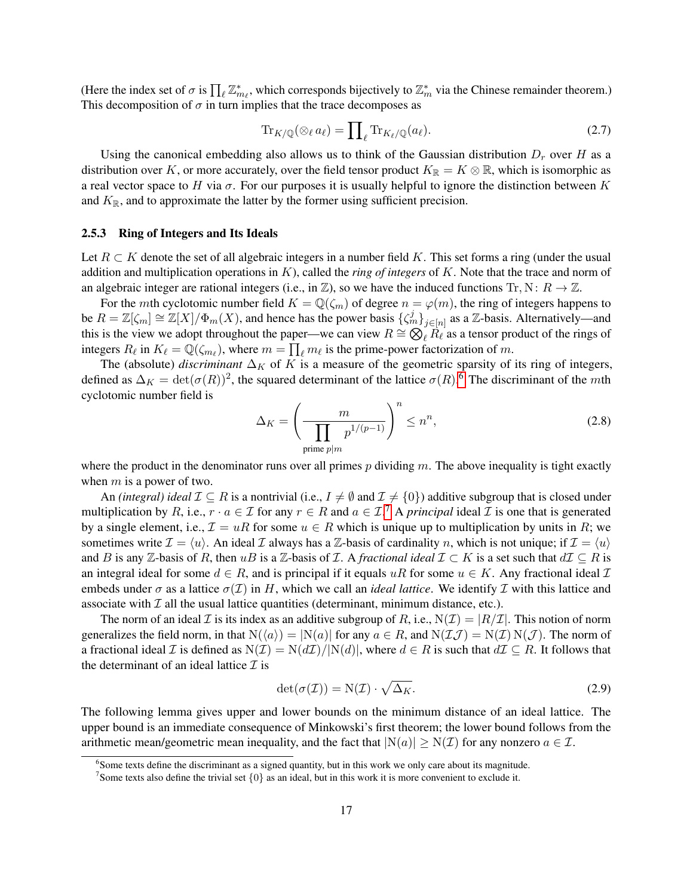(Here the index set of  $\sigma$  is  $\prod_{\ell} \mathbb{Z}_{m_{\ell}}^*$ , which corresponds bijectively to  $\mathbb{Z}_m^*$  via the Chinese remainder theorem.) This decomposition of  $\sigma$  in turn implies that the trace decomposes as

<span id="page-16-3"></span>
$$
\operatorname{Tr}_{K/\mathbb{Q}}(\otimes_{\ell}a_{\ell})=\prod_{\ell}\operatorname{Tr}_{K_{\ell}/\mathbb{Q}}(a_{\ell}).\tag{2.7}
$$

Using the canonical embedding also allows us to think of the Gaussian distribution  $D<sub>r</sub>$  over H as a distribution over K, or more accurately, over the field tensor product  $K_{\mathbb{R}} = K \otimes \mathbb{R}$ , which is isomorphic as a real vector space to H via  $\sigma$ . For our purposes it is usually helpful to ignore the distinction between K and  $K_{\mathbb{R}}$ , and to approximate the latter by the former using sufficient precision.

### <span id="page-16-0"></span>2.5.3 Ring of Integers and Its Ideals

Let  $R \subset K$  denote the set of all algebraic integers in a number field K. This set forms a ring (under the usual addition and multiplication operations in K), called the *ring of integers* of K. Note that the trace and norm of an algebraic integer are rational integers (i.e., in  $\mathbb{Z}$ ), so we have the induced functions Tr, N:  $R \to \mathbb{Z}$ .

For the mth cyclotomic number field  $K = \mathbb{Q}(\zeta_m)$  of degree  $n = \varphi(m)$ , the ring of integers happens to be  $R = \mathbb{Z}[\zeta_m] \cong \mathbb{Z}[X]/\Phi_m(X)$ , and hence has the power basis  $\{\zeta_m^j\}_{j \in [n]}$  as a  $\mathbb{Z}$ -basis. Alternatively—and this is the view we adopt throughout the paper—we can view  $R \cong \bigotimes_{\ell} R_{\ell}$  as a tensor product of the rings of integers  $R_\ell$  in  $K_\ell = \mathbb{Q}(\zeta_{m_\ell})$ , where  $m = \prod_\ell m_\ell$  is the prime-power factorization of m.

The (absolute) *discriminant*  $\Delta_K$  of K is a measure of the geometric sparsity of its ring of integers, defined as  $\Delta_K = \det(\sigma(R))^2$ , the squared determinant of the lattice  $\sigma(R)$ .<sup>[6](#page-16-1)</sup> The discriminant of the mth cyclotomic number field is

<span id="page-16-5"></span>
$$
\Delta_K = \left(\frac{m}{\prod_{\text{prime }p|m} p^{1/(p-1)}}\right)^n \le n^n,
$$
\n(2.8)

where the product in the denominator runs over all primes  $p$  dividing  $m$ . The above inequality is tight exactly when  $m$  is a power of two.

An *(integral) ideal*  $\mathcal{I} \subseteq R$  is a nontrivial (i.e.,  $I \neq \emptyset$  and  $\mathcal{I} \neq \{0\}$ ) additive subgroup that is closed under multiplication by R, i.e.,  $r \cdot a \in \mathcal{I}$  for any  $r \in R$  and  $a \in \mathcal{I}$ .<sup>[7](#page-16-2)</sup> A *principal* ideal  $\mathcal{I}$  is one that is generated by a single element, i.e.,  $\mathcal{I} = uR$  for some  $u \in R$  which is unique up to multiplication by units in R; we sometimes write  $\mathcal{I} = \langle u \rangle$ . An ideal  $\mathcal I$  always has a  $\mathbb Z$ -basis of cardinality n, which is not unique; if  $\mathcal{I} = \langle u \rangle$ and B is any  $\mathbb{Z}$ -basis of R, then uB is a  $\mathbb{Z}$ -basis of  $\mathcal{I}$ . A *fractional ideal*  $\mathcal{I} \subset K$  is a set such that  $d\mathcal{I} \subset R$  is an integral ideal for some  $d \in R$ , and is principal if it equals uR for some  $u \in K$ . Any fractional ideal  $\mathcal I$ embeds under  $\sigma$  as a lattice  $\sigma(\mathcal{I})$  in H, which we call an *ideal lattice*. We identify  $\mathcal I$  with this lattice and associate with  $\mathcal I$  all the usual lattice quantities (determinant, minimum distance, etc.).

The norm of an ideal  $\mathcal I$  is its index as an additive subgroup of R, i.e.,  $N(\mathcal I) = |R/\mathcal I|$ . This notion of norm generalizes the field norm, in that  $N(\langle a \rangle) = |N(a)|$  for any  $a \in R$ , and  $N(\mathcal{I} \mathcal{J}) = N(\mathcal{I}) N(\mathcal{J})$ . The norm of a fractional ideal I is defined as  $N(\mathcal{I}) = N(d\mathcal{I})/|N(d)|$ , where  $d \in R$  is such that  $d\mathcal{I} \subseteq R$ . It follows that the determinant of an ideal lattice  $\mathcal I$  is

<span id="page-16-4"></span>
$$
\det(\sigma(\mathcal{I})) = N(\mathcal{I}) \cdot \sqrt{\Delta_K}.
$$
\n(2.9)

The following lemma gives upper and lower bounds on the minimum distance of an ideal lattice. The upper bound is an immediate consequence of Minkowski's first theorem; the lower bound follows from the arithmetic mean/geometric mean inequality, and the fact that  $|N(a)| \geq N(\mathcal{I})$  for any nonzero  $a \in \mathcal{I}$ .

<span id="page-16-6"></span><span id="page-16-1"></span><sup>&</sup>lt;sup>6</sup>Some texts define the discriminant as a signed quantity, but in this work we only care about its magnitude.

<span id="page-16-2"></span><sup>&</sup>lt;sup>7</sup> Some texts also define the trivial set  $\{0\}$  as an ideal, but in this work it is more convenient to exclude it.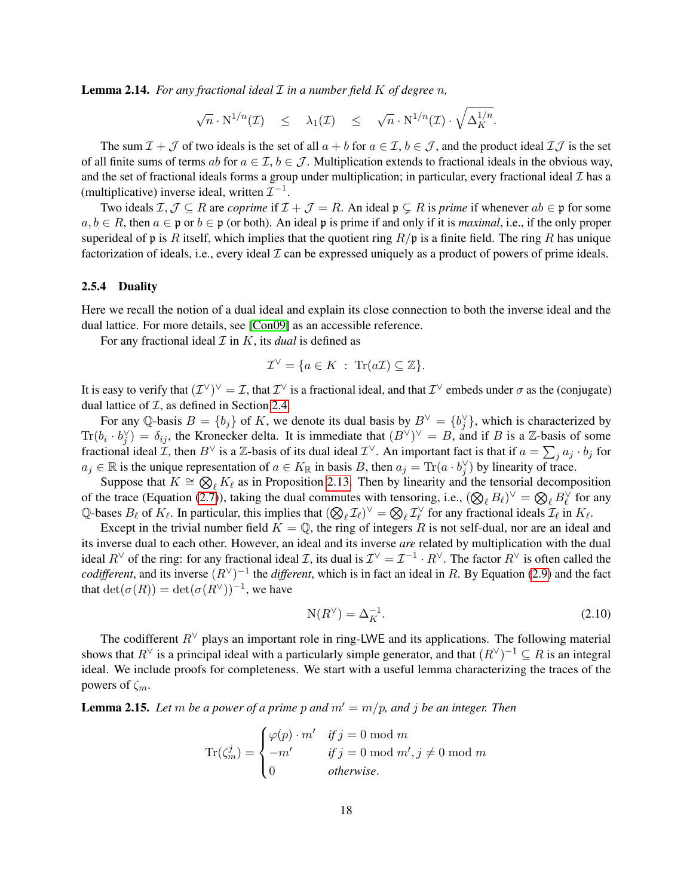Lemma 2.14. *For any fractional ideal* I *in a number field* K *of degree* n*,*

$$
\sqrt{n} \cdot N^{1/n}(\mathcal{I}) \leq \lambda_1(\mathcal{I}) \leq \sqrt{n} \cdot N^{1/n}(\mathcal{I}) \cdot \sqrt{\Delta_K^{1/n}}.
$$

The sum  $\mathcal{I} + \mathcal{J}$  of two ideals is the set of all  $a + b$  for  $a \in \mathcal{I}$ ,  $b \in \mathcal{J}$ , and the product ideal  $\mathcal{I} \mathcal{J}$  is the set of all finite sums of terms ab for  $a \in \mathcal{I}, b \in \mathcal{J}$ . Multiplication extends to fractional ideals in the obvious way, and the set of fractional ideals forms a group under multiplication; in particular, every fractional ideal  $I$  has a (multiplicative) inverse ideal, written  $\mathcal{I}^{-1}$ .

Two ideals  $\mathcal{I}, \mathcal{J} \subseteq R$  are *coprime* if  $\mathcal{I} + \mathcal{J} = R$ . An ideal  $\mathfrak{p} \subseteq R$  is *prime* if whenever  $ab \in \mathfrak{p}$  for some  $a, b \in R$ , then  $a \in \mathfrak{p}$  or  $b \in \mathfrak{p}$  (or both). An ideal p is prime if and only if it is *maximal*, i.e., if the only proper superideal of p is R itself, which implies that the quotient ring  $R/\mathfrak{p}$  is a finite field. The ring R has unique factorization of ideals, i.e., every ideal  $\mathcal I$  can be expressed uniquely as a product of powers of prime ideals.

### <span id="page-17-0"></span>2.5.4 Duality

Here we recall the notion of a dual ideal and explain its close connection to both the inverse ideal and the dual lattice. For more details, see [\[Con09\]](#page-48-16) as an accessible reference.

For any fractional ideal  $\mathcal I$  in  $K$ , its *dual* is defined as

$$
\mathcal{I}^{\vee} = \{ a \in K \; : \; \text{Tr}(a\mathcal{I}) \subseteq \mathbb{Z} \}.
$$

It is easy to verify that  $(\mathcal{I}^{\vee})^{\vee} = \mathcal{I}$ , that  $\mathcal{I}^{\vee}$  is a fractional ideal, and that  $\mathcal{I}^{\vee}$  embeds under  $\sigma$  as the (conjugate) dual lattice of  $I$ , as defined in Section [2.4.](#page-11-1)

For any Q-basis  $B = \{b_j\}$  of K, we denote its dual basis by  $B^{\vee} = \{b_j^{\vee}\}\$ , which is characterized by  $\text{Tr}(b_i \cdot b_j^{\vee}) = \delta_{ij}$ , the Kronecker delta. It is immediate that  $(B^{\vee})^{\vee} = B$ , and if B is a Z-basis of some fractional ideal  $\mathcal{I}$ , then  $B^\vee$  is a  $\mathbb{Z}$ -basis of its dual ideal  $\mathcal{I}^\vee$ . An important fact is that if  $a = \sum_j a_j \cdot b_j$  for  $a_j \in \mathbb{R}$  is the unique representation of  $a \in K_{\mathbb{R}}$  in basis B, then  $a_j = \text{Tr}(a \cdot b_j^{\vee})$  by linearity of trace.

Suppose that  $K \cong \bigotimes_{\ell} K_{\ell}$  as in Proposition [2.13.](#page-15-1) Then by linearity and the tensorial decomposition of the trace (Equation [\(2.7\)](#page-16-3)), taking the dual commutes with tensoring, i.e.,  $(\bigotimes_{\ell} B_{\ell})^{\vee} = \bigotimes_{\ell} B_{\ell}^{\vee}$  for any Of the trace (Equation (2.7)), taking the duar commutes with tensoring, i.e.,  $(\bigvee_{\ell} D_{\ell}) - \bigotimes_{\ell} D_{\ell}$  for  $\bigcirc_{\ell} D_{\ell}$  for  $\bigcirc_{\ell} D_{\ell}$  for  $K_{\ell}$ . In particular, this implies that  $(\bigotimes_{\ell} \mathcal{I}_{\ell})^{\vee} = \bigotimes_{$ 

Except in the trivial number field  $K = \mathbb{Q}$ , the ring of integers R is not self-dual, nor are an ideal and its inverse dual to each other. However, an ideal and its inverse *are* related by multiplication with the dual ideal  $R^{\vee}$  of the ring: for any fractional ideal *I*, its dual is  $\mathcal{I}^{\vee} = \mathcal{I}^{-1} \cdot R^{\vee}$ . The factor  $R^{\vee}$  is often called the *codifferent*, and its inverse  $(R^{\vee})^{-1}$  the *different*, which is in fact an ideal in R. By Equation [\(2.9\)](#page-16-4) and the fact that  $\det(\sigma(R)) = \det(\sigma(R^{\vee}))^{-1}$ , we have

<span id="page-17-2"></span>
$$
N(R^{\vee}) = \Delta_K^{-1}.\tag{2.10}
$$

The codifferent  $R^{\vee}$  plays an important role in ring-LWE and its applications. The following material shows that  $R^{\vee}$  is a principal ideal with a particularly simple generator, and that  $(R^{\vee})^{-1} \subseteq R$  is an integral ideal. We include proofs for completeness. We start with a useful lemma characterizing the traces of the powers of  $\zeta_m$ .

<span id="page-17-1"></span>**Lemma 2.15.** Let m be a power of a prime p and  $m' = m/p$ , and j be an integer. Then

$$
\text{Tr}(\zeta_m^j) = \begin{cases} \varphi(p) \cdot m' & \text{if } j = 0 \text{ mod } m \\ -m' & \text{if } j = 0 \text{ mod } m', j \neq 0 \text{ mod } m \\ 0 & \text{otherwise.} \end{cases}
$$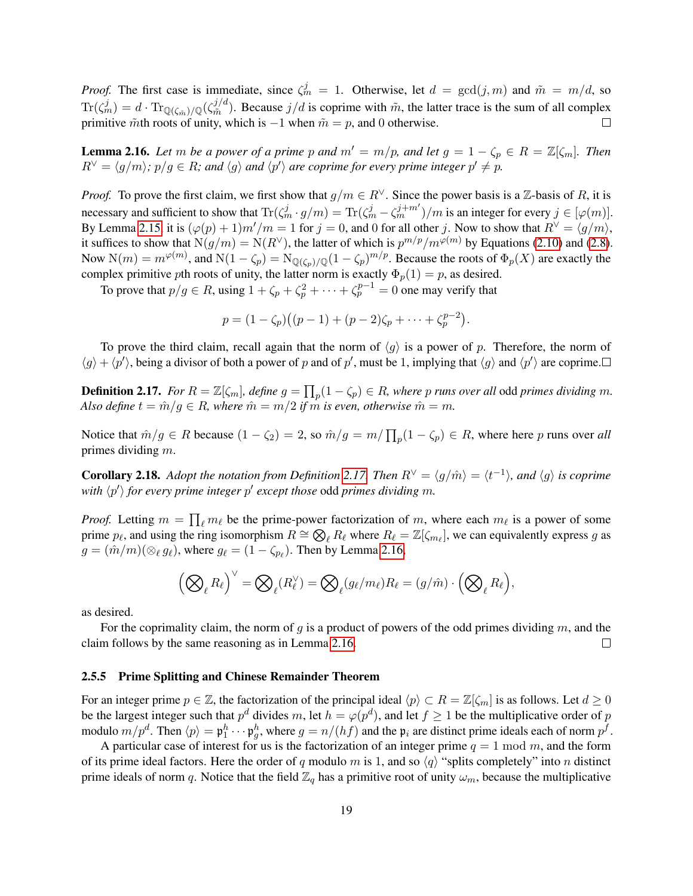*Proof.* The first case is immediate, since  $\zeta_m^j = 1$ . Otherwise, let  $d = \gcd(j,m)$  and  $\tilde{m} = m/d$ , so  $\text{Tr}(\zeta_{m}^j)=d\cdot\text{Tr}_{\mathbb{Q}(\zeta_{\tilde{m}})/\mathbb{Q}}(\zeta_{\tilde{m}}^{j/d})$  $\tilde{m}^{j/a}$ ). Because  $j/d$  is coprime with  $\tilde{m}$ , the latter trace is the sum of all complex primitive  $\tilde{m}$ th roots of unity, which is −1 when  $\tilde{m} = p$ , and 0 otherwise.  $\Box$ 

<span id="page-18-2"></span>**Lemma 2.16.** Let m be a power of a prime p and  $m' = m/p$ , and let  $g = 1 - \zeta_p \in R = \mathbb{Z}[\zeta_m]$ . Then  $R^{\vee} = \langle g/m \rangle$ ;  $p/g \in R$ ; and  $\langle g \rangle$  and  $\langle p' \rangle$  are coprime for every prime integer  $p' \neq p$ .

*Proof.* To prove the first claim, we first show that  $g/m \in R^{\vee}$ . Since the power basis is a Z-basis of R, it is necessary and sufficient to show that  $\text{Tr}(\zeta_m^j \cdot g/m) = \text{Tr}(\zeta_m^j - \zeta_m^{j+m'})/m$  is an integer for every  $j \in [\varphi(m)]$ . By Lemma [2.15,](#page-17-1) it is  $(\varphi(p) + 1)m'/m = 1$  for  $j = 0$ , and 0 for all other j. Now to show that  $R^{\vee} = \langle g/m \rangle$ , it suffices to show that  $N(g/m) = N(R^{\vee})$ , the latter of which is  $p^{m/p}/m^{\varphi(m)}$  by Equations [\(2.10\)](#page-17-2) and [\(2.8\)](#page-16-5). Now  $N(m) = m^{\varphi(m)}$ , and  $N(1 - \zeta_p) = N_{\mathbb{Q}(\zeta_p)/\mathbb{Q}}(1 - \zeta_p)^{m/p}$ . Because the roots of  $\Phi_p(X)$  are exactly the complex primitive pth roots of unity, the latter norm is exactly  $\Phi_p(1) = p$ , as desired.

To prove that  $p/g \in R$ , using  $1 + \zeta_p + \zeta_p^2 + \cdots + \zeta_p^{p-1} = 0$  one may verify that

$$
p = (1 - \zeta_p)((p - 1) + (p - 2)\zeta_p + \cdots + \zeta_p^{p-2}).
$$

To prove the third claim, recall again that the norm of  $\langle g \rangle$  is a power of p. Therefore, the norm of  $\langle g \rangle + \langle p' \rangle$ , being a divisor of both a power of p and of p', must be 1, implying that  $\langle g \rangle$  and  $\langle p' \rangle$  are coprime.

<span id="page-18-1"></span>**Definition 2.17.** For  $R = \mathbb{Z}[\zeta_m]$ , define  $g = \prod_p (1 - \zeta_p) \in R$ , where p runs over all odd primes dividing m. *Also define*  $t = \hat{m}/g \in R$ , where  $\hat{m} = m/2$  *if* m *is even, otherwise*  $\hat{m} = m$ .

Notice that  $\hat{m}/g \in R$  because  $(1 - \zeta_2) = 2$ , so  $\hat{m}/g = m/\prod_p (1 - \zeta_p) \in R$ , where here p runs over all primes dividing m.

<span id="page-18-3"></span>**Corollary 2.18.** Adopt the notation from Definition [2.17.](#page-18-1) Then  $R^{\vee} = \langle g/\hat{m} \rangle = \langle t^{-1} \rangle$ , and  $\langle g \rangle$  is coprime with  $\langle p' \rangle$  for every prime integer  $p'$  except those odd primes dividing  $m$ .

*Proof.* Letting  $m = \prod_{\ell} m_{\ell}$  be the prime-power factorization of m, where each  $m_{\ell}$  is a power of some prime  $p_\ell$ , and using the ring isomorphism  $R \cong \bigotimes_\ell R_\ell$  where  $R_\ell = \mathbb{Z}[\zeta_{m_\ell}]$ , we can equivalently express g as  $g = (\hat{m}/m)(\otimes_{\ell} g_{\ell})$ , where  $g_{\ell} = (1 - \zeta_{p_{\ell}})$ . Then by Lemma [2.16,](#page-18-2)

$$
\left(\bigotimes_{\ell}R_{\ell}\right)^{\vee}=\bigotimes_{\ell}(R_{\ell}^{\vee})=\bigotimes_{\ell}(g_{\ell}/m_{\ell})R_{\ell}=(g/\hat{m})\cdot\Big(\bigotimes_{\ell}R_{\ell}\Big),
$$

as desired.

For the coprimality claim, the norm of g is a product of powers of the odd primes dividing  $m$ , and the claim follows by the same reasoning as in Lemma [2.16.](#page-18-2)  $\Box$ 

#### <span id="page-18-0"></span>2.5.5 Prime Splitting and Chinese Remainder Theorem

For an integer prime  $p \in \mathbb{Z}$ , the factorization of the principal ideal  $\langle p \rangle \subset R = \mathbb{Z}[\zeta_m]$  is as follows. Let  $d \geq 0$ be the largest integer such that  $p^d$  divides m, let  $h = \varphi(p^d)$ , and let  $f \ge 1$  be the multiplicative order of p modulo  $m/p^d$ . Then  $\langle p \rangle = \mathfrak{p}_1^h \cdots \mathfrak{p}_g^h$ , where  $g = n/(hf)$  and the  $\mathfrak{p}_i$  are distinct prime ideals each of norm  $p^f$ .

A particular case of interest for us is the factorization of an integer prime  $q = 1 \text{ mod } m$ , and the form of its prime ideal factors. Here the order of q modulo m is 1, and so  $\langle q \rangle$  "splits completely" into n distinct prime ideals of norm q. Notice that the field  $\mathbb{Z}_q$  has a primitive root of unity  $\omega_m$ , because the multiplicative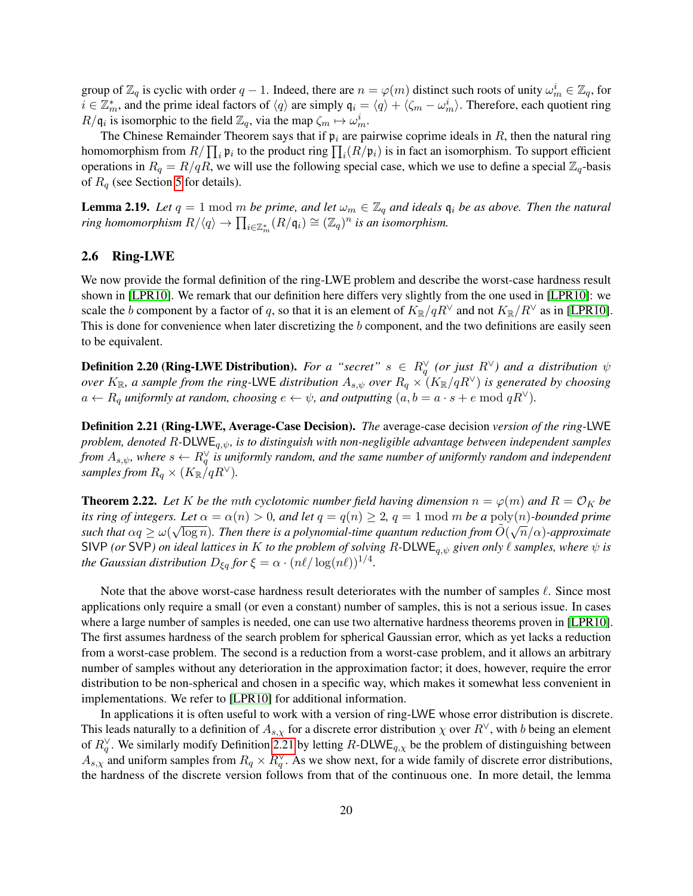group of  $\mathbb{Z}_q$  is cyclic with order  $q-1$ . Indeed, there are  $n = \varphi(m)$  distinct such roots of unity  $\omega_m^i \in \mathbb{Z}_q$ , for  $i \in \mathbb{Z}_m^*$ , and the prime ideal factors of  $\langle q \rangle$  are simply  $\mathfrak{q}_i = \langle q \rangle + \langle \zeta_m - \omega_m^i \rangle$ . Therefore, each quotient ring  $R/\mathfrak{q}_i$  is isomorphic to the field  $\mathbb{Z}_q$ , via the map  $\zeta_m \mapsto \omega_m^i$ .

The Chinese Remainder Theorem says that if  $\mathfrak{p}_i$  are pairwise coprime ideals in R, then the natural ring homomorphism from  $R/\prod_i \mathfrak{p}_i$  to the product ring  $\prod_i (R/\mathfrak{p}_i)$  is in fact an isomorphism. To support efficient operations in  $R_q = R/qR$ , we will use the following special case, which we use to define a special  $\mathbb{Z}_q$ -basis of  $R_q$  (see Section [5](#page-26-0) for details).

<span id="page-19-2"></span>**Lemma 2.19.** *Let*  $q = 1 \text{ mod } m$  *be prime, and let*  $\omega_m \in \mathbb{Z}_q$  *and ideals*  $\mathfrak{q}_i$  *be as above. Then the natural ring homomorphism*  $R/\langle q \rangle \to \prod_{i \in \mathbb{Z}_m^*} (R/\mathfrak{q}_i) \cong (\mathbb{Z}_q)^n$  *is an isomorphism.* 

### 2.6 Ring-LWE

We now provide the formal definition of the ring-LWE problem and describe the worst-case hardness result shown in [\[LPR10\]](#page-49-1). We remark that our definition here differs very slightly from the one used in [LPR10]: we scale the b component by a factor of q, so that it is an element of  $K_{\mathbb{R}}/qR^{\vee}$  and not  $K_{\mathbb{R}}/R^{\vee}$  as in [\[LPR10\]](#page-49-1). This is done for convenience when later discretizing the b component, and the two definitions are easily seen to be equivalent.

**Definition 2.20 (Ring-LWE Distribution).** For a "secret"  $s \in R_q^{\vee}$  (or just  $R^{\vee}$ ) and a distribution  $\psi$ *over*  $K_{\mathbb{R}}$ , a sample from the ring-LWE distribution  $A_{s,\psi}$  over  $R_q \times (K_{\mathbb{R}}/qR^{\vee})$  is generated by choosing  $a \leftarrow R_q$  *uniformly at random, choosing*  $e \leftarrow \psi$ *, and outputting*  $(a, b = a \cdot s + e \mod qR^{\vee})$ *.* 

<span id="page-19-0"></span>Definition 2.21 (Ring-LWE, Average-Case Decision). *The* average-case decision *version of the ring-*LWE *problem, denoted* R*-*DLWEq,ψ*, is to distinguish with non-negligible advantage between independent samples* from  $A_{s,\psi}$ , where  $s \leftarrow R_q^{\vee}$  is uniformly random, and the same number of uniformly random and independent *samples from*  $R_q \times (K_{\mathbb{R}}/qR^{\vee}).$ 

<span id="page-19-1"></span>**Theorem 2.22.** Let K be the mth cyclotomic number field having dimension  $n = \varphi(m)$  and  $R = \mathcal{O}_K$  be *its ring of integers. Let*  $\alpha = \alpha(n) > 0$ *, and let*  $q = q(n) \ge 2$ ,  $q = 1 \mod m$  be a  $\text{poly}(n)$ *-bounded prime* such that  $\alpha q \ge \omega(\sqrt{\log n})$ . Then there is a polynomial-time quantum reduction from  $\tilde O(\sqrt{n}/\alpha)$ -approximate SIVP *(or* SVP*)* on ideal lattices in K to the problem of solving R-DLWE<sub>q, $\psi$ </sub> given only  $\ell$  samples, where  $\psi$  is *the Gaussian distribution*  $D_{\xi q}$  *for*  $\xi = \alpha \cdot (n\ell / \log(n\ell))^{1/4}$ *.* 

Note that the above worst-case hardness result deteriorates with the number of samples  $\ell$ . Since most applications only require a small (or even a constant) number of samples, this is not a serious issue. In cases where a large number of samples is needed, one can use two alternative hardness theorems proven in [\[LPR10\]](#page-49-1). The first assumes hardness of the search problem for spherical Gaussian error, which as yet lacks a reduction from a worst-case problem. The second is a reduction from a worst-case problem, and it allows an arbitrary number of samples without any deterioration in the approximation factor; it does, however, require the error distribution to be non-spherical and chosen in a specific way, which makes it somewhat less convenient in implementations. We refer to [\[LPR10\]](#page-49-1) for additional information.

In applications it is often useful to work with a version of ring-LWE whose error distribution is discrete. This leads naturally to a definition of  $A_{s,y}$  for a discrete error distribution  $\chi$  over  $R^{\vee}$ , with b being an element of  $R_q^{\vee}$ . We similarly modify Definition [2.21](#page-19-0) by letting R-DLWE<sub>q, $\chi$ </sub> be the problem of distinguishing between  $A_{s,x}$  and uniform samples from  $R_q \times R_q^{\vee}$ . As we show next, for a wide family of discrete error distributions, the hardness of the discrete version follows from that of the continuous one. In more detail, the lemma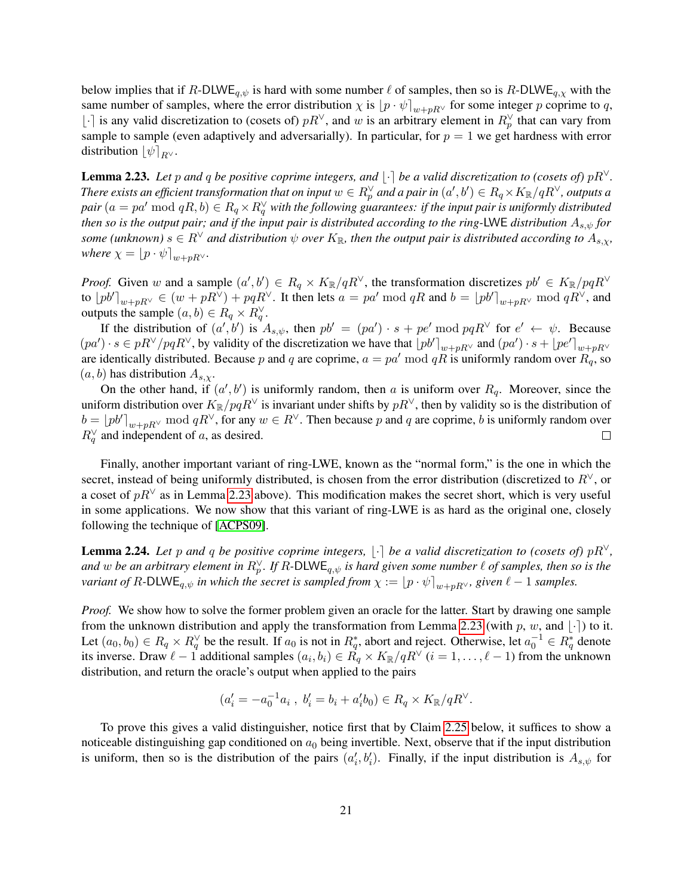below implies that if R-DLWE<sub>q, $\psi$ </sub> is hard with some number  $\ell$  of samples, then so is R-DLWE<sub>q, $\chi$ </sub> with the same number of samples, where the error distribution  $\chi$  is  $[p \cdot \psi]_{w+nR} \vee$  for some integer p coprime to q, [⋅] is any valid discretization to (cosets of)  $pR<sup>∨</sup>$ , and w is an arbitrary element in  $R<sup>∨</sup><sub>p</sub>$  that can vary from sample to sample (even adaptively and adversarially). In particular, for  $p = 1$  we get hardness with error distribution  $\|\psi\|_{B}$ .

<span id="page-20-0"></span>**Lemma 2.23.** Let p and q be positive coprime integers, and  $\vert \cdot \vert$  be a valid discretization to (cosets of) pR<sup> $\vee$ </sup>. There exists an efficient transformation that on input  $w\in R_p^\vee$  and a pair in  $(a',b')\in R_q\times K_\R/qR^\vee$ , outputs a  $pair$   $(a = pa' \bmod qR, b) \in R_q \times R_q^{\vee}$  with the following guarantees: if the input pair is uniformly distributed *then so is the output pair; and if the input pair is distributed according to the ring-*LWE *distribution* As,ψ *for some (unknown)*  $s \in R^{\vee}$  *and distribution*  $\psi$  *over*  $K_{\mathbb{R}}$ *, then the output pair is distributed according to*  $A_{s,x}$ *, where*  $\chi = [p \cdot \psi]_{w+pR}$ <sup> $\vee$ </sup>*.* 

*Proof.* Given w and a sample  $(a', b') \in R_q \times K_{\mathbb{R}}/qR^{\vee}$ , the transformation discretizes  $pb' \in K_{\mathbb{R}}/pqR^{\vee}$ to  $[pb']_{w+pR^{\vee}} \in (w+pR^{\vee})+pqR^{\vee}$ . It then lets  $a = pa' \bmod qR$  and  $b = [pb']_{w+pR^{\vee}} \bmod qR^{\vee}$ , and outputs the sample  $(a, b) \in R_q \times R_q^{\vee}$ .

If the distribution of  $(a', b')$  is  $A_{s,\psi}$ , then  $pb' = (pa') \cdot s + pe' \bmod pqR^{\vee}$  for  $e' \leftarrow \psi$ . Because  $(pa') \cdot s \in pR^\vee / pqR^\vee$ , by validity of the discretization we have that  $\left\lfloor pb' \right\rfloor_{w+pR^\vee}$  and  $(pa') \cdot s + \left\lfloor pe' \right\rfloor_{w+pR^\vee}$ are identically distributed. Because p and q are coprime,  $a = pa' \mod qR$  is uniformly random over  $R_q$ , so  $(a, b)$  has distribution  $A_{s,x}$ .

On the other hand, if  $(a', b')$  is uniformly random, then a is uniform over  $R_q$ . Moreover, since the uniform distribution over  $K_{\mathbb{R}}/pqR^{\vee}$  is invariant under shifts by  $pR^{\vee}$ , then by validity so is the distribution of  $b = \lfloor p b' \rfloor_{w+pR}$  mod  $qR^{\vee}$ , for any  $w \in R^{\vee}$ . Then because p and q are coprime, b is uniformly random over  $R_q^{\vee}$  and independent of a, as desired.  $\Box$ 

Finally, another important variant of ring-LWE, known as the "normal form," is the one in which the secret, instead of being uniformly distributed, is chosen from the error distribution (discretized to  $R<sup>V</sup>$ , or a coset of  $pR<sup>∨</sup>$  as in Lemma [2.23](#page-20-0) above). This modification makes the secret short, which is very useful in some applications. We now show that this variant of ring-LWE is as hard as the original one, closely following the technique of [\[ACPS09\]](#page-47-9).

<span id="page-20-1"></span>**Lemma 2.24.** Let p and q be positive coprime integers,  $|\cdot|$  be a valid discretization to (cosets of) pR<sup> $\vee$ </sup>, and  $w$  be an arbitrary element in  $R_p^{\vee}$ . If R-DLWE<sub>q, $\psi$ </sub> is hard given some number  $\ell$  of samples, then so is the *variant of*  $R$ -DLWE<sub>q, $\psi$ </sub> *in which the secret is sampled from*  $\chi := [p \cdot \psi]_{w+pR}$ , given  $\ell - 1$  *samples.* 

*Proof.* We show how to solve the former problem given an oracle for the latter. Start by drawing one sample from the unknown distribution and apply the transformation from Lemma [2.23](#page-20-0) (with p, w, and  $\lceil \cdot \rceil$ ) to it. Let  $(a_0, b_0) \in R_q \times R_q^{\vee}$  be the result. If  $a_0$  is not in  $R_q^*$ , abort and reject. Otherwise, let  $a_0^{-1} \in R_q^*$  denote its inverse. Draw  $\ell - 1$  additional samples  $(a_i, b_i) \in R_q \times K_{\mathbb{R}}/qR^{\vee}$   $(i = 1, \ldots, \ell - 1)$  from the unknown distribution, and return the oracle's output when applied to the pairs

$$
(a'_i = -a_0^{-1}a_i \;,\; b'_i = b_i + a'_i b_0) \in R_q \times K_{\mathbb{R}}/qR^{\vee}.
$$

To prove this gives a valid distinguisher, notice first that by Claim [2.25](#page-21-0) below, it suffices to show a noticeable distinguishing gap conditioned on  $a_0$  being invertible. Next, observe that if the input distribution is uniform, then so is the distribution of the pairs  $(a'_i, b'_i)$ . Finally, if the input distribution is  $A_{s,\psi}$  for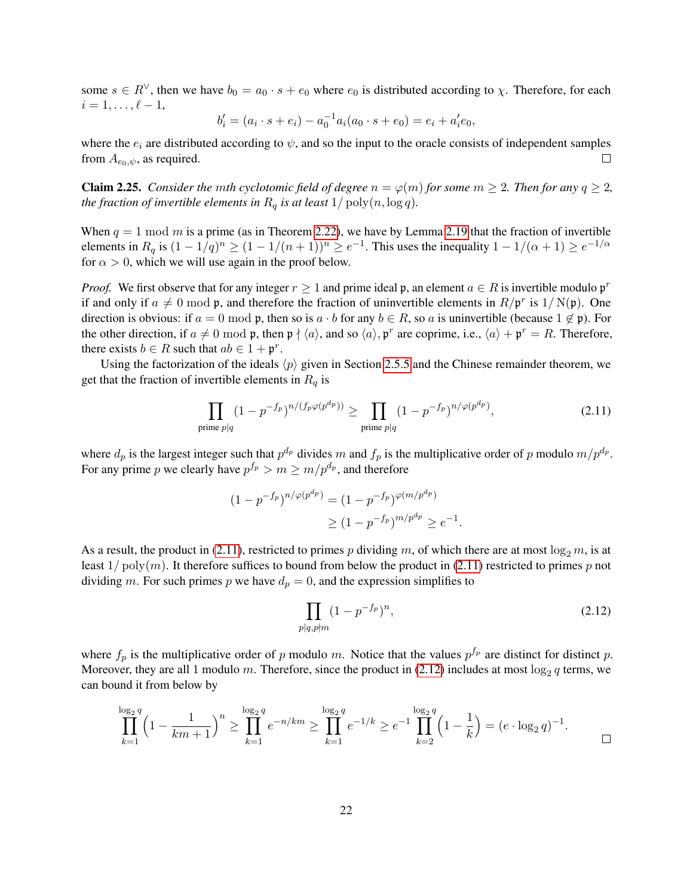some  $s \in R^{\vee}$ , then we have  $b_0 = a_0 \cdot s + e_0$  where  $e_0$  is distributed according to  $\chi$ . Therefore, for each  $i = 1, \ldots, \ell - 1,$ 

$$
b'_{i} = (a_{i} \cdot s + e_{i}) - a_{0}^{-1} a_{i} (a_{0} \cdot s + e_{0}) = e_{i} + a'_{i} e_{0},
$$

where the  $e_i$  are distributed according to  $\psi$ , and so the input to the oracle consists of independent samples from  $A_{e_0,\psi}$ , as required. П

<span id="page-21-0"></span>**Claim 2.25.** *Consider the mth cyclotomic field of degree*  $n = \varphi(m)$  *for some*  $m \geq 2$ *. Then for any*  $q \geq 2$ *, the fraction of invertible elements in*  $R_q$  *is at least*  $1/\text{poly}(n, \log q)$ *.* 

When  $q = 1 \text{ mod } m$  is a prime (as in Theorem [2.22\)](#page-19-1), we have by Lemma [2.19](#page-19-2) that the fraction of invertible elements in  $R_q$  is  $(1-1/q)^n \ge (1-1/(n+1))^n \ge e^{-1}$ . This uses the inequality  $1-1/(\alpha+1) \ge e^{-1/\alpha}$ for  $\alpha > 0$ , which we will use again in the proof below.

*Proof.* We first observe that for any integer  $r \geq 1$  and prime ideal p, an element  $a \in R$  is invertible modulo  $\mathfrak{p}^r$ if and only if  $a \neq 0 \text{ mod } \mathfrak{p}$ , and therefore the fraction of uninvertible elements in  $R/\mathfrak{p}^r$  is  $1/N(\mathfrak{p})$ . One direction is obvious: if  $a = 0 \text{ mod } \mathfrak{p}$ , then so is  $a \cdot b$  for any  $b \in R$ , so a is uninvertible (because  $1 \notin \mathfrak{p}$ ). For the other direction, if  $a \neq 0 \mod p$ , then  $p \nmid \langle a \rangle$ , and so  $\langle a \rangle$ ,  $p^r$  are coprime, i.e.,  $\langle a \rangle + p^r = R$ . Therefore, there exists  $b \in R$  such that  $ab \in 1 + \mathfrak{p}^r$ .

Using the factorization of the ideals  $\langle p \rangle$  given in Section [2.5.5](#page-18-0) and the Chinese remainder theorem, we get that the fraction of invertible elements in  $R_q$  is

<span id="page-21-1"></span>
$$
\prod_{\text{prime }p|q} (1 - p^{-f_p})^{n/(f_p \varphi(p^{dp}))} \ge \prod_{\text{prime }p|q} (1 - p^{-f_p})^{n/\varphi(p^{dp})},\tag{2.11}
$$

where  $d_p$  is the largest integer such that  $p^{d_p}$  divides m and  $f_p$  is the multiplicative order of p modulo  $m/p^{d_p}$ . For any prime p we clearly have  $p^{f_p} > m \ge m/p^{d_p}$ , and therefore

$$
(1 - p^{-f_p})^{n/\varphi(p^{d_p})} = (1 - p^{-f_p})^{\varphi(m/p^{d_p})}
$$
  
\n
$$
\ge (1 - p^{-f_p})^{m/p^{d_p}} \ge e^{-1}
$$

As a result, the product in [\(2.11\)](#page-21-1), restricted to primes p dividing m, of which there are at most  $\log_2 m$ , is at least  $1/poly(m)$ . It therefore suffices to bound from below the product in [\(2.11\)](#page-21-1) restricted to primes p not dividing m. For such primes p we have  $d_p = 0$ , and the expression simplifies to

$$
\prod_{p|q, p\nmid m} (1 - p^{-f_p})^n,\tag{2.12}
$$

<span id="page-21-2"></span>.

where  $f_p$  is the multiplicative order of p modulo m. Notice that the values  $p^{f_p}$  are distinct for distinct p. Moreover, they are all 1 modulo m. Therefore, since the product in  $(2.12)$  includes at most  $\log_2 q$  terms, we can bound it from below by

$$
\prod_{k=1}^{\log_2 q} \left(1 - \frac{1}{km+1}\right)^n \ge \prod_{k=1}^{\log_2 q} e^{-n/km} \ge \prod_{k=1}^{\log_2 q} e^{-1/k} \ge e^{-1} \prod_{k=2}^{\log_2 q} \left(1 - \frac{1}{k}\right) = (e \cdot \log_2 q)^{-1}.
$$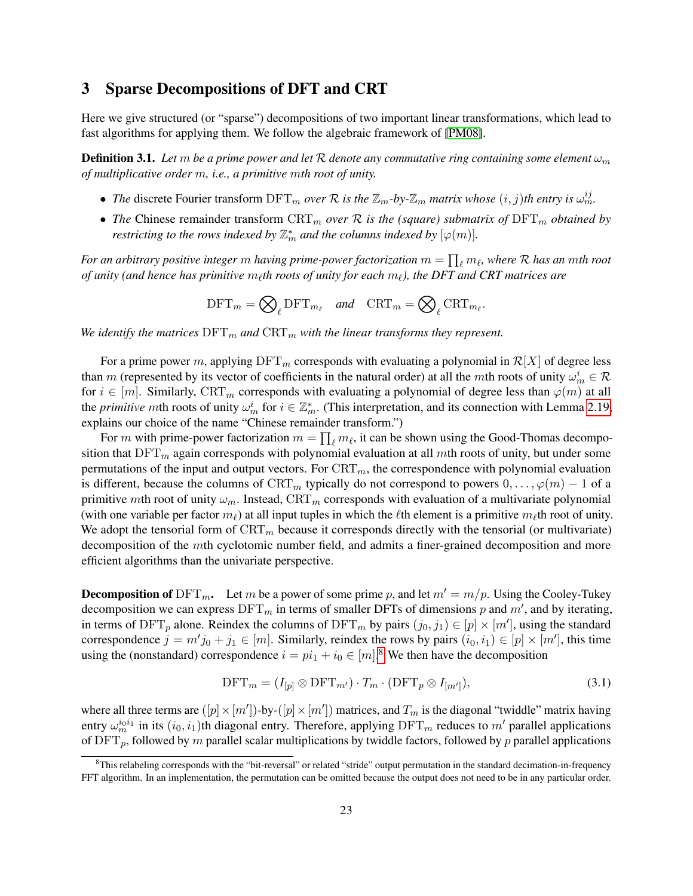# <span id="page-22-0"></span>3 Sparse Decompositions of DFT and CRT

Here we give structured (or "sparse") decompositions of two important linear transformations, which lead to fast algorithms for applying them. We follow the algebraic framework of [\[PM08\]](#page-49-14).

**Definition 3.1.** Let m be a prime power and let R denote any commutative ring containing some element  $\omega_m$ *of multiplicative order* m*, i.e., a primitive* m*th root of unity.*

- *The* discrete Fourier transform  $\text{DFT}_m$  *over* R *is the*  $\mathbb{Z}_m$ -by- $\mathbb{Z}_m$  *matrix whose*  $(i, j)$ *th entry is*  $\omega_m^{ij}$ .
- *The* Chinese remainder transform  $CRT_m$  *over* R is the (square) submatrix of  $DFT_m$  *obtained by restricting to the rows indexed by*  $\mathbb{Z}_m^*$  and the columns indexed by  $[\varphi(m)]$ .

For an arbitrary positive integer  $m$  having prime-power factorization  $m=\prod_{\ell}m_\ell,$  where  ${\cal R}$  has an  $m$ th root  $of$  unity (and hence has primitive  $m_\ell$ th roots of unity for each  $m_\ell$ ), the DFT and CRT matrices are

$$
\text{DFT}_m = \bigotimes_{\ell} \text{DFT}_{m_{\ell}} \quad \text{and} \quad \text{CRT}_m = \bigotimes_{\ell} \text{CRT}_{m_{\ell}}.
$$

*We identify the matrices*  $DFT_m$  *and*  $CRT_m$  *with the linear transforms they represent.* 

For a prime power m, applying  $\text{DFT}_m$  corresponds with evaluating a polynomial in  $\mathcal{R}[X]$  of degree less than m (represented by its vector of coefficients in the natural order) at all the mth roots of unity  $\omega_m^i \in \mathcal{R}$ for  $i \in [m]$ . Similarly, CRT<sub>m</sub> corresponds with evaluating a polynomial of degree less than  $\varphi(m)$  at all the *primitive* mth roots of unity  $\omega_m^i$  for  $i \in \mathbb{Z}_m^*$ . (This interpretation, and its connection with Lemma [2.19,](#page-19-2) explains our choice of the name "Chinese remainder transform.")

For m with prime-power factorization  $m = \prod_{\ell} m_{\ell}$ , it can be shown using the Good-Thomas decomposition that  $\text{DFT}_m$  again corresponds with polynomial evaluation at all mth roots of unity, but under some permutations of the input and output vectors. For  $CRT_m$ , the correspondence with polynomial evaluation is different, because the columns of  $\mathrm{CRT}_m$  typically do not correspond to powers  $0, \ldots, \varphi(m) - 1$  of a primitive mth root of unity  $\omega_m$ . Instead, CRT<sub>m</sub> corresponds with evaluation of a multivariate polynomial (with one variable per factor  $m_\ell$ ) at all input tuples in which the  $\ell$ th element is a primitive  $m_\ell$ th root of unity. We adopt the tensorial form of  $CRT_m$  because it corresponds directly with the tensorial (or multivariate) decomposition of the mth cyclotomic number field, and admits a finer-grained decomposition and more efficient algorithms than the univariate perspective.

**Decomposition of** DFT<sub>m</sub>. Let m be a power of some prime p, and let  $m' = m/p$ . Using the Cooley-Tukey decomposition we can express  $\text{DFT}_m$  in terms of smaller DFTs of dimensions p and  $m'$ , and by iterating, in terms of DFT<sub>p</sub> alone. Reindex the columns of DFT<sub>m</sub> by pairs  $(j_0, j_1) \in [p] \times [m']$ , using the standard correspondence  $j = m'j_0 + j_1 \in [m]$ . Similarly, reindex the rows by pairs  $(i_0, i_1) \in [p] \times [m']$ , this time using the (nonstandard) correspondence  $i = pi_1 + i_0 \in [m]$ .<sup>[8](#page-22-1)</sup> We then have the decomposition

<span id="page-22-2"></span>
$$
\text{DFT}_m = (I_{[p]} \otimes \text{DFT}_{m'}) \cdot T_m \cdot (\text{DFT}_p \otimes I_{[m']}),\tag{3.1}
$$

where all three terms are  $([p] \times [m'])$ -by- $([p] \times [m'])$  matrices, and  $T_m$  is the diagonal "twiddle" matrix having entry  $\omega_m^{i_0i_1}$  in its  $(i_0, i_1)$ th diagonal entry. Therefore, applying  $\text{DFT}_m$  reduces to  $m'$  parallel applications of  $\text{DFT}_p$ , followed by m parallel scalar multiplications by twiddle factors, followed by p parallel applications

<span id="page-22-1"></span> ${}^{8}$ This relabeling corresponds with the "bit-reversal" or related "stride" output permutation in the standard decimation-in-frequency FFT algorithm. In an implementation, the permutation can be omitted because the output does not need to be in any particular order.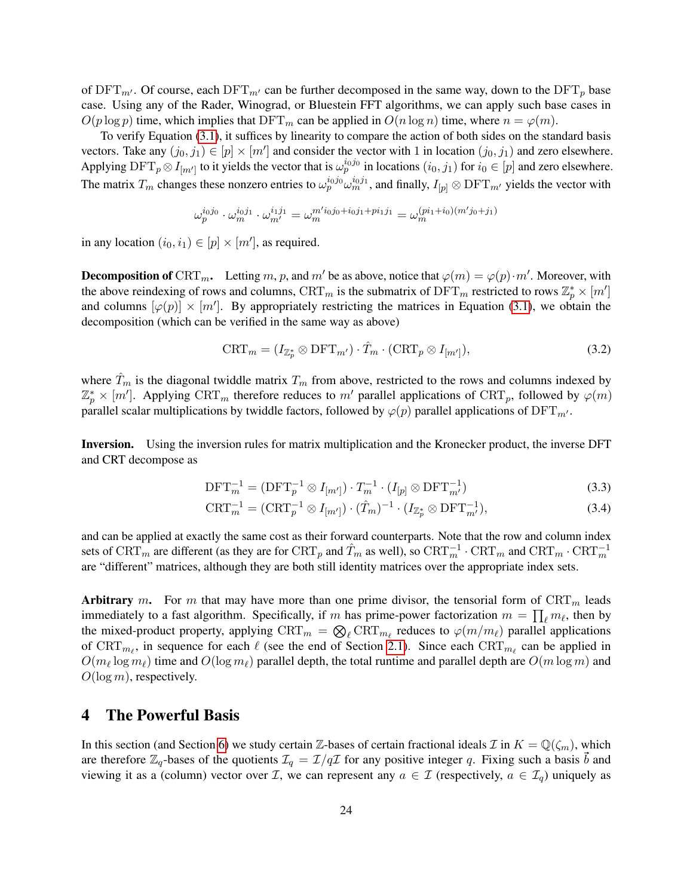of  $\text{DFT}_{m'}$ . Of course, each  $\text{DFT}_{m'}$  can be further decomposed in the same way, down to the  $\text{DFT}_p$  base case. Using any of the Rader, Winograd, or Bluestein FFT algorithms, we can apply such base cases in  $O(p \log p)$  time, which implies that  $\text{DFT}_m$  can be applied in  $O(n \log n)$  time, where  $n = \varphi(m)$ .

To verify Equation [\(3.1\)](#page-22-2), it suffices by linearity to compare the action of both sides on the standard basis vectors. Take any  $(j_0, j_1) \in [p] \times [m']$  and consider the vector with 1 in location  $(j_0, j_1)$  and zero elsewhere. Applying  $\text{DFT}_p \otimes I_{[m']}$  to it yields the vector that is  $\omega_p^{i_0 j_0}$  in locations  $(i_0, j_1)$  for  $i_0 \in [p]$  and zero elsewhere. The matrix  $T_m$  changes these nonzero entries to  $\omega_p^{i_0j_0}\omega_m^{i_0j_1}$ , and finally,  $I_{[p]}\otimes$  DFT $_m$ ' yields the vector with

$$
\omega_p^{i_0j_0} \cdot \omega_m^{i_0j_1} \cdot \omega_{m'}^{i_1j_1} = \omega_m^{m' i_0j_0 + i_0j_1 + pi_1j_1} = \omega_m^{(pi_1 + i_0)(m'j_0 + j_1)}
$$

in any location  $(i_0, i_1) \in [p] \times [m']$ , as required.

**Decomposition of** CRT<sub>m</sub>. Letting m, p, and m' be as above, notice that  $\varphi(m) = \varphi(p) \cdot m'$ . Moreover, with the above reindexing of rows and columns,  $\text{CRT}_m$  is the submatrix of  $\text{DFT}_m$  restricted to rows  $\mathbb{Z}_p^* \times [m']$ and columns  $[\varphi(p)] \times [m']$ . By appropriately restricting the matrices in Equation [\(3.1\)](#page-22-2), we obtain the decomposition (which can be verified in the same way as above)

<span id="page-23-1"></span>
$$
\text{CRT}_m = (I_{\mathbb{Z}_p^*} \otimes \text{DFT}_{m'}) \cdot \hat{T}_m \cdot (\text{CRT}_p \otimes I_{[m']}),\tag{3.2}
$$

where  $\hat{T}_m$  is the diagonal twiddle matrix  $T_m$  from above, restricted to the rows and columns indexed by  $\mathbb{Z}_p^* \times [m']$ . Applying CRT<sub>m</sub> therefore reduces to m' parallel applications of CRT<sub>p</sub>, followed by  $\varphi(m)$ parallel scalar multiplications by twiddle factors, followed by  $\varphi(p)$  parallel applications of DFT<sub>m'</sub>.

Inversion. Using the inversion rules for matrix multiplication and the Kronecker product, the inverse DFT and CRT decompose as

$$
DFT_m^{-1} = (DFT_p^{-1} \otimes I_{[m']}) \cdot T_m^{-1} \cdot (I_{[p]} \otimes DFT_{m'}^{-1})
$$
\n(3.3)

$$
\text{CRT}_{m}^{-1} = (\text{CRT}_{p}^{-1} \otimes I_{[m']} ) \cdot (\hat{T}_{m})^{-1} \cdot (I_{\mathbb{Z}_{p}^{*}} \otimes \text{DFT}_{m'}^{-1}), \tag{3.4}
$$

and can be applied at exactly the same cost as their forward counterparts. Note that the row and column index sets of  $\mathrm{CRT}_m$  are different (as they are for  $\mathrm{CRT}_p$  and  $\hat{T}_m$  as well), so  $\mathrm{CRT}_m^{-1} \cdot \mathrm{CRT}_m$  and  $\mathrm{CRT}_m \cdot \mathrm{CRT}_m^{-1}$ are "different" matrices, although they are both still identity matrices over the appropriate index sets.

Arbitrary m. For m that may have more than one prime divisor, the tensorial form of  $CRT_m$  leads immediately to a fast algorithm. Specifically, if m has prime-power factorization  $m = \prod_{\ell} m_{\ell}$ , then by the mixed-product property, applying  $\mathrm{CRT}_m = \bigotimes_{\ell} \mathrm{CRT}_{m_{\ell}}$  reduces to  $\varphi(m/m_{\ell})$  parallel applications of  $CRT_{m_{\ell}}$ , in sequence for each  $\ell$  (see the end of Section [2.1\)](#page-7-1). Since each  $CRT_{m_{\ell}}$  can be applied in  $O(m_\ell \log m_\ell)$  time and  $O(\log m_\ell)$  parallel depth, the total runtime and parallel depth are  $O(m \log m)$  and  $O(\log m)$ , respectively.

## <span id="page-23-0"></span>4 The Powerful Basis

In this section (and Section [6\)](#page-27-0) we study certain Z-bases of certain fractional ideals  $\mathcal I$  in  $K = \mathbb Q(\zeta_m)$ , which are therefore  $\mathbb{Z}_q$ -bases of the quotients  $\mathcal{I}_q = \mathcal{I}/q\mathcal{I}$  for any positive integer q. Fixing such a basis b and viewing it as a (column) vector over *I*, we can represent any  $a \in I$  (respectively,  $a \in I_q$ ) uniquely as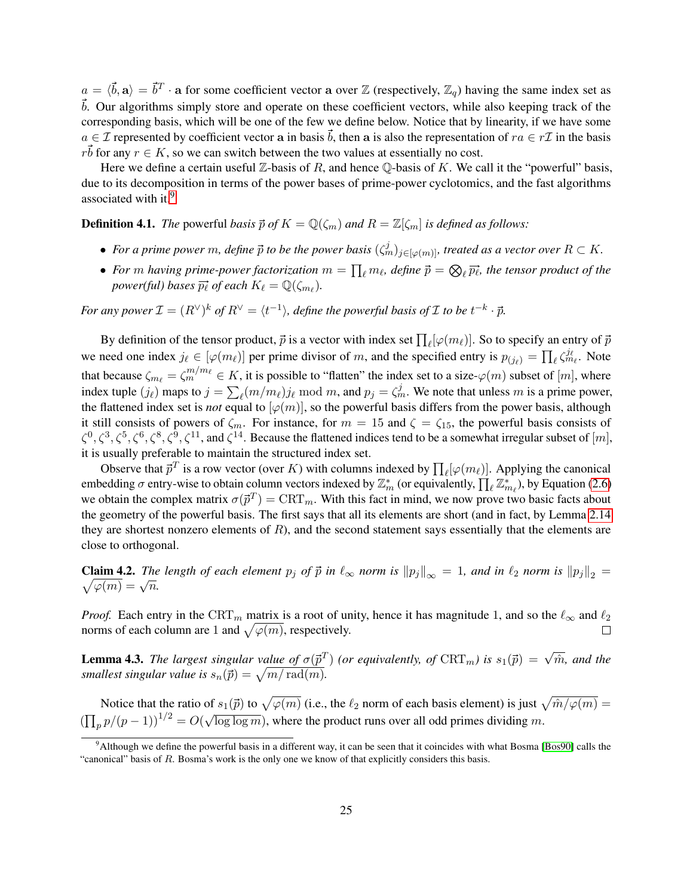$a = \langle \vec{b}, \mathbf{a} \rangle = \vec{b}^T \cdot \mathbf{a}$  for some coefficient vector a over Z (respectively,  $\mathbb{Z}_q$ ) having the same index set as  $\vec{b}$ . Our algorithms simply store and operate on these coefficient vectors, while also keeping track of the corresponding basis, which will be one of the few we define below. Notice that by linearity, if we have some  $a \in \mathcal{I}$  represented by coefficient vector a in basis  $\vec{b}$ , then a is also the representation of  $ra \in r\mathcal{I}$  in the basis rb for any  $r \in K$ , so we can switch between the two values at essentially no cost.

Here we define a certain useful  $\mathbb Z$ -basis of R, and hence  $\mathbb Q$ -basis of K. We call it the "powerful" basis, due to its decomposition in terms of the power bases of prime-power cyclotomics, and the fast algorithms associated with it.<sup>[9](#page-24-0)</sup>

**Definition 4.1.** *The* powerful *basis*  $\vec{p}$  *of*  $K = \mathbb{Q}(\zeta_m)$  *and*  $R = \mathbb{Z}[\zeta_m]$  *is defined as follows:* 

- For a prime power m, define  $\vec{p}$  to be the power basis  $(\zeta_m^j)_{j\in[\varphi(m)]}$ , treated as a vector over  $R\subset K$ .
- For  $m$  having prime-power factorization  $m = \prod_{\ell} m_{\ell}$ , define  $\vec{p} = \bigotimes_{\ell} \vec{p_{\ell}}$ , the tensor product of the *power(ful) bases*  $\overrightarrow{p_{\ell}}$  *of each*  $K_{\ell} = \mathbb{Q}(\zeta_{m_{\ell}})$ *.*

*For any power*  $\mathcal{I} = (R^{\vee})^k$  *of*  $R^{\vee} = \langle t^{-1} \rangle$ *, define the powerful basis of*  $\mathcal I$  *to be*  $t^{-k} \cdot \vec{p}$ *.* 

By definition of the tensor product,  $\vec{p}$  is a vector with index set  $\prod_{\ell} [\varphi(m_\ell)]$ . So to specify an entry of  $\vec{p}$ we need one index  $j_\ell \in [\varphi(m_\ell)]$  per prime divisor of m, and the specified entry is  $p_{(j_\ell)} = \prod_\ell \zeta_{m_\ell}^{j_\ell}$ . Note that because  $\zeta_{m_\ell} = \zeta_m^{m/m_\ell} \in K$ , it is possible to "flatten" the index set to a size- $\varphi(m)$  subset of  $[m]$ , where index tuple  $(j_\ell)$  maps to  $j = \sum_\ell (m/m_\ell) j_\ell \text{ mod } m$ , and  $p_j = \zeta_m^j$ . We note that unless m is a prime power, the flattened index set is *not* equal to  $[\varphi(m)]$ , so the powerful basis differs from the power basis, although it still consists of powers of  $\zeta_m$ . For instance, for  $m = 15$  and  $\zeta = \zeta_{15}$ , the powerful basis consists of  $\zeta^0, \zeta^3, \zeta^5, \zeta^6, \zeta^8, \zeta^9, \zeta^{11}$ , and  $\zeta^{14}$ . Because the flattened indices tend to be a somewhat irregular subset of  $[m]$ , it is usually preferable to maintain the structured index set.

Observe that  $\vec{p}^T$  is a row vector (over K) with columns indexed by  $\prod_{\ell} [\varphi(m_{\ell})]$ . Applying the canonical embedding  $\sigma$  entry-wise to obtain column vectors indexed by  $\mathbb{Z}_m^*$  (or equivalently,  $\prod_{\ell} \mathbb{Z}_{m_{\ell}}^*$ ), by Equation [\(2.6\)](#page-15-2) we obtain the complex matrix  $\sigma(\vec{p}^T) = \text{CRT}_m$ . With this fact in mind, we now prove two basic facts about the geometry of the powerful basis. The first says that all its elements are short (and in fact, by Lemma [2.14](#page-16-6) they are shortest nonzero elements of  $R$ ), and the second statement says essentially that the elements are close to orthogonal.

<span id="page-24-2"></span>**Claim 4.2.** The length of each element  $p_j$  of  $\vec{p}$  in  $\ell_{\infty}$  norm is  $||p_j||_{\infty} = 1$ , and in  $\ell_2$  norm is  $||p_j||_2 = 1$ Claim 4.2. The<br> $\sqrt{\varphi(m)} = \sqrt{n}$ .

*Proof.* Each entry in the CRT<sub>m</sub> matrix is a root of unity, hence it has magnitude 1, and so the  $\ell_{\infty}$  and  $\ell_2$ norms of each column are 1 and  $\sqrt{\varphi(m)}$ , respectively.

<span id="page-24-1"></span>**Lemma 4.3.** The largest singular value of  $\sigma(\vec{p}^T)$  (or equivalently, of  $\text{CRT}_m$ ) is  $s_1(\vec{p}) = \sqrt{\hat{m}}$ , and the *smallest singular value is*  $s_n(\vec{p}) = \sqrt{m/\operatorname{rad}(m)}$ .

Notice that the ratio of  $s_1(\vec{p})$  to  $\sqrt{\varphi(m)}$  (i.e., the  $\ell_2$  norm of each basis element) is just  $\sqrt{\hat{m}/\varphi(m)} =$  $(\prod_p p/(p-1))^{1/2} = O(\sqrt{\log \log m})$ , where the product runs over all odd primes dividing m.

<span id="page-24-0"></span><sup>&</sup>lt;sup>9</sup>Although we define the powerful basis in a different way, it can be seen that it coincides with what Bosma [\[Bos90\]](#page-47-10) calls the "canonical" basis of R. Bosma's work is the only one we know of that explicitly considers this basis.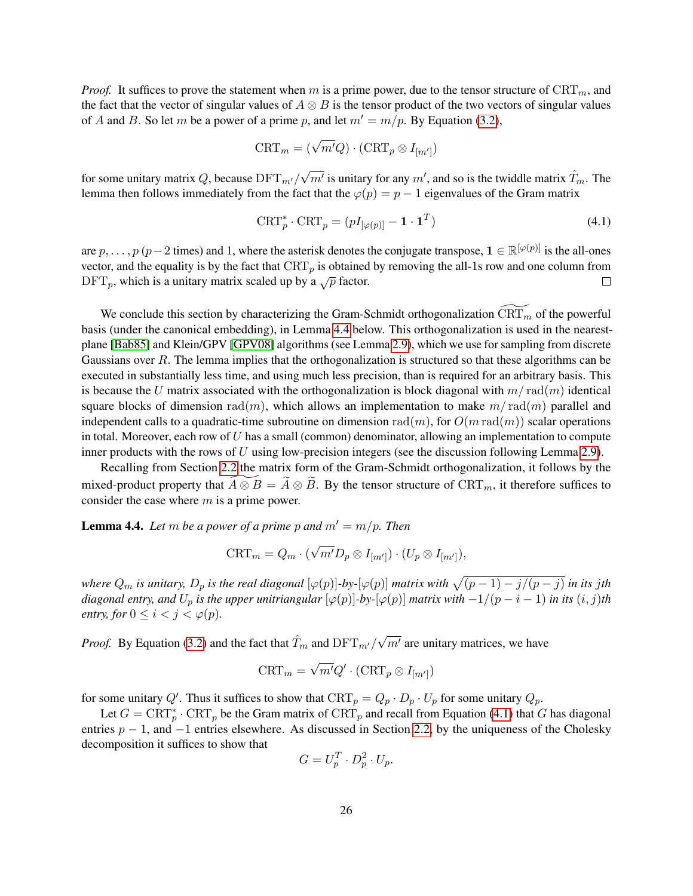*Proof.* It suffices to prove the statement when m is a prime power, due to the tensor structure of  $CRT_m$ , and the fact that the vector of singular values of  $A \otimes B$  is the tensor product of the two vectors of singular values of A and B. So let m be a power of a prime p, and let  $m' = m/p$ . By Equation [\(3.2\)](#page-23-1),

$$
\text{CRT}_m = (\sqrt{m'}Q) \cdot (\text{CRT}_p \otimes I_{[m']})
$$

for some unitary matrix  $Q$ , because  $\text{DFT}_{m'}/$ √  $\overline{m'}$  is unitary for any  $m'$ , and so is the twiddle matrix  $\hat{T}_m$ . The lemma then follows immediately from the fact that the  $\varphi(p) = p - 1$  eigenvalues of the Gram matrix

<span id="page-25-1"></span>
$$
\text{CRT}_{p}^{*} \cdot \text{CRT}_{p} = (pI_{[\varphi(p)]} - \mathbf{1} \cdot \mathbf{1}^{T})
$$
\n(4.1)

are  $p, \ldots, p$  ( $p-2$  times) and 1, where the asterisk denotes the conjugate transpose,  $\mathbf{1} \in \mathbb{R}^{[\varphi(p)]}$  is the all-ones vector, and the equality is by the fact that  $CRT_p$  is obtained by removing the all-1s row and one column from  $\text{DFT}_p$ , which is a unitary matrix scaled up by a  $\sqrt{p}$  factor.  $\Box$ 

We conclude this section by characterizing the Gram-Schmidt orthogonalization  $\widehat{\text{CRT}}_m$  of the powerful basis (under the canonical embedding), in Lemma [4.4](#page-25-0) below. This orthogonalization is used in the nearestplane [\[Bab85\]](#page-47-7) and Klein/GPV [\[GPV08\]](#page-48-11) algorithms (see Lemma [2.9\)](#page-12-0), which we use for sampling from discrete Gaussians over R. The lemma implies that the orthogonalization is structured so that these algorithms can be executed in substantially less time, and using much less precision, than is required for an arbitrary basis. This is because the U matrix associated with the orthogonalization is block diagonal with  $m/\text{rad}(m)$  identical square blocks of dimension rad(m), which allows an implementation to make  $m/\text{rad}(m)$  parallel and independent calls to a quadratic-time subroutine on dimension rad $(m)$ , for  $O(m \text{ rad}(m))$  scalar operations in total. Moreover, each row of U has a small (common) denominator, allowing an implementation to compute inner products with the rows of  $U$  using low-precision integers (see the discussion following Lemma [2.9\)](#page-12-0).

Recalling from Section [2.2](#page-8-1) the matrix form of the Gram-Schmidt orthogonalization, it follows by the mixed-product property that  $\widetilde{A \otimes B} = \widetilde{A} \otimes \widetilde{B}$ . By the tensor structure of  $CRT_m$ , it therefore suffices to consider the case where  $m$  is a prime power.

<span id="page-25-0"></span>**Lemma 4.4.** Let m be a power of a prime p and  $m' = m/p$ . Then

$$
\text{CRT}_m = Q_m \cdot (\sqrt{m'} D_p \otimes I_{[m']}) \cdot (U_p \otimes I_{[m']})
$$

where  $Q_m$  is unitary,  $D_p$  is the real diagonal  $[\varphi(p)]$ -by- $[\varphi(p)]$  matrix with  $\sqrt{(p-1)-j/(p-j)}$  in its  $j$ th *diagonal entry, and*  $U_p$  *is the upper unitriangular*  $[\varphi(p)]$ *-by-* $[\varphi(p)]$  *matrix with*  $-1/(p-i-1)$  *in its*  $(i, j)$ *th entry, for*  $0 \leq i < j < \varphi(p)$ *.* 

*Proof.* By Equation [\(3.2\)](#page-23-1) and the fact that  $\hat{T}_m$  and  $\text{DFT}_{m'}/\sqrt{ }$  $\overline{m'}$  are unitary matrices, we have

$$
\text{CRT}_m = \sqrt{m'}Q' \cdot (\text{CRT}_p \otimes I_{[m']})
$$

for some unitary Q'. Thus it suffices to show that  $\text{CRT}_p = Q_p \cdot D_p \cdot U_p$  for some unitary  $Q_p$ .

Let  $G = \text{CRT}_{p}^{*} \cdot \text{CRT}_{p}$  be the Gram matrix of  $\text{CRT}_{p}$  and recall from Equation [\(4.1\)](#page-25-1) that G has diagonal entries  $p - 1$ , and  $-1$  entries elsewhere. As discussed in Section [2.2,](#page-8-1) by the uniqueness of the Cholesky decomposition it suffices to show that

$$
G = U_p^T \cdot D_p^2 \cdot U_p.
$$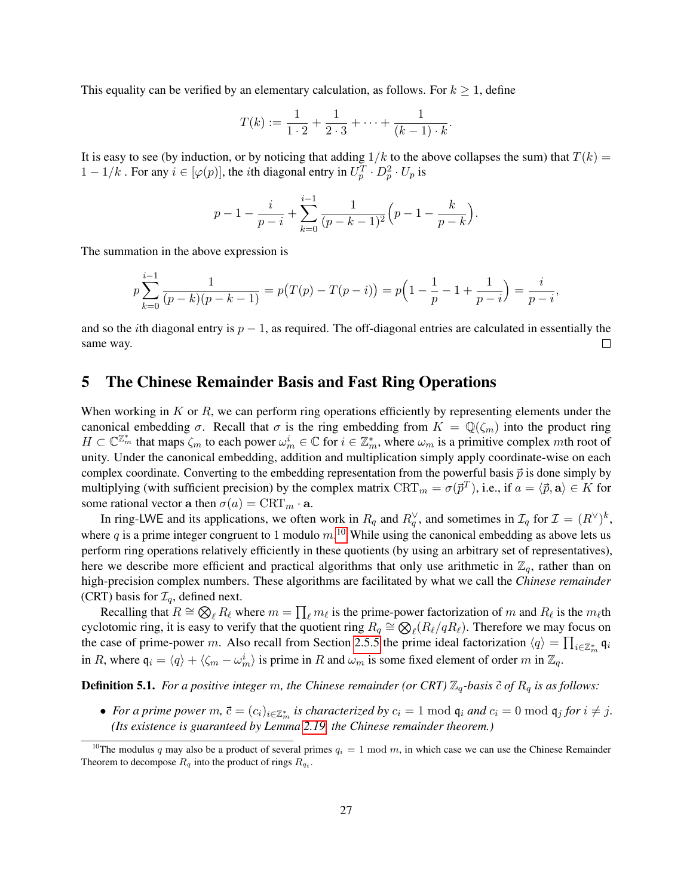This equality can be verified by an elementary calculation, as follows. For  $k \geq 1$ , define

$$
T(k) := \frac{1}{1 \cdot 2} + \frac{1}{2 \cdot 3} + \dots + \frac{1}{(k-1) \cdot k}.
$$

It is easy to see (by induction, or by noticing that adding  $1/k$  to the above collapses the sum) that  $T(k)$  =  $1 - 1/k$ . For any  $i \in [\varphi(p)]$ , the *i*th diagonal entry in  $U_p^T \cdot D_p^2 \cdot U_p$  is

$$
p-1-\frac{i}{p-i}+\sum_{k=0}^{i-1}\frac{1}{(p-k-1)^2}\Big(p-1-\frac{k}{p-k}\Big).
$$

The summation in the above expression is

$$
p\sum_{k=0}^{i-1} \frac{1}{(p-k)(p-k-1)} = p(T(p) - T(p-i)) = p\left(1 - \frac{1}{p} - 1 + \frac{1}{p-i}\right) = \frac{i}{p-i},
$$

and so the *i*th diagonal entry is  $p - 1$ , as required. The off-diagonal entries are calculated in essentially the same way.  $\Box$ 

## <span id="page-26-0"></span>5 The Chinese Remainder Basis and Fast Ring Operations

When working in K or R, we can perform ring operations efficiently by representing elements under the canonical embedding  $\sigma$ . Recall that  $\sigma$  is the ring embedding from  $K = \mathbb{Q}(\zeta_m)$  into the product ring  $H \subset \mathbb{C}^{\mathbb{Z}_m^*}$  that maps  $\zeta_m$  to each power  $\omega_m^i \in \mathbb{C}$  for  $i \in \mathbb{Z}_m^*$ , where  $\omega_m$  is a primitive complex mth root of unity. Under the canonical embedding, addition and multiplication simply apply coordinate-wise on each complex coordinate. Converting to the embedding representation from the powerful basis  $\vec{p}$  is done simply by multiplying (with sufficient precision) by the complex matrix  $\mathrm{CRT}_m = \sigma(\vec{p}^T)$ , i.e., if  $a = \langle \vec{p}, \mathbf{a} \rangle \in K$  for some rational vector a then  $\sigma(a) = \text{CRT}_m \cdot \mathbf{a}$ .

In ring-LWE and its applications, we often work in  $R_q$  and  $R_q^{\vee}$ , and sometimes in  $\mathcal{I}_q$  for  $\mathcal{I} = (R^{\vee})^k$ , where q is a prime integer congruent to 1 modulo  $m$ .<sup>[10](#page-26-1)</sup> While using the canonical embedding as above lets us perform ring operations relatively efficiently in these quotients (by using an arbitrary set of representatives), here we describe more efficient and practical algorithms that only use arithmetic in  $\mathbb{Z}_q$ , rather than on high-precision complex numbers. These algorithms are facilitated by what we call the *Chinese remainder* (CRT) basis for  $\mathcal{I}_q$ , defined next.

Recalling that  $R \cong \bigotimes_{\ell} R_{\ell}$  where  $m = \prod_{\ell} m_{\ell}$  is the prime-power factorization of m and  $R_{\ell}$  is the  $m_{\ell}$ th cyclotomic ring, it is easy to verify that the quotient ring  $R_q \cong \bigotimes_{\ell} (R_{\ell}/qR_{\ell})$ . Therefore we may focus on the case of prime-power m. Also recall from Section [2.5.5](#page-18-0) the prime ideal factorization  $\langle q \rangle = \prod_{i \in \mathbb{Z}_m^*} q_i$ in R, where  $\mathfrak{q}_i = \langle q \rangle + \langle \zeta_m - \omega_m^i \rangle$  is prime in R and  $\omega_m$  is some fixed element of order m in  $\mathbb{Z}_q$ .

**Definition 5.1.** *For a positive integer* m, the Chinese remainder (or CRT)  $\mathbb{Z}_q$ -basis  $\vec{c}$  of  $R_q$  is as follows:

• *For a prime power*  $m, \vec{c} = (c_i)_{i \in \mathbb{Z}_m^*}$  *is characterized by*  $c_i = 1 \bmod q_i$  *and*  $c_i = 0 \bmod q_j$  *for*  $i \neq j$ *. (Its existence is guaranteed by Lemma [2.19,](#page-19-2) the Chinese remainder theorem.)*

<span id="page-26-1"></span><sup>&</sup>lt;sup>10</sup>The modulus q may also be a product of several primes  $q_i = 1 \text{ mod } m$ , in which case we can use the Chinese Remainder Theorem to decompose  $R_q$  into the product of rings  $R_{q_i}$ .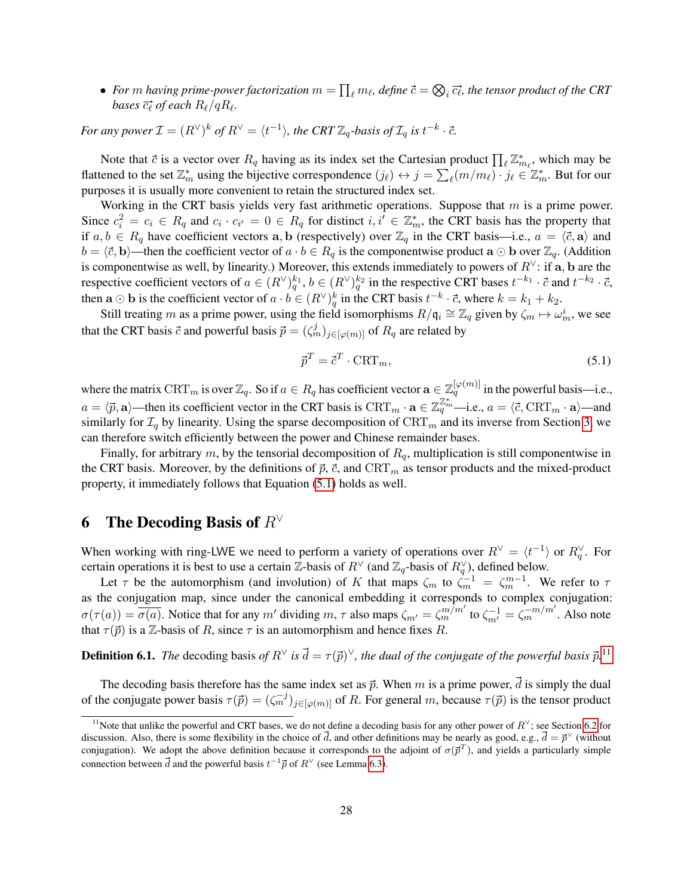$\bullet$  *For*  $m$  *having prime-power factorization*  $m = \prod_{\ell} m_{\ell}$ *, define*  $\vec{c} = \bigotimes_i \vec{c_\ell}$ *, the tensor product of the CRT* bases  $\overrightarrow{c_\ell}$  of each  $R_\ell/qR_\ell.$ 

*For any power*  $\mathcal{I} = (R^{\vee})^k$  *of*  $R^{\vee} = \langle t^{-1} \rangle$ *, the CRT*  $\mathbb{Z}_q$ *-basis of*  $\mathcal{I}_q$  *is*  $t^{-k} \cdot \vec{c}$ *.* 

Note that  $\vec{c}$  is a vector over  $R_q$  having as its index set the Cartesian product  $\prod_{\ell} \mathbb{Z}_{m_{\ell}}^*$ , which may be flattened to the set  $\mathbb{Z}_m^*$  using the bijective correspondence  $(j_\ell) \leftrightarrow j = \sum_\ell (m/m_\ell) \cdot j_\ell \in \mathbb{Z}_m^*$ . But for our purposes it is usually more convenient to retain the structured index set.

Working in the CRT basis yields very fast arithmetic operations. Suppose that  $m$  is a prime power. Since  $c_i^2 = c_i \in R_q$  and  $c_i \cdot c_{i'} = 0 \in R_q$  for distinct  $i, i' \in \mathbb{Z}_m^*$ , the CRT basis has the property that if  $a, b \in R_q$  have coefficient vectors  $a, b$  (respectively) over  $\mathbb{Z}_q$  in the CRT basis—i.e.,  $a = \langle \vec{c}, \mathbf{a} \rangle$  and  $b = \langle \vec{c}, \mathbf{b} \rangle$ —then the coefficient vector of  $a \cdot b \in R_q$  is the componentwise product  $\mathbf{a} \odot \mathbf{b}$  over  $\mathbb{Z}_q$ . (Addition is componentwise as well, by linearity.) Moreover, this extends immediately to powers of  $R^{\vee}$ : if a, b are the respective coefficient vectors of  $a \in (R^{\vee})_q^{k_1}$ ,  $b \in (R^{\vee})_q^{k_2}$  in the respective CRT bases  $t^{-k_1} \cdot \vec{c}$  and  $t^{-k_2} \cdot \vec{c}$ , then  $\mathbf{a} \odot \mathbf{b}$  is the coefficient vector of  $a \cdot b \in (R^{\vee})^k_q$  in the CRT basis  $t^{-k} \cdot \vec{c}$ , where  $k = k_1 + k_2$ .

Still treating m as a prime power, using the field isomorphisms  $R/\mathfrak{q}_i \cong \mathbb{Z}_q$  given by  $\zeta_m \mapsto \omega_m^i$ , we see that the CRT basis  $\vec{c}$  and powerful basis  $\vec{p} = (\zeta_m^j)_{j \in [\varphi(m)]}$  of  $R_q$  are related by

<span id="page-27-1"></span>
$$
\vec{p}^T = \vec{c}^T \cdot \text{CRT}_m,\tag{5.1}
$$

where the matrix  $CRT_m$  is over  $\mathbb{Z}_q$ . So if  $a \in R_q$  has coefficient vector  $\mathbf{a} \in \mathbb{Z}_q^{[\varphi(m)]}$  in the powerful basis—i.e.,  $a = \langle \vec{p}, \mathbf{a} \rangle$ —then its coefficient vector in the CRT basis is CRT<sub>m</sub> ·  $\mathbf{a} \in \mathbb{Z}_q^{\mathbb{Z}_m^*}$ —i.e.,  $a = \langle \vec{c}, \text{CRT}_m \cdot \mathbf{a} \rangle$ —and similarly for  $\mathcal{I}_q$  by linearity. Using the sparse decomposition of  $\mathrm{CRT}_m$  and its inverse from Section [3,](#page-22-0) we can therefore switch efficiently between the power and Chinese remainder bases.

Finally, for arbitrary m, by the tensorial decomposition of  $R_q$ , multiplication is still componentwise in the CRT basis. Moreover, by the definitions of  $\vec{p}$ ,  $\vec{c}$ , and  $CRT_m$  as tensor products and the mixed-product property, it immediately follows that Equation [\(5.1\)](#page-27-1) holds as well.

# <span id="page-27-0"></span>6 The Decoding Basis of  $R<sup>∨</sup>$

When working with ring-LWE we need to perform a variety of operations over  $R^{\vee} = \langle t^{-1} \rangle$  or  $R_q^{\vee}$ . For certain operations it is best to use a certain  $\mathbb{Z}$ -basis of  $R^{\vee}$  (and  $\mathbb{Z}_q$ -basis of  $R_q^{\vee}$ ), defined below.

Let  $\tau$  be the automorphism (and involution) of K that maps  $\zeta_m$  to  $\dot{\zeta}_m^{-1} = \zeta_m^{m-1}$ . We refer to  $\tau$ as the conjugation map, since under the canonical embedding it corresponds to complex conjugation:  $\sigma(\tau(a)) = \sigma(a)$ . Notice that for any m' dividing m,  $\tau$  also maps  $\zeta_{m'} = \zeta_m^{m/m'}$  to  $\zeta_{m'}^{-1} = \zeta_m^{-m/m'}$ . Also note that  $\tau(\vec{p})$  is a Z-basis of R, since  $\tau$  is an automorphism and hence fixes R.

**Definition 6.1.** The decoding basis of  $R^{\vee}$  is  $\vec{d} = \tau(\vec{p})^{\vee}$ , the dual of the conjugate of the powerful basis  $\vec{p}$ .<sup>[11](#page-27-2)</sup>

The decoding basis therefore has the same index set as  $\vec{p}$ . When m is a prime power,  $\vec{d}$  is simply the dual of the conjugate power basis  $\tau(\vec{p}) = (\zeta_m^{-j})_{j \in [\varphi(m)]}$  of R. For general m, because  $\tau(\vec{p})$  is the tensor product

<span id="page-27-2"></span><sup>&</sup>lt;sup>11</sup>Note that unlike the powerful and CRT bases, we do not define a decoding basis for any other power of  $R^{\vee}$ ; see Section [6.2](#page-29-0) for discussion. Also, there is some flexibility in the choice of  $\vec{d}$ , and other definitions may be nearly as good, e.g.,  $\vec{d} = \vec{p}^{\vee}$  (without conjugation). We adopt the above definition because it corresponds to the adjoint of  $\sigma(\vec{p}^T)$ , and yields a particularly simple connection between  $\vec{d}$  and the powerful basis  $t^{-1}\vec{p}$  of  $R^{\vee}$  (see Lemma [6.3\)](#page-28-0).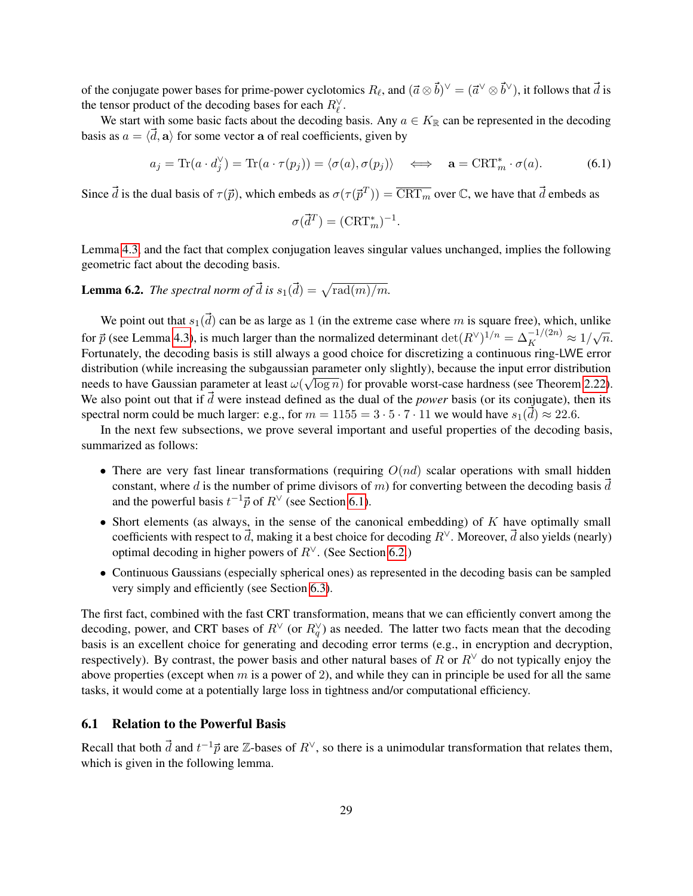of the conjugate power bases for prime-power cyclotomics  $R_\ell$ , and  $(\vec{a} \otimes \vec{b})^\vee = (\vec{a}^\vee \otimes \vec{b}^\vee)$ , it follows that  $\vec{d}$  is the tensor product of the decoding bases for each  $R_{\ell}^{\vee}$ .

We start with some basic facts about the decoding basis. Any  $a \in K_{\mathbb{R}}$  can be represented in the decoding basis as  $a = \langle \vec{d}, \mathbf{a} \rangle$  for some vector a of real coefficients, given by

$$
a_j = \text{Tr}(a \cdot d_j^{\vee}) = \text{Tr}(a \cdot \tau(p_j)) = \langle \sigma(a), \sigma(p_j) \rangle \iff \mathbf{a} = \text{CRT}_m^* \cdot \sigma(a). \tag{6.1}
$$

Since  $\vec{d}$  is the dual basis of  $\tau(\vec{p})$ , which embeds as  $\sigma(\tau(\vec{p}^T)) = \overline{\text{CRT}_m}$  over  $\mathbb{C}$ , we have that  $\vec{d}$  embeds as

<span id="page-28-2"></span>
$$
\sigma(\vec{d}^T) = (\text{CRT}_m^*)^{-1}.
$$

Lemma [4.3,](#page-24-1) and the fact that complex conjugation leaves singular values unchanged, implies the following geometric fact about the decoding basis.

<span id="page-28-3"></span>**Lemma 6.2.** *The spectral norm of*  $\vec{d}$  *is*  $s_1(\vec{d}) = \sqrt{\text{rad}(m)/m}$ .

We point out that  $s_1(\vec{d})$  can be as large as 1 (in the extreme case where m is square free), which, unlike for  $\vec{p}$  (see Lemma [4.3\)](#page-24-1), is much larger than the normalized determinant  $\det(R^{\vee})^{1/n} = \Delta_K^{-1/(2n)} \approx 1/\sqrt{n}$ . Fortunately, the decoding basis is still always a good choice for discretizing a continuous ring-LWE error distribution (while increasing the subgaussian parameter only slightly), because the input error distribution needs to have Gaussian parameter at least  $\omega(\sqrt{\log n})$  for provable worst-case hardness (see Theorem [2.22\)](#page-19-1). We also point out that if  $\vec{d}$  were instead defined as the dual of the *power* basis (or its conjugate), then its spectral norm could be much larger: e.g., for  $m = 1155 = 3 \cdot 5 \cdot 7 \cdot 11$  we would have  $s_1(\vec{d}) \approx 22.6$ .

In the next few subsections, we prove several important and useful properties of the decoding basis, summarized as follows:

- There are very fast linear transformations (requiring  $O(nd)$  scalar operations with small hidden constant, where d is the number of prime divisors of m) for converting between the decoding basis  $\vec{d}$ and the powerful basis  $t^{-1} \vec{p}$  of  $R^{\vee}$  (see Section [6.1\)](#page-28-1).
- Short elements (as always, in the sense of the canonical embedding) of  $K$  have optimally small coefficients with respect to  $\vec{d}$ , making it a best choice for decoding  $R^{\vee}$ . Moreover,  $\vec{d}$  also yields (nearly) optimal decoding in higher powers of  $R^{\vee}$ . (See Section [6.2.](#page-29-0))
- Continuous Gaussians (especially spherical ones) as represented in the decoding basis can be sampled very simply and efficiently (see Section [6.3\)](#page-32-0).

The first fact, combined with the fast CRT transformation, means that we can efficiently convert among the decoding, power, and CRT bases of  $R^{\vee}$  (or  $R_q^{\vee}$ ) as needed. The latter two facts mean that the decoding basis is an excellent choice for generating and decoding error terms (e.g., in encryption and decryption, respectively). By contrast, the power basis and other natural bases of R or  $R<sup>∨</sup>$  do not typically enjoy the above properties (except when  $m$  is a power of 2), and while they can in principle be used for all the same tasks, it would come at a potentially large loss in tightness and/or computational efficiency.

### <span id="page-28-1"></span>6.1 Relation to the Powerful Basis

<span id="page-28-0"></span>Recall that both  $\vec{d}$  and  $t^{-1}\vec{p}$  are  $\mathbb{Z}$ -bases of  $R^{\vee}$ , so there is a unimodular transformation that relates them, which is given in the following lemma.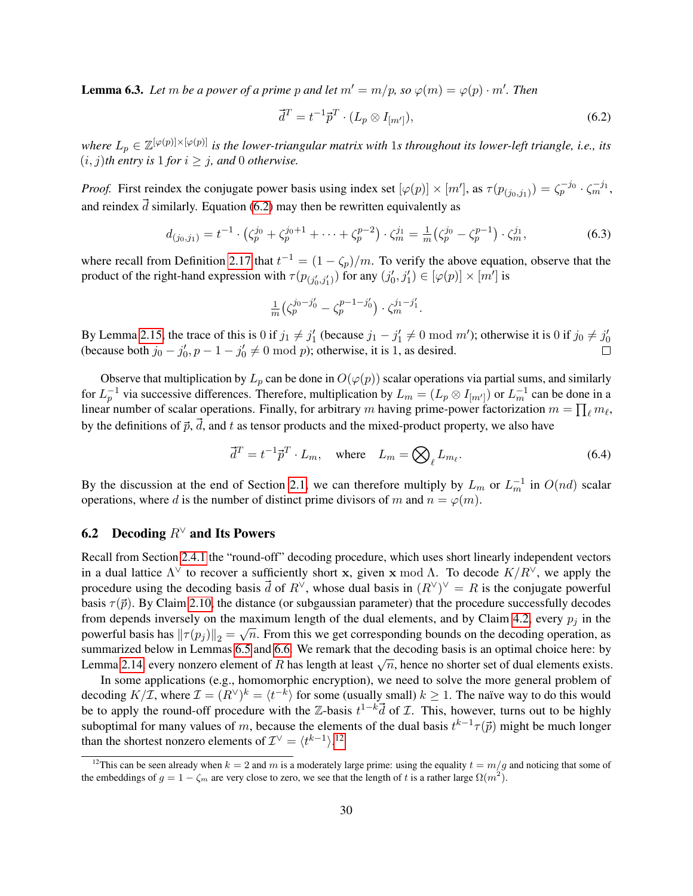**Lemma 6.3.** Let m be a power of a prime p and let  $m' = m/p$ , so  $\varphi(m) = \varphi(p) \cdot m'$ . Then

<span id="page-29-3"></span><span id="page-29-1"></span>
$$
\vec{d}^T = t^{-1} \vec{p}^T \cdot (L_p \otimes I_{[m']})\tag{6.2}
$$

 $where L_p \in \mathbb{Z}^{[\varphi(p)]\times[\varphi(p)]}$  is the lower-triangular matrix with 1s throughout its lower-left triangle, i.e., its  $(i, j)$ *th entry is* 1 *for*  $i \geq j$ *, and* 0 *otherwise.* 

*Proof.* First reindex the conjugate power basis using index set  $[\varphi(p)] \times [m']$ , as  $\tau(p_{(j_0,j_1)}) = \zeta_p^{-j_0} \cdot \zeta_m^{-j_1}$ , and reindex  $\vec{d}$  similarly. Equation [\(6.2\)](#page-29-1) may then be rewritten equivalently as

$$
d_{(j_0,j_1)} = t^{-1} \cdot \left(\zeta_p^{j_0} + \zeta_p^{j_0+1} + \dots + \zeta_p^{p-2}\right) \cdot \zeta_m^{j_1} = \frac{1}{m} \left(\zeta_p^{j_0} - \zeta_p^{p-1}\right) \cdot \zeta_m^{j_1},\tag{6.3}
$$

where recall from Definition [2.17](#page-18-1) that  $t^{-1} = (1 - \zeta_p)/m$ . To verify the above equation, observe that the product of the right-hand expression with  $\tau(p_{(j'_0,j'_1)})$  for any  $(j'_0,j'_1) \in [\varphi(p)] \times [m']$  is

$$
\frac{1}{m} \left( \zeta_p^{j_0 - j_0'} - \zeta_p^{p-1-j_0'} \right) \cdot \zeta_m^{j_1 - j_1'}.
$$

By Lemma [2.15,](#page-17-1) the trace of this is 0 if  $j_1 \neq j'_1$  (because  $j_1 - j'_1 \neq 0 \mod m'$ ); otherwise it is 0 if  $j_0 \neq j'_0$ (because both  $j_0 - j'_0, p - 1 - j'_0 \neq 0 \text{ mod } p$ ); otherwise, it is 1, as desired.

Observe that multiplication by  $L_p$  can be done in  $O(\varphi(p))$  scalar operations via partial sums, and similarly for  $L_p^{-1}$  via successive differences. Therefore, multiplication by  $L_m = (L_p \otimes I_{[m']})$  or  $L_m^{-1}$  can be done in a linear number of scalar operations. Finally, for arbitrary m having prime-power factorization  $m = \prod_{\ell} m_{\ell}$ , by the definitions of  $\vec{p}$ ,  $\vec{d}$ , and t as tensor products and the mixed-product property, we also have

$$
\vec{d}^T = t^{-1} \vec{p}^T \cdot L_m, \quad \text{where} \quad L_m = \bigotimes_{\ell} L_{m_{\ell}}.
$$
 (6.4)

By the discussion at the end of Section [2.1,](#page-7-1) we can therefore multiply by  $L_m$  or  $L_m^{-1}$  in  $O(nd)$  scalar operations, where d is the number of distinct prime divisors of m and  $n = \varphi(m)$ .

# <span id="page-29-0"></span>6.2 Decoding  $R^{\vee}$  and Its Powers

Recall from Section [2.4.1](#page-12-1) the "round-off" decoding procedure, which uses short linearly independent vectors in a dual lattice  $\Lambda^{\vee}$  to recover a sufficiently short x, given x mod  $\Lambda$ . To decode  $K/R^{\vee}$ , we apply the procedure using the decoding basis  $\vec{d}$  of  $R^{\vee}$ , whose dual basis in  $(R^{\vee})^{\vee} = R$  is the conjugate powerful basis  $\tau(\vec{p})$ . By Claim [2.10,](#page-12-2) the distance (or subgaussian parameter) that the procedure successfully decodes from depends inversely on the maximum length of the dual elements, and by Claim [4.2,](#page-24-2) every  $p_j$  in the powerful basis has  $\|\tau(p_j)\|_2 = \sqrt{n}$ . From this we get corresponding bounds on the decoding operation, as summarized below in Lemmas [6.5](#page-30-0) and [6.6.](#page-30-1) We remark that the decoding basis is an optimal choice here: by Lemma [2.14,](#page-16-6) every nonzero element of R has length at least  $\sqrt{n}$ , hence no shorter set of dual elements exists.

In some applications (e.g., homomorphic encryption), we need to solve the more general problem of decoding  $K/\mathcal{I}$ , where  $\mathcal{I} = (R^{\vee})^k = \langle t^{-k} \rangle$  for some (usually small)  $k \ge 1$ . The naïve way to do this would be to apply the round-off procedure with the Z-basis  $t^{1-k} \vec{d}$  of  $\mathcal{I}$ . This, however, turns out to be highly suboptimal for many values of m, because the elements of the dual basis  $t^{k-1}\tau(\vec{p})$  might be much longer than the shortest nonzero elements of  $\mathcal{I}^{\vee} = \langle t^{k-1} \rangle^{12}$  $\mathcal{I}^{\vee} = \langle t^{k-1} \rangle^{12}$  $\mathcal{I}^{\vee} = \langle t^{k-1} \rangle^{12}$ .

<span id="page-29-2"></span><sup>&</sup>lt;sup>12</sup>This can be seen already when  $k = 2$  and m is a moderately large prime: using the equality  $t = m/g$  and noticing that some of the embeddings of  $g = 1 - \zeta_m$  are very close to zero, we see that the length of t is a rather large  $\Omega(m^2)$ .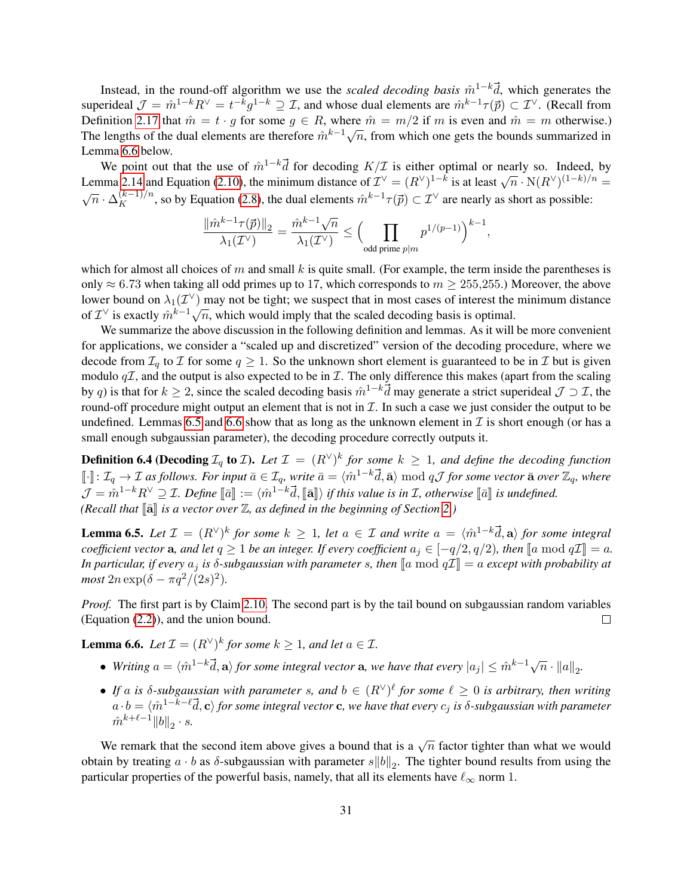Instead, in the round-off algorithm we use the *scaled decoding basis*  $\hat{m}^{1-k}$ , which generates the superideal  $\mathcal{J} = \hat{m}^{1-k} R^{\vee} = t^{-k} g^{1-k} \supseteq \mathcal{I}$ , and whose dual elements are  $\hat{m}^{k-1} \tau(\vec{p}) \subset \mathcal{I}^{\vee}$ . (Recall from Definition [2.17](#page-18-1) that  $\hat{m} = t \cdot g$  for some  $g \in R$ , where  $\hat{m} = m/2$  if m is even and  $\hat{m} = m$  otherwise.) Definition 2.17 that  $m = v \cdot y$  for some  $y \in R$ , where  $m = m/2$  if m is even and  $m = m$  otherwise.)<br>The lengths of the dual elements are therefore  $\hat{m}^{k-1}\sqrt{n}$ , from which one gets the bounds summarized in Lemma [6.6](#page-30-1) below.

We point out that the use of  $\hat{m}^{1-k} \vec{d}$  for decoding  $K/\mathcal{I}$  is either optimal or nearly so. Indeed, by We point out that the use of  $m = a$  for decounts  $K/L$  is either optimal of hearty so. This is at least  $\sqrt{n} \cdot N(R^{\vee})^{(1-k)/n}$  = Lemma [2.14](#page-16-6) and Equation [\(2.10\)](#page-17-2), the minimum distance of  $\mathcal{I}^{\vee} = (R^{\vee})^{1-k}$  is at least  $\sqrt{n} \cdot \Delta_K^{(k-1)/n}$ , so by Equation [\(2.8\)](#page-16-5), the dual elements  $\hat{m}^{k-1}\tau(\vec{p}) \subset \mathcal{I}^{\vee}$  are nearly as short as possible:

$$
\frac{\|\hat m^{k-1}\tau(\vec p)\|_2}{\lambda_1(\mathcal I^\vee)}=\frac{\hat m^{k-1}\sqrt n}{\lambda_1(\mathcal I^\vee)}\leq \Big(\prod_{\mathrm{odd\ prime}\ p|m}p^{1/(p-1)}\Big)^{k-1},
$$

which for almost all choices of m and small k is quite small. (For example, the term inside the parentheses is only  $\approx$  6.73 when taking all odd primes up to 17, which corresponds to  $m \ge 255,255$ .) Moreover, the above lower bound on  $\lambda_1(\mathcal{I}^{\vee})$  may not be tight; we suspect that in most cases of interest the minimum distance bower bound on  $\lambda_1(\mathcal{L})$  hay not be tight, we suspect that in most cases of interest the of  $\mathcal{I}^{\vee}$  is exactly  $\hat{m}^{k-1}\sqrt{n}$ , which would imply that the scaled decoding basis is optimal.

We summarize the above discussion in the following definition and lemmas. As it will be more convenient for applications, we consider a "scaled up and discretized" version of the decoding procedure, where we decode from  $\mathcal{I}_q$  to  $\mathcal I$  for some  $q \geq 1$ . So the unknown short element is guaranteed to be in  $\mathcal I$  but is given modulo  $q\mathcal{I}$ , and the output is also expected to be in  $\mathcal{I}$ . The only difference this makes (apart from the scaling by q) is that for  $k \geq 2$ , since the scaled decoding basis  $\hat{m}^{1-k} \vec{d}$  may generate a strict superideal  $\mathcal{J} \supset \mathcal{I}$ , the round-off procedure might output an element that is not in  $\mathcal I$ . In such a case we just consider the output to be undefined. Lemmas [6.5](#page-30-0) and [6.6](#page-30-1) show that as long as the unknown element in  $\mathcal I$  is short enough (or has a small enough subgaussian parameter), the decoding procedure correctly outputs it.

<span id="page-30-2"></span>**Definition 6.4 (Decoding**  $\mathcal{I}_q$  to *I*). Let  $\mathcal{I} = (R^{\vee})^k$  for some  $k \geq 1$ , and define the decoding function  $\llbracket \cdot \rrbracket$ :  $\mathcal{I}_q \to \mathcal{I}$  as follows. For input  $\bar{a} \in \mathcal{I}_q$ , write  $\bar{a} = \langle \hat{m}^{1-k} \vec{d}, \bar{a} \rangle \bmod q \mathcal{J}$  for some vector  $\bar{a}$  over  $\mathbb{Z}_q$ , where  $\mathcal{J} = \hat{m}^{1-k} R^\vee \supseteq \mathcal{I}$ . Define  $[\![\bar{a}]\!] := \langle \hat{m}^{1-k} \vec{d}, [\![\bar{a}]\!] \rangle$  if this value is in  $\mathcal{I}$ , otherwise  $[\![\bar{a}]\!]$  is undefined.<br>Closell that  $[\![\bar{a}]\!]$  is a vactor over  $\mathbb{Z}$ , as defined in the begi *(Recall that*  $\lceil \bar{a} \rceil$  *is a vector over*  $\mathbb{Z}$ *, as defined in the beginning of Section* [2.](#page-7-0)*)* 

<span id="page-30-0"></span>**Lemma 6.5.** Let  $\mathcal{I} = (R^{\vee})^k$  for some  $k \geq 1$ , let  $a \in \mathcal{I}$  and write  $a = \langle \hat{m}^{1-k} \vec{d}, \mathbf{a} \rangle$  for some integral *coefficient vector* a*, and let*  $q \ge 1$  *be an integer. If every coefficient*  $a_j \in [-q/2, q/2)$ *, then*  $[a \mod q\mathcal{I}] = a$ *. In particular, if every*  $a_j$  *is*  $\delta$ -subgaussian with parameter s, then  $[a \bmod q\mathcal{I}] = a$  except with probability at *most*  $2n \exp(\delta - \pi q^2/(2s)^2)$ .

*Proof.* The first part is by Claim [2.10.](#page-12-2) The second part is by the tail bound on subgaussian random variables (Equation [\(2.2\)](#page-9-0)), and the union bound.  $\Box$ 

<span id="page-30-1"></span>**Lemma 6.6.** Let  $\mathcal{I} = (R^{\vee})^k$  for some  $k \geq 1$ , and let  $a \in \mathcal{I}$ .

- Writing  $a = \langle \hat{m}^{1-k} \vec{d}, \mathbf{a} \rangle$  for some integral vector  $\mathbf{a}$ , we have that every  $|a_j| \leq \hat{m}^{k-1} \sqrt{n} \cdot ||a||_2$ .
- If a is  $\delta$ -subgaussian with parameter s, and  $b \in (R^{\vee})^{\ell}$  for some  $\ell \geq 0$  is arbitrary, then writing  $a\cdot b=\langle \hat{m}^{1-k-\ell}\vec{d},{\bf c}\rangle$  for some integral vector  ${\bf c}$ , we have that every  $c_j$  is  $\delta$ -subgaussian with parameter  $\hat{m}^{k+\ell-1} {\lVert b \rVert}_2 \cdot s.$

We remark that the second item above gives a bound that is a  $\sqrt{n}$  factor tighter than what we would obtain by treating  $a \cdot b$  as  $\delta$ -subgaussian with parameter  $s||b||_2$ . The tighter bound results from using the particular properties of the powerful basis, namely, that all its elements have  $\ell_{\infty}$  norm 1.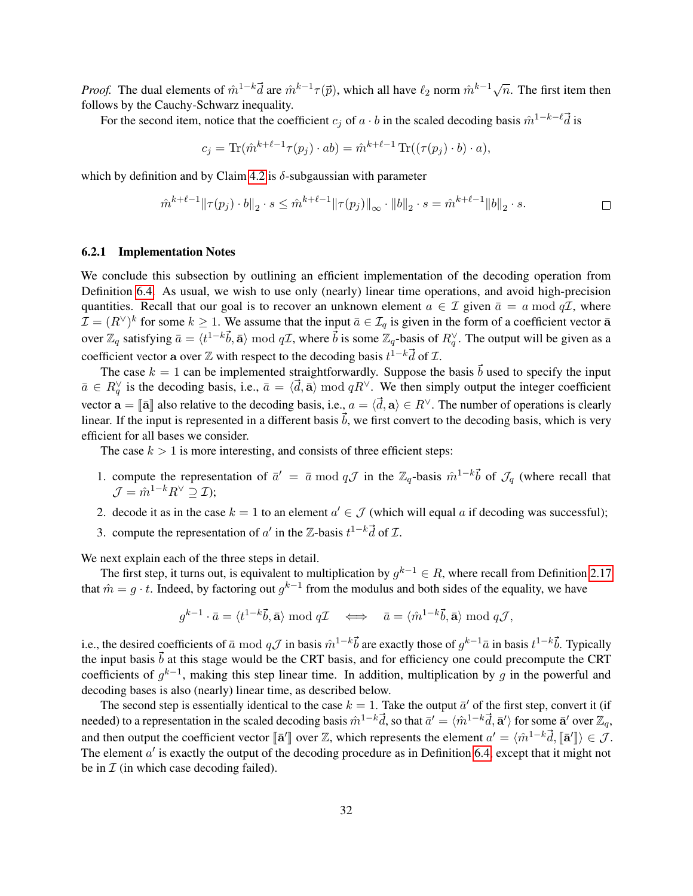*Proof.* The dual elements of  $\hat{m}^{1-k} \vec{d}$  are  $\hat{m}^{k-1}\tau(\vec{p})$ , which all have  $\ell_2$  norm  $\hat{m}^{k-1}\sqrt{n}$ . The first item then follows by the Cauchy-Schwarz inequality.

For the second item, notice that the coefficient  $c_j$  of  $a \cdot b$  in the scaled decoding basis  $\hat{m}^{1-k-\ell} \vec{d}$  is

$$
c_j = \text{Tr}(\hat{m}^{k+\ell-1}\tau(p_j) \cdot ab) = \hat{m}^{k+\ell-1} \text{Tr}((\tau(p_j) \cdot b) \cdot a),
$$

which by definition and by Claim [4.2](#page-24-2) is  $\delta$ -subgaussian with parameter

$$
\hat{m}^{k+\ell-1} \|\tau(p_j) \cdot b\|_2 \cdot s \le \hat{m}^{k+\ell-1} \|\tau(p_j)\|_{\infty} \cdot \|b\|_2 \cdot s = \hat{m}^{k+\ell-1} \|b\|_2 \cdot s.
$$

### 6.2.1 Implementation Notes

We conclude this subsection by outlining an efficient implementation of the decoding operation from Definition [6.4.](#page-30-2) As usual, we wish to use only (nearly) linear time operations, and avoid high-precision quantities. Recall that our goal is to recover an unknown element  $a \in \mathcal{I}$  given  $\bar{a} = a \mod q\mathcal{I}$ , where  $\mathcal{I} = (R^{\vee})^k$  for some  $k \geq 1$ . We assume that the input  $\bar{a} \in \mathcal{I}_q$  is given in the form of a coefficient vector  $\bar{a}$ over  $\mathbb{Z}_q$  satisfying  $\bar{a}=\langle t^{1-k}\vec{b}, \bar{\mathbf{a}}\rangle \bmod q\mathcal{I}$ , where  $\vec{b}$  is some  $\mathbb{Z}_q$ -basis of  $R_q^{\vee}$ . The output will be given as a coefficient vector a over  $\mathbb Z$  with respect to the decoding basis  $t^{1-k} \vec{d}$  of  $\mathcal I$ .

The case  $k = 1$  can be implemented straightforwardly. Suppose the basis  $\vec{b}$  used to specify the input  $\bar{a} \in R_q^{\vee}$  is the decoding basis, i.e.,  $\bar{a} = \langle \vec{d}, \bar{\mathbf{a}} \rangle \bmod qR^{\vee}$ . We then simply output the integer coefficient vector  $\mathbf{a} = \|\mathbf{\bar{a}}\|$  also relative to the decoding basis, i.e.,  $a = \langle \mathbf{\vec{d}}, \mathbf{a} \rangle \in R^{\vee}$ . The number of operations is clearly linear. If the input is represented in a different basis  $\vec{b}$ , we first convert to the decoding basis, which is very efficient for all bases we consider.

The case  $k > 1$  is more interesting, and consists of three efficient steps:

- 1. compute the representation of  $\bar{a}' = \bar{a} \mod q\mathcal{J}$  in the  $\mathbb{Z}_q$ -basis  $\hat{m}^{1-k}\vec{b}$  of  $\mathcal{J}_q$  (where recall that  $\mathcal{J} = \hat{m}^{1-k} R^{\vee} \supset \mathcal{I}$ ;
- 2. decode it as in the case  $k = 1$  to an element  $a' \in \mathcal{J}$  (which will equal a if decoding was successful);
- 3. compute the representation of  $a'$  in the  $\mathbb{Z}$ -basis  $t^{1-k} \vec{d}$  of  $\mathcal{I}$ .

We next explain each of the three steps in detail.

The first step, it turns out, is equivalent to multiplication by  $g^{k-1} \in R$ , where recall from Definition [2.17](#page-18-1) that  $\hat{m} = g \cdot t$ . Indeed, by factoring out  $g^{k-1}$  from the modulus and both sides of the equality, we have

$$
g^{k-1}\cdot \bar a=\langle t^{1-k}\vec b, \bar{\mathbf a}\rangle \bmod q\mathcal I\quad \Longleftrightarrow\quad \bar a=\langle \hat m^{1-k}\vec b, \bar{\mathbf a}\rangle \bmod q\mathcal J,
$$

i.e., the desired coefficients of  $\bar{a} \bmod q\mathcal{J}$  in basis  $\hat{m}^{1-k}\vec{b}$  are exactly those of  $g^{k-1}\bar{a}$  in basis  $t^{1-k}\vec{b}$ . Typically the input basis  $\vec{b}$  at this stage would be the CRT basis, and for efficiency one could precompute the CRT coefficients of  $g^{k-1}$ , making this step linear time. In addition, multiplication by g in the powerful and decoding bases is also (nearly) linear time, as described below.

The second step is essentially identical to the case  $k = 1$ . Take the output  $\bar{a}'$  of the first step, convert it (if needed) to a representation in the scaled decoding basis  $\hat{m}^{1-k}\vec{d}$ , so that  $\bar{a}'=\langle \hat{m}^{1-k}\vec{d},\bar{\mathbf{a}}'\rangle$  for some  $\bar{\mathbf{a}}'$  over  $\mathbb{Z}_q$ , and then output the coefficient vector  $[\![\mathbf{\bar{a}}']\!]$  over  $\mathbb{Z}$ , which represents the element  $a' = \langle \hat{m}^{1-k} \vec{d}, [\![\mathbf{\bar{a}}']\!] \rangle \in \mathcal{J}$ .<br>The element  $a'$  is exactly the output of the decoding procedure as in Defin The element  $a'$  is exactly the output of the decoding procedure as in Definition [6.4,](#page-30-2) except that it might not be in  $\mathcal I$  (in which case decoding failed).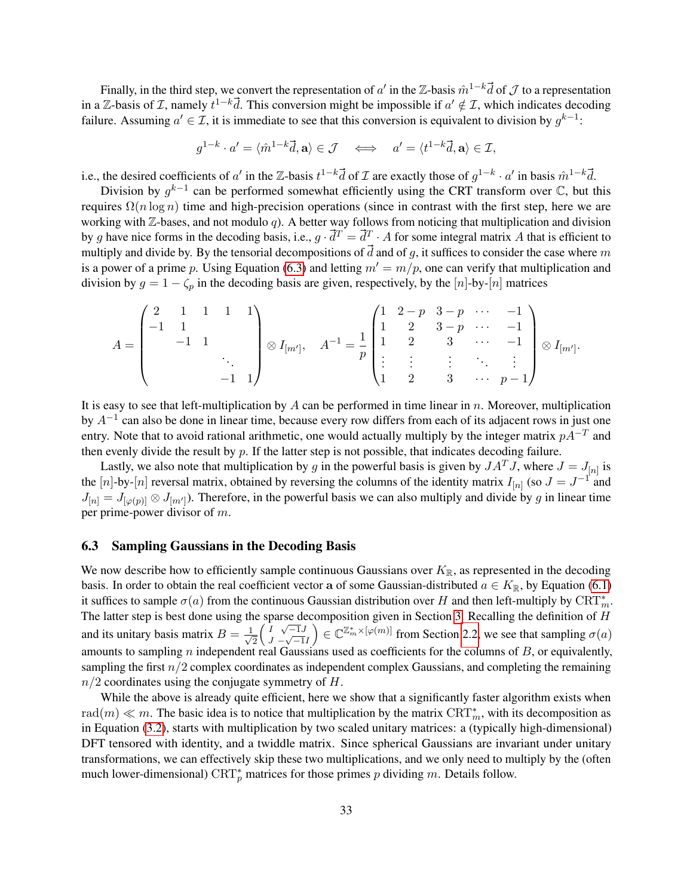Finally, in the third step, we convert the representation of  $a'$  in the Z-basis  $\hat{m}^{1-k} \vec{d}$  of  $\cal J$  to a representation in a Z-basis of *I*, namely  $t^{1-k}$ *d*. This conversion might be impossible if  $a' \notin I$ , which indicates decoding failure. Assuming  $a' \in \mathcal{I}$ , it is immediate to see that this conversion is equivalent to division by  $g^{k-1}$ :

$$
g^{1-k} \cdot a' = \langle \hat{m}^{1-k} \vec{d}, \mathbf{a} \rangle \in \mathcal{J} \quad \Longleftrightarrow \quad a' = \langle t^{1-k} \vec{d}, \mathbf{a} \rangle \in \mathcal{I},
$$

i.e., the desired coefficients of a' in the Z-basis  $t^{1-k} \vec{d}$  of  $\mathcal I$  are exactly those of  $g^{1-k} \cdot a'$  in basis  $\hat{m}^{1-k} \vec{d}$ .

Division by  $g^{k-1}$  can be performed somewhat efficiently using the CRT transform over  $\mathbb C$ , but this requires  $\Omega(n \log n)$  time and high-precision operations (since in contrast with the first step, here we are working with  $\mathbb{Z}$ -bases, and not modulo q). A better way follows from noticing that multiplication and division by g have nice forms in the decoding basis, i.e.,  $g \cdot \vec{d}^T = \vec{d}^T \cdot A$  for some integral matrix A that is efficient to multiply and divide by. By the tensorial decompositions of  $\vec{d}$  and of g, it suffices to consider the case where m is a power of a prime p. Using Equation [\(6.3\)](#page-29-3) and letting  $m' = m/p$ , one can verify that multiplication and division by  $g = 1 - \zeta_p$  in the decoding basis are given, respectively, by the [n]-by-[n] matrices

$$
A = \begin{pmatrix} 2 & 1 & 1 & 1 & 1 \\ -1 & 1 & & & \\ & -1 & 1 & & \\ & & & \ddots & \\ & & & & -1 & 1 \end{pmatrix} \otimes I_{[m']}, \quad A^{-1} = \frac{1}{p} \begin{pmatrix} 1 & 2-p & 3-p & \cdots & -1 \\ 1 & 2 & 3-p & \cdots & -1 \\ 1 & 2 & 3 & \cdots & -1 \\ \vdots & \vdots & \vdots & \ddots & \vdots \\ 1 & 2 & 3 & \cdots & p-1 \end{pmatrix} \otimes I_{[m']}.
$$

It is easy to see that left-multiplication by A can be performed in time linear in  $n$ . Moreover, multiplication by  $A^{-1}$  can also be done in linear time, because every row differs from each of its adjacent rows in just one entry. Note that to avoid rational arithmetic, one would actually multiply by the integer matrix  $pA^{-T}$  and then evenly divide the result by  $p$ . If the latter step is not possible, that indicates decoding failure.

Lastly, we also note that multiplication by g in the powerful basis is given by  $JA^TJ$ , where  $J = J_{[n]}$  is the [n]-by-[n] reversal matrix, obtained by reversing the columns of the identity matrix  $I_{[n]}$  (so  $J = J^{-1}$  and  $J_{[n]} = J_{[\varphi(p)]} \otimes J_{[m']}$ ). Therefore, in the powerful basis we can also multiply and divide by g in linear time per prime-power divisor of m.

## <span id="page-32-0"></span>6.3 Sampling Gaussians in the Decoding Basis

We now describe how to efficiently sample continuous Gaussians over  $K_{\mathbb{R}}$ , as represented in the decoding basis. In order to obtain the real coefficient vector a of some Gaussian-distributed  $a \in K_{\mathbb{R}}$ , by Equation [\(6.1\)](#page-28-2) it suffices to sample  $\sigma(a)$  from the continuous Gaussian distribution over H and then left-multiply by  $\text{CRT}^*_m$ . The latter step is best done using the sparse decomposition given in Section [3.](#page-22-0) Recalling the definition of  $H$ and its unitary basis matrix  $B = \frac{1}{\sqrt{2}}$ 2  $\left(1 \ \sqrt{-1}J\right)$  $\frac{1}{J} - \sqrt{-1}I$  $\mathcal{C} \in \mathbb{C}^{\mathbb{Z}_m^* \times [\varphi(m)]}$  from Section [2.2,](#page-8-1) we see that sampling  $\sigma(a)$ amounts to sampling  $n$  independent real Gaussians used as coefficients for the columns of  $B$ , or equivalently, sampling the first  $n/2$  complex coordinates as independent complex Gaussians, and completing the remaining  $n/2$  coordinates using the conjugate symmetry of H.

While the above is already quite efficient, here we show that a significantly faster algorithm exists when rad $(m) \ll m$ . The basic idea is to notice that multiplication by the matrix  $\text{CRT}^*_m$ , with its decomposition as in Equation [\(3.2\)](#page-23-1), starts with multiplication by two scaled unitary matrices: a (typically high-dimensional) DFT tensored with identity, and a twiddle matrix. Since spherical Gaussians are invariant under unitary transformations, we can effectively skip these two multiplications, and we only need to multiply by the (often much lower-dimensional) CRT<sup>\*</sup><sub>p</sub> matrices for those primes p dividing m. Details follow.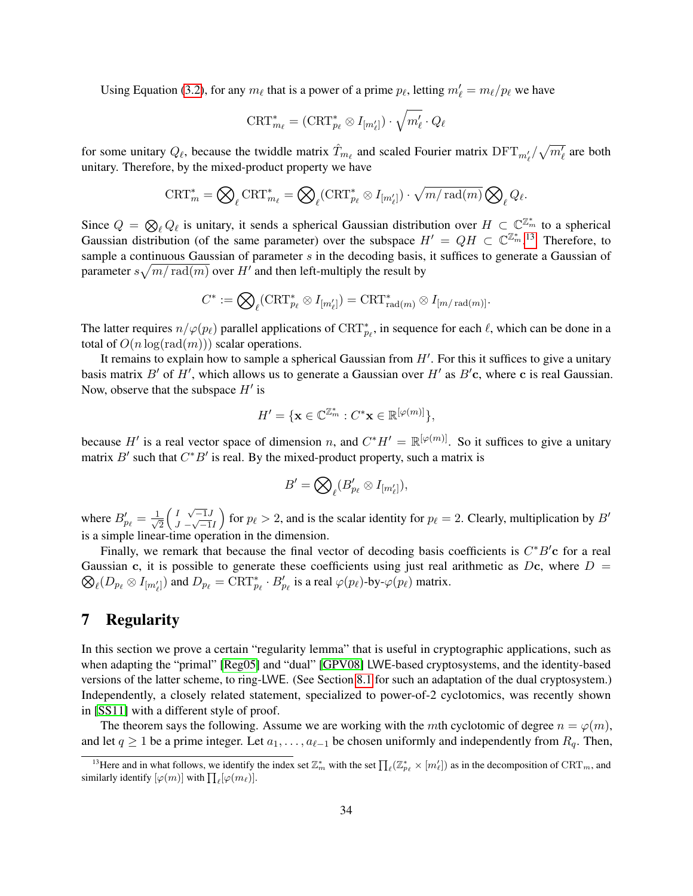Using Equation [\(3.2\)](#page-23-1), for any  $m_\ell$  that is a power of a prime  $p_\ell$ , letting  $m'_\ell = m_\ell/p_\ell$  we have

$$
\text{CRT}_{m_{\ell}}^* = (\text{CRT}_{p_{\ell}}^* \otimes I_{[m'_{\ell}]} ) \cdot \sqrt{m'_{\ell}} \cdot Q_{\ell}
$$

for some unitary  $Q_\ell$ , because the twiddle matrix  $\hat{T}_{m_\ell}$  and scaled Fourier matrix  $\text{DFT}_{m'_\ell}/\sqrt{m'_\ell}$  are both unitary. Therefore, by the mixed-product property we have

$$
\text{CRT}_{m}^{*} = \bigotimes_{\ell} \text{CRT}_{m_{\ell}}^{*} = \bigotimes_{\ell} (\text{CRT}_{p_{\ell}}^{*} \otimes I_{[m'_{\ell}]} ) \cdot \sqrt{m / \text{rad}(m)} \bigotimes_{\ell} Q_{\ell}.
$$

Since  $Q = \bigotimes_{\ell} Q_{\ell}$  is unitary, it sends a spherical Gaussian distribution over  $H \subset \mathbb{C}^{\mathbb{Z}_m^*}$  to a spherical Gaussian distribution (of the same parameter) over the subspace  $H' = QH \subset \mathbb{C}^{\mathbb{Z}_m^*}$ .<sup>[13](#page-33-1)</sup> Therefore, to sample a continuous Gaussian of parameter s in the decoding basis, it suffices to generate a Gaussian of parameter  $s\sqrt{m/\operatorname{rad}(m)}$  over  $H'$  and then left-multiply the result by

$$
C^* := \bigotimes_{\ell} (\operatorname{CRT}_{p_{\ell}}^* \otimes I_{[m'_{\ell}]} ) = \operatorname{CRT}^*_{\operatorname{rad}(m)} \otimes I_{[m/\operatorname{rad}(m)]}.
$$

The latter requires  $n/\varphi(p_\ell)$  parallel applications of  $\mathrm{CRT}_{p_\ell}^*$ , in sequence for each  $\ell$ , which can be done in a total of  $O(n \log(\text{rad}(m)))$  scalar operations.

It remains to explain how to sample a spherical Gaussian from  $H'$ . For this it suffices to give a unitary basis matrix  $B'$  of  $H'$ , which allows us to generate a Gaussian over  $H'$  as  $B'c$ , where c is real Gaussian. Now, observe that the subspace  $H'$  is

$$
H' = \{ \mathbf{x} \in \mathbb{C}^{\mathbb{Z}_m^*} : C^* \mathbf{x} \in \mathbb{R}^{[\varphi(m)]} \},
$$

because H' is a real vector space of dimension n, and  $C^*H' = \mathbb{R}^{[\varphi(m)]}$ . So it suffices to give a unitary matrix  $B'$  such that  $C^*B'$  is real. By the mixed-product property, such a matrix is

$$
B'=\bigotimes\nolimits_{\ell} (B'_{p_{\ell}}\otimes I_{[m'_{\ell}]}),
$$

where  $B'_{p_\ell} = \frac{1}{\sqrt{\ell}}$ 2  $(I \sqrt{-1}J$  $\frac{1}{J} - \sqrt{-1}I$ for  $p_\ell > 2$ , and is the scalar identity for  $p_\ell = 2$ . Clearly, multiplication by B' is a simple linear-time operation in the dimension.

Finally, we remark that because the final vector of decoding basis coefficients is  $C^*B'$ c for a real Gaussian c, it is possible to generate these coefficients using just real arithmetic as Dc, where  $D =$  $\bigotimes_{\ell} (D_{p_{\ell}} \otimes I_{[m'_{\ell}]} )$  and  $D_{p_{\ell}} = \text{CRT}_{p_{\ell}}^* \cdot B'_{p_{\ell}}$  is a real  $\varphi(p_{\ell})$ -by- $\varphi(p_{\ell})$  matrix.

## <span id="page-33-0"></span>7 Regularity

In this section we prove a certain "regularity lemma" that is useful in cryptographic applications, such as when adapting the "primal" [\[Reg05\]](#page-49-2) and "dual" [\[GPV08\]](#page-48-11) LWE-based cryptosystems, and the identity-based versions of the latter scheme, to ring-LWE. (See Section [8.1](#page-37-1) for such an adaptation of the dual cryptosystem.) Independently, a closely related statement, specialized to power-of-2 cyclotomics, was recently shown in [\[SS11\]](#page-49-5) with a different style of proof.

The theorem says the following. Assume we are working with the mth cyclotomic of degree  $n = \varphi(m)$ , and let  $q \ge 1$  be a prime integer. Let  $a_1, \ldots, a_{\ell-1}$  be chosen uniformly and independently from  $R_q$ . Then,

<span id="page-33-1"></span><sup>&</sup>lt;sup>13</sup>Here and in what follows, we identify the index set  $\mathbb{Z}_m^*$  with the set  $\prod_{\ell}(\mathbb{Z}_{p_\ell}^*\times [m'_\ell])$  as in the decomposition of  $\mathrm{CRT}_m$ , and similarly identify  $[\varphi(m)]$  with  $\prod_{\ell} [\varphi(m_{\ell})]$ .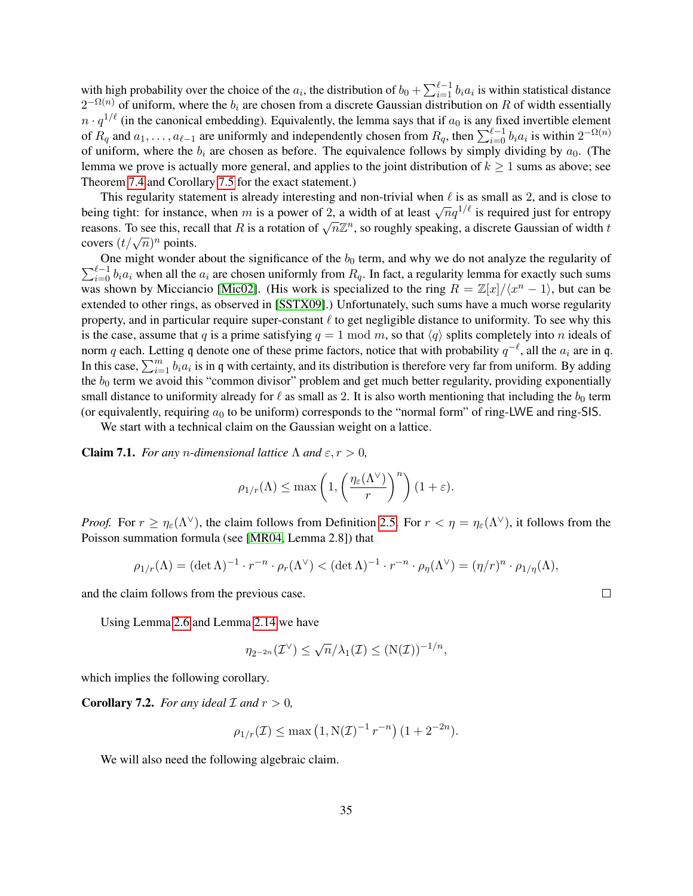with high probability over the choice of the  $a_i$ , the distribution of  $b_0 + \sum_{i=1}^{\ell-1} b_i a_i$  is within statistical distance  $2^{-\Omega(n)}$  of uniform, where the  $b_i$  are chosen from a discrete Gaussian distribution on R of width essentially  $n \cdot q^{1/\ell}$  (in the canonical embedding). Equivalently, the lemma says that if  $a_0$  is any fixed invertible element of  $R_q$  and  $a_1, \ldots, a_{\ell-1}$  are uniformly and independently chosen from  $R_q$ , then  $\sum_{i=0}^{\ell-1} b_i a_i$  is within  $2^{-\Omega(n)}$ of uniform, where the  $b_i$  are chosen as before. The equivalence follows by simply dividing by  $a_0$ . (The lemma we prove is actually more general, and applies to the joint distribution of  $k \geq 1$  sums as above; see Theorem [7.4](#page-35-0) and Corollary [7.5](#page-35-1) for the exact statement.)

This regularity statement is already interesting and non-trivial when  $\ell$  is as small as 2, and is close to being tight: for instance, when m is a power of 2, a width of at least  $\sqrt{nq^{1/\ell}}$  is required just for entropy being tight. For instance, when *m* is a power of 2, a widdle of at least  $\sqrt{nq}$  is required just for entropy reasons. To see this, recall that R is a rotation of  $\sqrt{n}\mathbb{Z}^n$ , so roughly speaking, a discrete Gaussian o covers  $(t/\sqrt{n})^n$  points.

 $\sum_{i=0}^{\ell-1} b_i a_i$  when all the  $a_i$  are chosen uniformly from  $R_q$ . In fact, a regularity lemma for exactly such sums One might wonder about the significance of the  $b_0$  term, and why we do not analyze the regularity of was shown by Micciancio [\[Mic02\]](#page-49-0). (His work is specialized to the ring  $R = \mathbb{Z}[x]/\langle x^n - 1 \rangle$ , but can be extended to other rings, as observed in [\[SSTX09\]](#page-49-10).) Unfortunately, such sums have a much worse regularity property, and in particular require super-constant  $\ell$  to get negligible distance to uniformity. To see why this is the case, assume that q is a prime satisfying  $q = 1 \mod m$ , so that  $\langle q \rangle$  splits completely into n ideals of norm q each. Letting q denote one of these prime factors, notice that with probability  $q^{-\ell}$ , all the  $a_i$  are in q. In this case,  $\sum_{i=1}^{m} b_i a_i$  is in q with certainty, and its distribution is therefore very far from uniform. By adding the  $b_0$  term we avoid this "common divisor" problem and get much better regularity, providing exponentially small distance to uniformity already for  $\ell$  as small as 2. It is also worth mentioning that including the  $b_0$  term (or equivalently, requiring  $a_0$  to be uniform) corresponds to the "normal form" of ring-LWE and ring-SIS.

We start with a technical claim on the Gaussian weight on a lattice.

**Claim 7.1.** *For any n-dimensional lattice*  $\Lambda$  *and*  $\varepsilon, r > 0$ *,* 

$$
\rho_{1/r}(\Lambda) \leq \max\left(1,\left(\frac{\eta_\varepsilon(\Lambda^\vee)}{r}\right)^n\right)(1+\varepsilon).
$$

*Proof.* For  $r \geq \eta_{\varepsilon}(\Lambda^{\vee})$ , the claim follows from Definition [2.5.](#page-11-2) For  $r < \eta = \eta_{\varepsilon}(\Lambda^{\vee})$ , it follows from the Poisson summation formula (see [\[MR04,](#page-49-11) Lemma 2.8]) that

$$
\rho_{1/r}(\Lambda) = (\det \Lambda)^{-1} \cdot r^{-n} \cdot \rho_r(\Lambda^\vee) < (\det \Lambda)^{-1} \cdot r^{-n} \cdot \rho_\eta(\Lambda^\vee) = (\eta/r)^n \cdot \rho_{1/\eta}(\Lambda),
$$

and the claim follows from the previous case.

Using Lemma [2.6](#page-11-3) and Lemma [2.14](#page-16-6) we have

$$
\eta_{2^{-2n}}(\mathcal{I}^{\vee}) \leq \sqrt{n}/\lambda_1(\mathcal{I}) \leq (N(\mathcal{I}))^{-1/n},
$$

<span id="page-34-0"></span>which implies the following corollary.

**Corollary 7.2.** *For any ideal*  $\mathcal{I}$  *and*  $r > 0$ *,* 

$$
\rho_{1/r}(\mathcal{I}) \le \max\left(1, N(\mathcal{I})^{-1} r^{-n}\right) (1 + 2^{-2n}).
$$

<span id="page-34-1"></span>We will also need the following algebraic claim.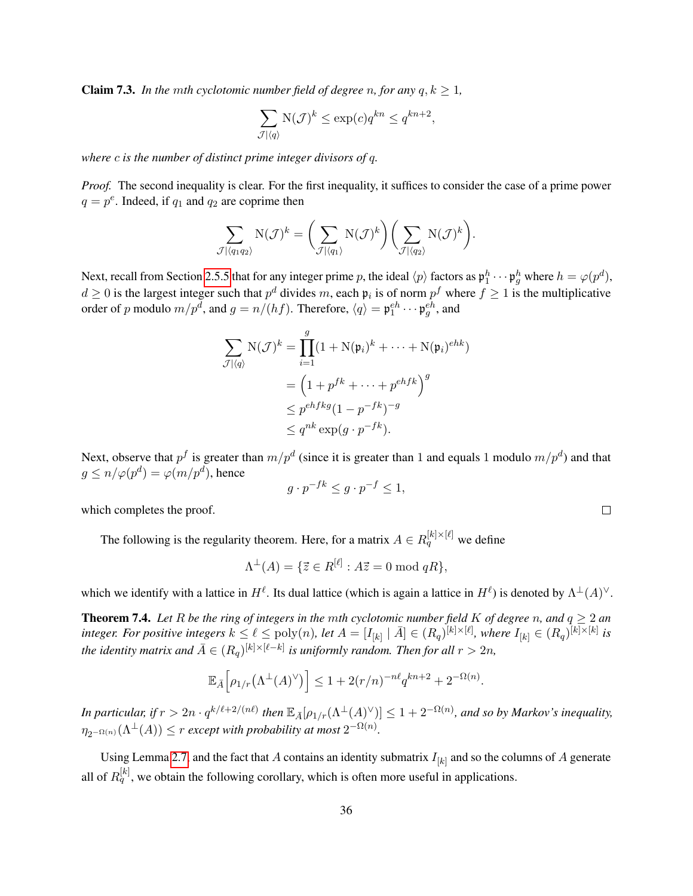**Claim 7.3.** *In the mth cyclotomic number field of degree n, for any*  $q, k \geq 1$ *,* 

$$
\sum_{\mathcal{J}|\langle q\rangle} \mathcal{N}(\mathcal{J})^k \le \exp(c) q^{kn} \le q^{kn+2},
$$

*where* c *is the number of distinct prime integer divisors of* q*.*

*Proof.* The second inequality is clear. For the first inequality, it suffices to consider the case of a prime power  $q = p^e$ . Indeed, if  $q_1$  and  $q_2$  are coprime then

$$
\sum_{\mathcal{J}|\langle q_1 q_2\rangle} N(\mathcal{J})^k = \left(\sum_{\mathcal{J}|\langle q_1\rangle} N(\mathcal{J})^k\right) \left(\sum_{\mathcal{J}|\langle q_2\rangle} N(\mathcal{J})^k\right).
$$

Next, recall from Section [2.5.5](#page-18-0) that for any integer prime p, the ideal  $\langle p \rangle$  factors as  $\mathfrak{p}_1^h \cdots \mathfrak{p}_g^h$  where  $h = \varphi(p^d)$ ,  $d \geq 0$  is the largest integer such that  $p^d$  divides m, each  $\mathfrak{p}_i$  is of norm  $p^f$  where  $f \geq 1$  is the multiplicative order of p modulo  $m/p^d$ , and  $g = n/(hf)$ . Therefore,  $\langle q \rangle = \mathfrak{p}_1^{eh} \cdots \mathfrak{p}_g^{eh}$ , and

$$
\sum_{\mathcal{J}|\langle q \rangle} \mathcal{N}(\mathcal{J})^k = \prod_{i=1}^g (1 + \mathcal{N}(\mathfrak{p}_i)^k + \dots + \mathcal{N}(\mathfrak{p}_i)^{ehk})
$$

$$
= \left(1 + p^{fk} + \dots + p^{ehfk}\right)^g
$$

$$
\leq p^{ehfkg}(1 - p^{-fk})^{-g}
$$

$$
\leq q^{nk} \exp(g \cdot p^{-fk}).
$$

Next, observe that  $p^f$  is greater than  $m/p^d$  (since it is greater than 1 and equals 1 modulo  $m/p^d$ ) and that  $g \leq n/\varphi(p^d) = \varphi(m/p^d)$ , hence

$$
g \cdot p^{-fk} \le g \cdot p^{-f} \le 1,
$$

which completes the proof.

The following is the regularity theorem. Here, for a matrix  $A \in R_q^{[k] \times [\ell]}$  we define

$$
\Lambda^{\perp}(A) = \{ \vec{z} \in R^{[\ell]} : A\vec{z} = 0 \bmod qR \},
$$

which we identify with a lattice in  $H^{\ell}$ . Its dual lattice (which is again a lattice in  $H^{\ell}$ ) is denoted by  $\Lambda^{\perp}(A)^{\vee}$ .

<span id="page-35-0"></span>**Theorem 7.4.** Let R be the ring of integers in the mth cyclotomic number field K of degree n, and  $q \ge 2$  and integer. For positive integers  $k \leq \ell \leq \text{poly}(n)$ , let  $A = [I_{[k]} \mid \bar{A}] \in (R_q)^{[k] \times [\ell]}$ , where  $I_{[k]} \in (R_q)^{[k] \times [k]}$  is the identity matrix and  $\bar{A} \in (R_q)^{[k] \times [\ell - k]}$  is uniformly random. Then for all  $r > 2n$ ,

$$
\mathbb{E}_{\bar{A}}\Big[\rho_{1/r}\big(\Lambda^{\perp}(A)^{\vee}\big)\Big] \leq 1 + 2(r/n)^{-n\ell} q^{kn+2} + 2^{-\Omega(n)}.
$$

In particular, if  $r > 2n \cdot q^{k/\ell + 2/(n\ell)}$  then  $\mathbb{E}_{\bar{A}}[\rho_{1/r}(\Lambda^\perp(A)^\vee)] \leq 1 + 2^{-\Omega(n)}$ , and so by Markov's inequality,  $\eta_{2^{-\Omega(n)}}(\Lambda^{\perp}(A)) \leq r$  except with probability at most  $2^{-\Omega(n)}$ .

<span id="page-35-1"></span>Using Lemma [2.7,](#page-11-4) and the fact that A contains an identity submatrix  $I_{[k]}$  and so the columns of A generate all of  $R_q^{[k]}$ , we obtain the following corollary, which is often more useful in applications.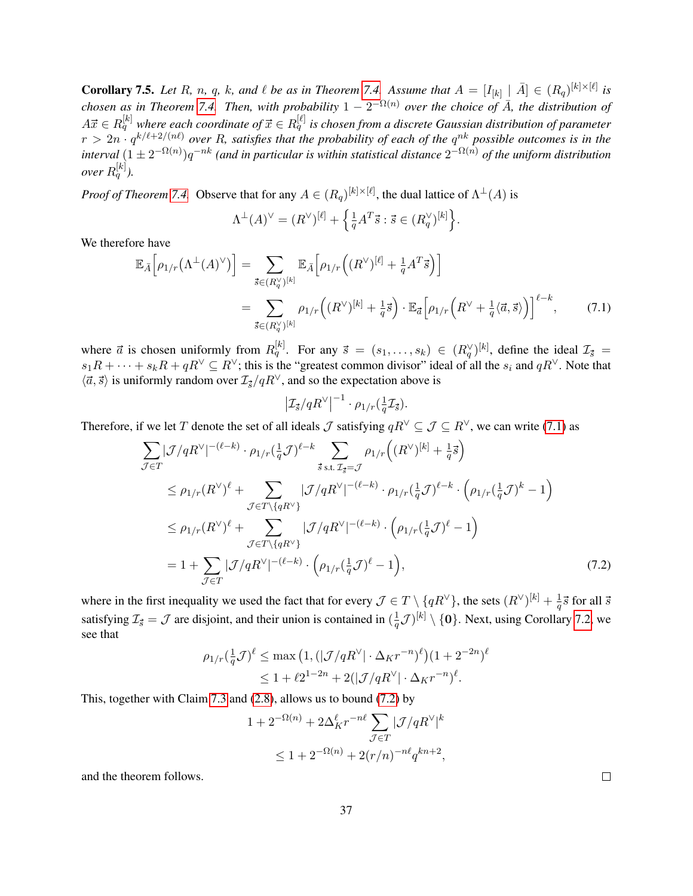**Corollary 7.5.** Let R, n, q, k, and  $\ell$  be as in Theorem [7.4.](#page-35-0) Assume that  $A = [I_{[k]} \mid \bar{A}] \in (R_q)^{[k] \times [\ell]}$  is *chosen as in Theorem [7.4.](#page-35-0) Then, with probability*  $1 - 2^{-\Omega(n)}$  *over the choice of*  $\bar{A}$ *, the distribution of*  $A\vec{x}\in R^{[k]}_q$  where each coordinate of  $\vec{x}\in R^{[\ell]}_q$  is chosen from a discrete Gaussian distribution of parameter  $r > 2n \cdot q^{k/\ell + 2/(n\ell)}$  over R, satisfies that the probability of each of the  $q^{nk}$  possible outcomes is in the  $\tilde{p}$  interval  $(1\pm 2^{-\Omega(n)})q^{-nk}$  (and in particular is within statistical distance  $2^{-\Omega(n)}$  of the uniform distribution over  $R^{[k]}_q$  ).

*Proof of Theorem [7.4.](#page-35-0)* Observe that for any  $A \in (R_q)^{[k] \times [\ell]}$ , the dual lattice of  $\Lambda^{\perp}(A)$  is

$$
\Lambda^{\perp}(A)^{\vee} = (R^{\vee})^{[\ell]} + \left\{ \frac{1}{q} A^T \vec{s} : \vec{s} \in (R_q^{\vee})^{[k]} \right\}.
$$

We therefore have

$$
\mathbb{E}_{\bar{A}}\Big[\rho_{1/r}\big(\Lambda^{\perp}(A)^{\vee}\big)\Big] = \sum_{\vec{s}\in(R_q^{\vee})^{[k]}} \mathbb{E}_{\bar{A}}\Big[\rho_{1/r}\Big((R^{\vee})^{[\ell]} + \frac{1}{q}A^T\vec{s}\Big)\Big] \n= \sum_{\vec{s}\in(R_q^{\vee})^{[k]}} \rho_{1/r}\Big((R^{\vee})^{[k]} + \frac{1}{q}\vec{s}\Big) \cdot \mathbb{E}_{\vec{a}}\Big[\rho_{1/r}\Big(R^{\vee} + \frac{1}{q}\langle\vec{a},\vec{s}\rangle\Big)\Big]^{ \ell-k},
$$
\n(7.1)

where  $\vec{a}$  is chosen uniformly from  $R_q^{[k]}$ . For any  $\vec{s} = (s_1, \ldots, s_k) \in (R_q^{\vee})^{[k]}$ , define the ideal  $\mathcal{I}_{\vec{s}} =$  $s_1R+\cdots+s_kR+qR^{\vee}\subseteq R^{\vee}$ ; this is the "greatest common divisor" ideal of all the  $s_i$  and  $qR^{\vee}$ . Note that  $\langle \vec{a}, \vec{s} \rangle$  is uniformly random over  $\mathcal{I}_{\vec{s}}/qR^{\vee}$ , and so the expectation above is

<span id="page-36-1"></span><span id="page-36-0"></span>
$$
\left|\mathcal{I}_{\vec{s}}/qR^{\vee}\right|^{-1}\cdot\rho_{1/r}(\frac{1}{q}\mathcal{I}_{\vec{s}}).
$$

Therefore, if we let T denote the set of all ideals J satisfying  $qR^{\vee} \subseteq \mathcal{J} \subseteq R^{\vee}$ , we can write [\(7.1\)](#page-36-0) as

$$
\sum_{\mathcal{J}\in\mathcal{T}} |\mathcal{J}/qR^{\vee}|^{-(\ell-k)} \cdot \rho_{1/r}(\frac{1}{q}\mathcal{J})^{\ell-k} \sum_{\vec{s}\text{ s.t. } \mathcal{I}_{\vec{s}}=\mathcal{J}} \rho_{1/r}((R^{\vee})^{[k]} + \frac{1}{q}\vec{s})
$$
\n
$$
\leq \rho_{1/r}(R^{\vee})^{\ell} + \sum_{\mathcal{J}\in\mathcal{T}\backslash\{qR^{\vee}\}} |\mathcal{J}/qR^{\vee}|^{-(\ell-k)} \cdot \rho_{1/r}(\frac{1}{q}\mathcal{J})^{\ell-k} \cdot (\rho_{1/r}(\frac{1}{q}\mathcal{J})^k - 1)
$$
\n
$$
\leq \rho_{1/r}(R^{\vee})^{\ell} + \sum_{\mathcal{J}\in\mathcal{T}\backslash\{qR^{\vee}\}} |\mathcal{J}/qR^{\vee}|^{-(\ell-k)} \cdot (\rho_{1/r}(\frac{1}{q}\mathcal{J})^{\ell} - 1)
$$
\n
$$
= 1 + \sum_{\mathcal{J}\in\mathcal{T}} |\mathcal{J}/qR^{\vee}|^{-(\ell-k)} \cdot (\rho_{1/r}(\frac{1}{q}\mathcal{J})^{\ell} - 1), \tag{7.2}
$$

where in the first inequality we used the fact that for every  $\mathcal{J} \in T \setminus \{qR^{\vee}\}\,$ , the sets  $(R^{\vee})^{[k]} + \frac{1}{q}$  $\frac{1}{q}$  $\vec{s}$  for all  $\vec{s}$ satisfying  $\mathcal{I}_{\vec{s}} = \mathcal{J}$  are disjoint, and their union is contained in  $\left(\frac{1}{q}\right)$  $\frac{1}{q}\mathcal{J})^{[k]}\setminus\{\mathbf{0}\}.$  Next, using Corollary [7.2,](#page-34-0) we see that

$$
\rho_{1/r}(\frac{1}{q}\mathcal{J})^{\ell} \le \max\left(1, \left(|\mathcal{J}/qR^{\vee}| \cdot \Delta_K r^{-n})^{\ell}\right) (1 + 2^{-2n})^{\ell} \le 1 + \ell 2^{1-2n} + 2(|\mathcal{J}/qR^{\vee}| \cdot \Delta_K r^{-n})^{\ell}.
$$

This, together with Claim [7.3](#page-34-1) and [\(2.8\)](#page-16-5), allows us to bound [\(7.2\)](#page-36-1) by

$$
1 + 2^{-\Omega(n)} + 2\Delta_K^{\ell} r^{-n\ell} \sum_{\mathcal{J} \in T} |\mathcal{J}/qR^{\vee}|^k
$$
  

$$
\leq 1 + 2^{-\Omega(n)} + 2(r/n)^{-n\ell} q^{kn+2},
$$

and the theorem follows.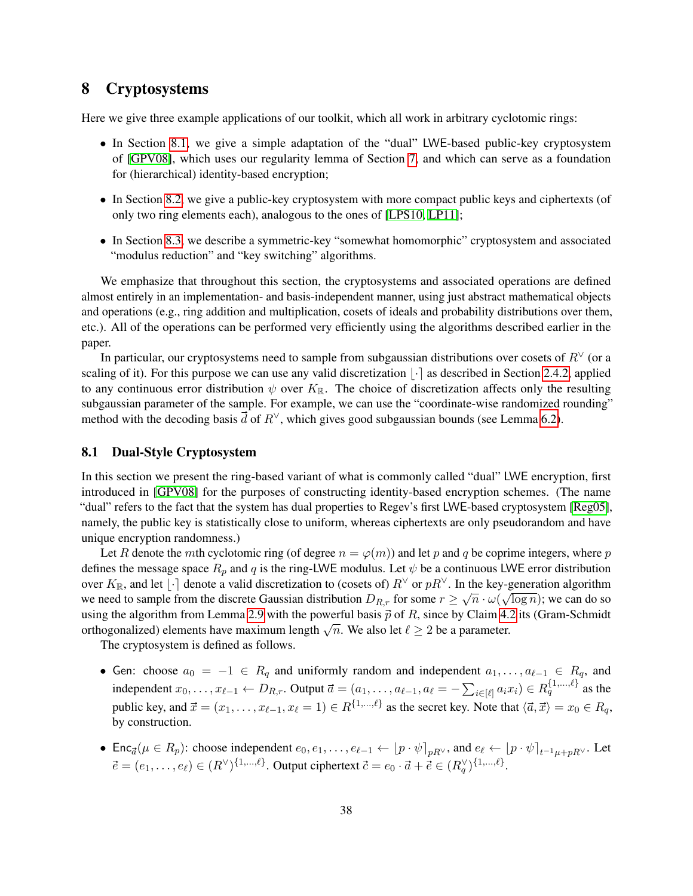# <span id="page-37-0"></span>8 Cryptosystems

Here we give three example applications of our toolkit, which all work in arbitrary cyclotomic rings:

- In Section [8.1,](#page-37-1) we give a simple adaptation of the "dual" LWE-based public-key cryptosystem of [\[GPV08\]](#page-48-11), which uses our regularity lemma of Section [7,](#page-33-0) and which can serve as a foundation for (hierarchical) identity-based encryption;
- In Section [8.2,](#page-38-0) we give a public-key cryptosystem with more compact public keys and ciphertexts (of only two ring elements each), analogous to the ones of [\[LPS10,](#page-49-15) [LP11\]](#page-49-16);
- In Section [8.3,](#page-40-0) we describe a symmetric-key "somewhat homomorphic" cryptosystem and associated "modulus reduction" and "key switching" algorithms.

We emphasize that throughout this section, the cryptosystems and associated operations are defined almost entirely in an implementation- and basis-independent manner, using just abstract mathematical objects and operations (e.g., ring addition and multiplication, cosets of ideals and probability distributions over them, etc.). All of the operations can be performed very efficiently using the algorithms described earlier in the paper.

In particular, our cryptosystems need to sample from subgaussian distributions over cosets of  $R<sup>0</sup>$  (or a scaling of it). For this purpose we can use any valid discretization  $|\cdot|$  as described in Section [2.4.2,](#page-13-0) applied to any continuous error distribution  $\psi$  over  $K_{\mathbb{R}}$ . The choice of discretization affects only the resulting subgaussian parameter of the sample. For example, we can use the "coordinate-wise randomized rounding" method with the decoding basis  $\vec{d}$  of  $R^{\vee}$ , which gives good subgaussian bounds (see Lemma [6.2\)](#page-28-3).

### <span id="page-37-1"></span>8.1 Dual-Style Cryptosystem

In this section we present the ring-based variant of what is commonly called "dual" LWE encryption, first introduced in [\[GPV08\]](#page-48-11) for the purposes of constructing identity-based encryption schemes. (The name "dual" refers to the fact that the system has dual properties to Regev's first LWE-based cryptosystem [\[Reg05\]](#page-49-2), namely, the public key is statistically close to uniform, whereas ciphertexts are only pseudorandom and have unique encryption randomness.)

Let R denote the mth cyclotomic ring (of degree  $n = \varphi(m)$ ) and let p and q be coprime integers, where p defines the message space  $R_p$  and q is the ring-LWE modulus. Let  $\psi$  be a continuous LWE error distribution over  $K_{\mathbb{R}}$ , and let  $\lfloor \cdot \rfloor$  denote a valid discretization to (cosets of)  $R^{\vee}$  or  $pR^{\vee}$ . In the key-generation algorithm we need to sample from the discrete Gaussian distribution  $D_{R,r}$  for some  $r \ge \sqrt{n} \cdot \omega(\sqrt{\log n})$ ; we can do so using the algorithm from Lemma [2.9](#page-12-0) with the powerful basis  $\vec{p}$  of R, since by Claim [4.2](#page-24-2) its (Gram-Schmidt orthogonalized) elements have maximum length  $\sqrt{n}$ . We also let  $\ell \geq 2$  be a parameter.

The cryptosystem is defined as follows.

- Gen: choose  $a_0 = -1 \in R_q$  and uniformly random and independent  $a_1, \ldots, a_{\ell-1} \in R_q$ , and independent  $x_0, \ldots, x_{\ell-1} \leftarrow D_{R,r}$ . Output  $\vec{a} = (a_1, \ldots, a_{\ell-1}, a_\ell = -\sum_{i \in [\ell]} a_i x_i) \in R_q^{\{1, \ldots, \ell\}}$  as the public key, and  $\vec{x} = (x_1, \dots, x_{\ell-1}, x_\ell = 1) \in R^{\{1, \dots, \ell\}}$  as the secret key. Note that  $\langle \vec{a}, \vec{x} \rangle = x_0 \in R_q$ , by construction.
- Enc<sub> $\vec{a}(\mu \in R_p)$ : choose independent  $e_0, e_1, \ldots, e_{\ell-1} \leftarrow [p \cdot \psi]_{pR}$ , and  $e_{\ell} \leftarrow [p \cdot \psi]_{t^{-1}\mu + pR}$ . Let</sub>  $\vec{e} = (e_1, \ldots, e_\ell) \in (R^\vee)^{\{1, \ldots, \ell\}}$ . Output ciphertext  $\vec{c} = e_0 \cdot \vec{a} + \vec{e} \in (R^\vee_q)^{\{1, \ldots, \ell\}}$ .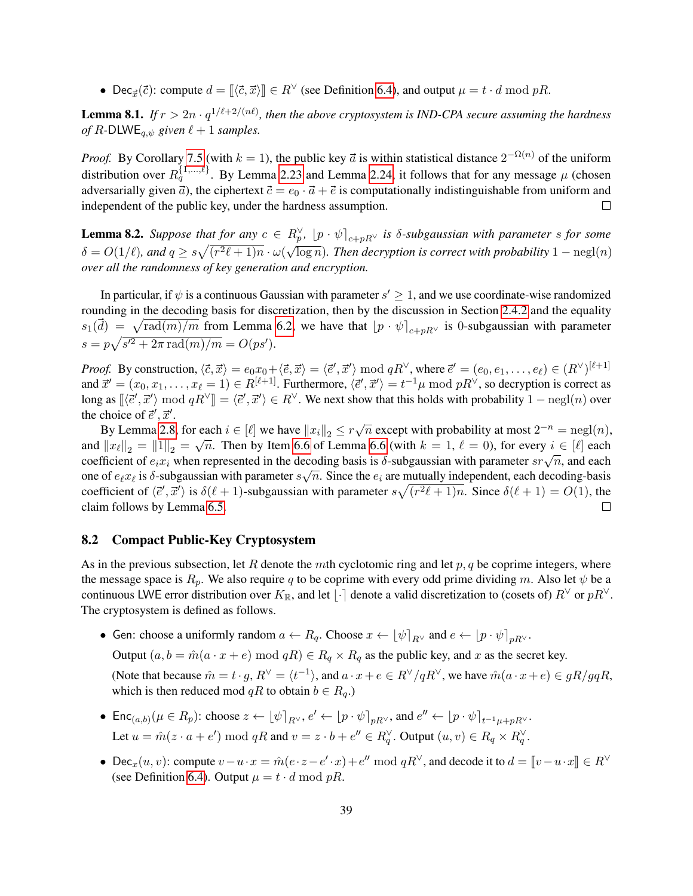• Dec<sub> $\vec{x}(\vec{c})$ : compute  $d = [(\vec{c}, \vec{x})] \in R^{\vee}$  (see Definition [6.4\)](#page-30-2), and output  $\mu = t \cdot d \mod pR$ .</sub>

**Lemma 8.1.** If  $r > 2n \cdot q^{1/\ell + 2/(n\ell)}$ , then the above cryptosystem is IND-CPA secure assuming the hardness *of*  $R$ -DLWE<sub>a, $\psi$ </sub> given  $\ell + 1$  *samples.* 

*Proof.* By Corollary [7.5](#page-35-1) (with  $k = 1$ ), the public key  $\vec{a}$  is within statistical distance  $2^{-\Omega(n)}$  of the uniform distribution over  $R_q^{\{1,\ldots,\ell\}}$ . By Lemma [2.23](#page-20-0) and Lemma [2.24,](#page-20-1) it follows that for any message  $\mu$  (chosen adversarially given  $\vec{a}$ ), the ciphertext  $\vec{c} = e_0 \cdot \vec{a} + \vec{e}$  is computationally indistinguishable from uniform and independent of the public key, under the hardness assumption.  $\Box$ 

**Lemma 8.2.** Suppose that for any  $c \in R_p^{\vee}$ ,  $[p \cdot \psi]_{c+pR^{\vee}}$  is  $\delta$ -subgaussian with parameter s for some  $\delta = O(1/\ell)$ , and  $q \ge s\sqrt{(r^2\ell+1)n} \cdot \omega(\sqrt{\log n})$ . Then decryption is correct with probability  $1 - \text{negl}(n)$ *over all the randomness of key generation and encryption.*

In particular, if  $\psi$  is a continuous Gaussian with parameter  $s' \geq 1$ , and we use coordinate-wise randomized rounding in the decoding basis for discretization, then by the discussion in Section [2.4.2](#page-13-0) and the equality  $s_1(\vec{d}) = \sqrt{\text{rad}(m)/m}$  from Lemma [6.2,](#page-28-3) we have that  $\left[p \cdot \psi\right]_{c+pR}$  is 0-subgaussian with parameter  $s = p\sqrt{s^{2} + 2\pi \text{ rad}(m)/m} = O(ps').$ 

*Proof.* By construction,  $\langle \vec{c}, \vec{x} \rangle = e_0 x_0 + \langle \vec{e}, \vec{x} \rangle = \langle \vec{e}', \vec{x}' \rangle \bmod qR^{\vee}$ , where  $\vec{e}' = (e_0, e_1, \dots, e_{\ell}) \in (R^{\vee})^{[\ell+1]}$ and  $\vec{x}' = (x_0, x_1, \dots, x_\ell = 1) \in R^{[\ell+1]}$ . Furthermore,  $\langle \vec{e}', \vec{x}' \rangle = t^{-1} \mu \bmod pR^\vee$ , so decryption is correct as long as  $[\langle \vec{e}', \vec{x}' \rangle \mod qR^{\vee}] = \langle \vec{e}', \vec{x}' \rangle \in R^{\vee}$ . We next show that this holds with probability  $1 - \text{negl}(n)$  over the choice of  $\vec{e}'$  and  $\vec{e}'$ the choice of  $\vec{e}', \vec{x}'$ .

By Lemma [2.8,](#page-12-3) for each  $i \in [\ell]$  we have  $||x_i||_2 \le r\sqrt{n}$  except with probability at most  $2^{-n} = \text{negl}(n)$ , and  $||x_\ell||_2 = ||1||_2 = \sqrt{n}$ . Then by Item [6.6](#page-30-1) of Lemma 6.6 (with  $k = 1$ ,  $\ell = 0$ ), for every  $i \in [\ell]$  each and  $||x_{\ell}||_2 = ||1||_2 = \sqrt{n}$ . Then by item 6.0 of Lemma 6.6 (with  $\kappa = 1$ ,  $\ell = 0$ ), for every  $\ell \in [\ell]$  each coefficient of  $e_i x_i$  when represented in the decoding basis is  $\delta$ -subgaussian with parameter  $s\gamma/\overline{n}$ , and one of  $e_\ell x_\ell$  is  $\delta$ -subgaussian with parameter  $s\sqrt{n}$ . Since the  $e_i$  are mutually independent, each decoding-basis coefficient of  $\langle \vec{e}', \vec{x}' \rangle$  is  $\delta(\ell+1)$ -subgaussian with parameter  $s\sqrt{(r^2\ell+1)n}$ . Since  $\delta(\ell+1) = O(1)$ , the claim follows by Lemma [6.5.](#page-30-0)  $\Box$ 

### <span id="page-38-0"></span>8.2 Compact Public-Key Cryptosystem

As in the previous subsection, let R denote the mth cyclotomic ring and let  $p, q$  be coprime integers, where the message space is  $R_p$ . We also require q to be coprime with every odd prime dividing m. Also let  $\psi$  be a continuous LWE error distribution over  $K_{\mathbb{R}}$ , and let  $\lfloor \cdot \rfloor$  denote a valid discretization to (cosets of)  $R^{\vee}$  or  $pR^{\vee}$ . The cryptosystem is defined as follows.

• Gen: choose a uniformly random  $a \leftarrow R_q$ . Choose  $x \leftarrow |\psi|_{R^{\vee}}$  and  $e \leftarrow |p \cdot \psi|_{R^{\vee}}$ .

Output  $(a, b = \hat{m}(a \cdot x + e) \mod qR) \in R_q \times R_q$  as the public key, and x as the secret key. (Note that because  $\hat{m} = t \cdot g$ ,  $R^{\vee} = \langle t^{-1} \rangle$ , and  $a \cdot x + e \in R^{\vee}/qR^{\vee}$ , we have  $\hat{m}(a \cdot x + e) \in gR/gqR$ , which is then reduced mod qR to obtain  $b \in R_q$ .)

- Enc<sub>(a,b)</sub>( $\mu \in R_p$ ): choose  $z \leftarrow [\psi]_{R^{\vee}}$ ,  $e' \leftarrow [p \cdot \psi]_{pR^{\vee}}$ , and  $e'' \leftarrow [p \cdot \psi]_{t^{-1}\mu + pR^{\vee}}$ . Let  $u = \hat{m}(z \cdot a + e') \mod qR$  and  $v = z \cdot b + e'' \in R_q^{\vee}$ . Output  $(u, v) \in R_q \times R_q^{\vee}$ .
- Dec<sub>x</sub>(u, v): compute  $v-u \cdot x = \hat{m}(e \cdot z e' \cdot x) + e'' \mod qR^\vee$ , and decode it to  $d = [v-u \cdot x] \in R^\vee$ <br>(see Definition 6.4). Output  $u = t$ , d mod pR (see Definition [6.4\)](#page-30-2). Output  $\mu = t \cdot d \mod pR$ .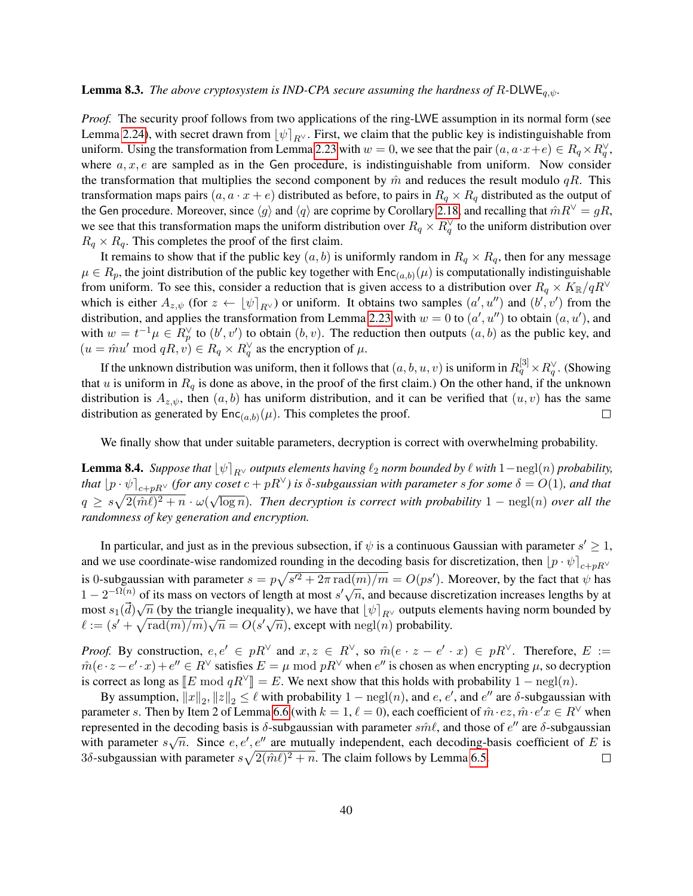### **Lemma 8.3.** *The above cryptosystem is IND-CPA secure assuming the hardness of R-DLWE*<sub> $q,\psi$ </sub>.

*Proof.* The security proof follows from two applications of the ring-LWE assumption in its normal form (see Lemma [2.24\)](#page-20-1), with secret drawn from  $\psi|_{R}$ ∨. First, we claim that the public key is indistinguishable from uniform. Using the transformation from Lemma [2.23](#page-20-0) with  $w = 0$ , we see that the pair  $(a, a \cdot x + e) \in R_q \times R_q^{\vee}$ , where  $a, x, e$  are sampled as in the Gen procedure, is indistinguishable from uniform. Now consider the transformation that multiplies the second component by  $\hat{m}$  and reduces the result modulo qR. This transformation maps pairs  $(a, a \cdot x + e)$  distributed as before, to pairs in  $R_q \times R_q$  distributed as the output of the Gen procedure. Moreover, since  $\langle g \rangle$  and  $\langle q \rangle$  are coprime by Corollary [2.18,](#page-18-3) and recalling that  $\hat{m}R^{\vee} = gR$ , we see that this transformation maps the uniform distribution over  $R_q \times R_q^{\vee}$  to the uniform distribution over  $R_q \times R_q$ . This completes the proof of the first claim.

It remains to show that if the public key  $(a, b)$  is uniformly random in  $R_q \times R_q$ , then for any message  $\mu \in R_p$ , the joint distribution of the public key together with  $Enc_{(a,b)}(\mu)$  is computationally indistinguishable from uniform. To see this, consider a reduction that is given access to a distribution over  $R_q \times K_{\mathbb{R}}/qR^{\vee}$ which is either  $A_{z,\psi}$  (for  $z \leftarrow [\psi]_{R^{\vee}}$ ) or uniform. It obtains two samples  $(a', u'')$  and  $(b', v')$  from the distribution, and applies the transformation from Lemma [2.23](#page-20-0) with  $w = 0$  to  $(a', u'')$  to obtain  $(a, u')$ , and with  $w = t^{-1}\mu \in R_p^{\vee}$  to  $(b', v')$  to obtain  $(b, v)$ . The reduction then outputs  $(a, b)$  as the public key, and  $(u = \hat{m}u' \bmod qR, v) \in R_q \times R_q^{\vee}$  as the encryption of  $\mu$ .

If the unknown distribution was uniform, then it follows that  $(a,b,u,v)$  is uniform in  $R^{[3]}_q\times R^\vee_q$  . (Showing that u is uniform in  $R_q$  is done as above, in the proof of the first claim.) On the other hand, if the unknown distribution is  $A_{z,\psi}$ , then  $(a, b)$  has uniform distribution, and it can be verified that  $(u, v)$  has the same distribution as generated by  $\mathsf{Enc}_{(a,b)}(\mu)$ . This completes the proof.  $\Box$ 

We finally show that under suitable parameters, decryption is correct with overwhelming probability.

**Lemma 8.4.** *Suppose that*  $\left[\psi\right]_{R^\vee}$  *outputs elements having*  $\ell_2$  *norm bounded by*  $\ell$  *with* 1−negl(*n*) *probability, that*  $\left[p \cdot \psi\right]_{c+pR} \vee$  (*for any coset*  $c + pR^{\vee}$ *) is*  $\delta$ *-subgaussian with parameter s for some*  $\delta = O(1)$ *, and that*  $q \geq s\sqrt{2(\hat{m}\ell)^2+n}\cdot\omega(\sqrt{\log n})$ . Then decryption is correct with probability  $1-\text{negl}(n)$  over all the *randomness of key generation and encryption.*

In particular, and just as in the previous subsection, if  $\psi$  is a continuous Gaussian with parameter  $s' \geq 1$ , and we use coordinate-wise randomized rounding in the decoding basis for discretization, then  $\left[p \cdot \psi\right]_{c+nR}$ is 0-subgaussian with parameter  $s = p\sqrt{s'^2 + 2\pi \text{ rad}(m)/m} = O(ps')$ . Moreover, by the fact that  $\psi$  has Is 0-subgaussian with parameter  $s = p\sqrt{s} + 2\pi \tan(m)/m = O(ps)$ . Moreover, by the fact that  $\psi$  has  $1 - 2^{-\Omega(n)}$  of its mass on vectors of length at most  $s'\sqrt{n}$ , and because discretization increases lengths by at most  $s_1(d)\sqrt{n}$  (by the triangle inequality), we have that  $\lfloor \psi \rfloor_{R^{\vee}}$  outputs elements having norm bounded by those  $s_1(a)\sqrt{n}$  (by the triangle inequality), we have that  $\lfloor \psi \rfloor_{R}$  burplus electric  $\ell := (s' + \sqrt{\text{rad}(m)/m})\sqrt{n} = O(s'\sqrt{n})$ , except with negl(n) probability.

*Proof.* By construction,  $e, e' \in pR^{\vee}$  and  $x, z \in R^{\vee}$ , so  $\hat{m}(e \cdot z - e' \cdot x) \in pR^{\vee}$ . Therefore,  $E :=$  $\hat{m}(e \cdot z - e' \cdot x) + e'' \in R^{\vee}$  satisfies  $E = \mu \mod pR^{\vee}$  when  $e''$  is chosen as when encrypting  $\mu$ , so decryption is correct as long as  $\llbracket E \bmod qR^{\vee} \rrbracket = E$ . We next show that this holds with probability  $1 - \text{negl}(n)$ .

By assumption,  $||x||_2$ ,  $||z||_2 \le \ell$  with probability  $1 - \text{negl}(n)$ , and  $e$ ,  $e'$ , and  $e''$  are  $\delta$ -subgaussian with parameter s. Then by Item 2 of Lemma [6.6](#page-30-1) (with  $k = 1, \ell = 0$ ), each coefficient of  $\hat{m} \cdot ez, \hat{m} \cdot e'x \in R^{\vee}$  when represented in the decoding basis is  $\delta$ -subgaussian with parameter  $\hat{sn} \ell$ , and those of  $e''$  are  $\delta$ -subgaussian represented in the decoding basis is *o*-subgaussian with parameter *since*, and those or  $e^x$  are *o*-subgaussian<br>with parameter  $s\sqrt{n}$ . Since  $e, e', e''$  are mutually independent, each decoding-basis coefficient of E is 3 $\delta$ -subgaussian with parameter  $s\sqrt{2(\hat{m}\ell)^2 + n}$ . The claim follows by Lemma [6.5.](#page-30-0)  $\Box$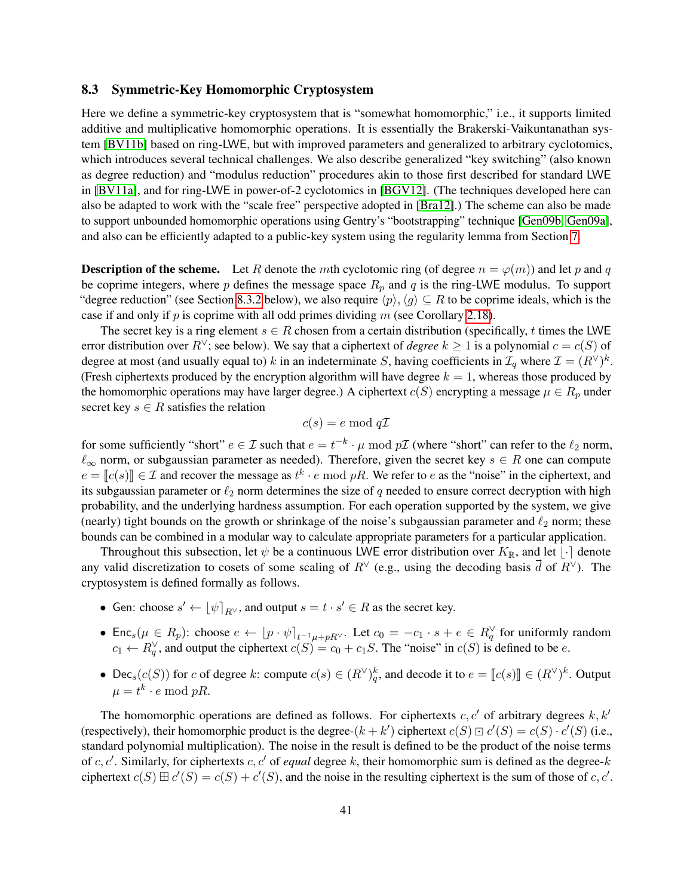### <span id="page-40-0"></span>8.3 Symmetric-Key Homomorphic Cryptosystem

Here we define a symmetric-key cryptosystem that is "somewhat homomorphic," i.e., it supports limited additive and multiplicative homomorphic operations. It is essentially the Brakerski-Vaikuntanathan system [\[BV11b\]](#page-48-7) based on ring-LWE, but with improved parameters and generalized to arbitrary cyclotomics, which introduces several technical challenges. We also describe generalized "key switching" (also known as degree reduction) and "modulus reduction" procedures akin to those first described for standard LWE in [\[BV11a\]](#page-47-2), and for ring-LWE in power-of-2 cyclotomics in [\[BGV12\]](#page-47-0). (The techniques developed here can also be adapted to work with the "scale free" perspective adopted in [\[Bra12\]](#page-47-11).) The scheme can also be made to support unbounded homomorphic operations using Gentry's "bootstrapping" technique [\[Gen09b,](#page-48-0) [Gen09a\]](#page-48-1), and also can be efficiently adapted to a public-key system using the regularity lemma from Section [7.](#page-33-0)

**Description of the scheme.** Let R denote the mth cyclotomic ring (of degree  $n = \varphi(m)$ ) and let p and q be coprime integers, where p defines the message space  $R_p$  and q is the ring-LWE modulus. To support "degree reduction" (see Section [8.3.2](#page-43-0) below), we also require  $\langle p \rangle$ ,  $\langle q \rangle \subseteq R$  to be coprime ideals, which is the case if and only if p is coprime with all odd primes dividing  $m$  (see Corollary [2.18\)](#page-18-3).

The secret key is a ring element  $s \in R$  chosen from a certain distribution (specifically, t times the LWE error distribution over R<sup>∨</sup>; see below). We say that a ciphertext of *degree*  $k \ge 1$  is a polynomial  $c = c(S)$  of degree at most (and usually equal to) k in an indeterminate S, having coefficients in  $\mathcal{I}_q$  where  $\mathcal{I} = (R^{\vee})^k$ . (Fresh ciphertexts produced by the encryption algorithm will have degree  $k = 1$ , whereas those produced by the homomorphic operations may have larger degree.) A ciphertext  $c(S)$  encrypting a message  $\mu \in R_p$  under secret key  $s \in R$  satisfies the relation

$$
c(s) = e \bmod q\mathcal{I}
$$

for some sufficiently "short"  $e\in\mathcal{I}$  such that  $e=t^{-k}\cdot \mu \bmod p\mathcal{I}$  (where "short" can refer to the  $\ell_2$  norm,  $\ell_{\infty}$  norm, or subgaussian parameter as needed). Therefore, given the secret key  $s \in R$  one can compute  $e = [c(s)] \in \mathcal{I}$  and recover the message as  $t^k \cdot e \mod pR$ . We refer to e as the "noise" in the ciphertext, and  $i\in \mathcal{I}$  and  $i\in \mathcal{I}$  are not determines the circle of a needed to ensure correct decreation with high its subgaussian parameter or  $\ell_2$  norm determines the size of q needed to ensure correct decryption with high probability, and the underlying hardness assumption. For each operation supported by the system, we give (nearly) tight bounds on the growth or shrinkage of the noise's subgaussian parameter and  $\ell_2$  norm; these bounds can be combined in a modular way to calculate appropriate parameters for a particular application.

Throughout this subsection, let  $\psi$  be a continuous LWE error distribution over  $K_{\mathbb{R}}$ , and let  $\lfloor \cdot \rceil$  denote any valid discretization to cosets of some scaling of R<sup> $\lor$ </sup> (e.g., using the decoding basis  $\vec{d}$  of  $R^{\lor}$ ). The cryptosystem is defined formally as follows.

- Gen: choose  $s' \leftarrow \lfloor \psi \rceil_{R^{\vee}}$ , and output  $s = t \cdot s' \in R$  as the secret key.
- Enc<sub>s</sub>( $\mu \in R_p$ ): choose  $e \leftarrow [p \cdot \psi]_{t^{-1}\mu + pR}$ . Let  $c_0 = -c_1 \cdot s + e \in R_q^{\vee}$  for uniformly random  $c_1 \leftarrow R_q^{\vee}$ , and output the ciphertext  $c(S) = c_0 + c_1S$ . The "noise" in  $c(S)$  is defined to be e.
- Dec<sub>s</sub>(c(S)) for c of degree k: compute  $c(s) \in (R^{\vee})_q^k$ , and decode it to  $e = [c(s)] \in (R^{\vee})^k$ . Output  $\mu = t^k \cdot e \bmod pR$ .

The homomorphic operations are defined as follows. For ciphertexts  $c, c'$  of arbitrary degrees  $k, k'$ (respectively), their homomorphic product is the degree- $(k + k')$  ciphertext  $c(S) \sqsupset c'(S) = c(S) \cdot c'(S)$  (i.e., atomorphic product polynomial multiplication). The naise in the result is defined to be the product of the naise ter standard polynomial multiplication). The noise in the result is defined to be the product of the noise terms of  $c, c'$ . Similarly, for ciphertexts  $c, c'$  of *equal* degree k, their homomorphic sum is defined as the degree-k ciphertext  $c(S) \boxplus c'(S) = c(S) + c'(S)$ , and the noise in the resulting ciphertext is the sum of those of c, c'.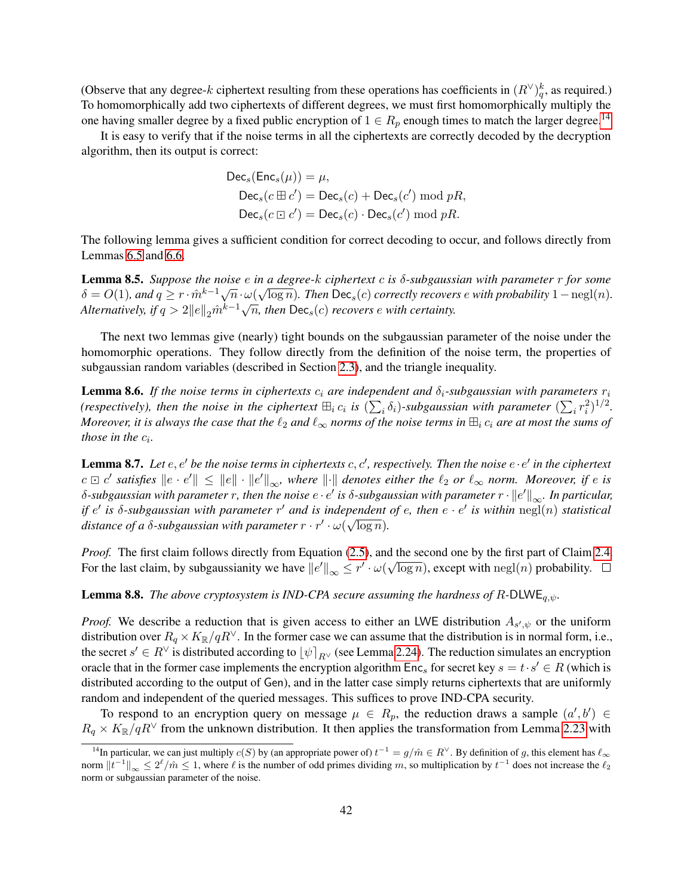(Observe that any degree-k ciphertext resulting from these operations has coefficients in  $(R^{\vee})_q^k$ , as required.) To homomorphically add two ciphertexts of different degrees, we must first homomorphically multiply the one having smaller degree by a fixed public encryption of  $1 \in R_p$  enough times to match the larger degree.<sup>[14](#page-41-0)</sup>

It is easy to verify that if the noise terms in all the ciphertexts are correctly decoded by the decryption algorithm, then its output is correct:

$$
\begin{aligned} \textsf{Dec}_s(\textsf{Enc}_s(\mu)) &= \mu, \\ \textsf{Dec}_s(c \boxplus c') &= \textsf{Dec}_s(c) + \textsf{Dec}_s(c') \bmod pR, \\ \textsf{Dec}_s(c \boxdot c') &= \textsf{Dec}_s(c) \cdot \textsf{Dec}_s(c') \bmod pR. \end{aligned}
$$

The following lemma gives a sufficient condition for correct decoding to occur, and follows directly from Lemmas [6.5](#page-30-0) and [6.6.](#page-30-1)

Lemma 8.5. *Suppose the noise* e *in a degree-*k *ciphertext* c *is* δ*-subgaussian with parameter* r *for some* √ **Example 6.5.** Suppose the noise  $e$  in a degree-k cipheriext c is 0-subgaussian with parameter 1 for some  $\delta = O(1)$ , and  $q \ge r \cdot \hat{m}^{k-1} \sqrt{n} \cdot \omega(\sqrt{\log n})$ . Then  $\text{Dec}_s(c)$  correctly recovers e with probability  $1 - \text{negl}(n)$  $\alpha = O(1)$ , and  $q \ge 1/m$   $\sqrt{n} \cdot \omega(\sqrt{\log n})$ . Then  $\text{Dec}_s(c)$  correctly recover<br>Alternatively, if  $q > 2||e||_2 \hat{m}^{k-1} \sqrt{n}$ , then  $\text{Dec}_s(c)$  recovers e with certainty.

The next two lemmas give (nearly) tight bounds on the subgaussian parameter of the noise under the homomorphic operations. They follow directly from the definition of the noise term, the properties of subgaussian random variables (described in Section [2.3\)](#page-9-2), and the triangle inequality.

**Lemma 8.6.** *If the noise terms in ciphertexts*  $c_i$  *are independent and*  $\delta_i$ -subgaussian with parameters  $r_i$ *(respectively), then the noise in the ciphertext*  $\oplus_i c_i$  *is*  $(\sum_i \delta_i)$ -subgaussian with parameter  $(\sum_i r_i^2)^{1/2}$ . *Moreover, it is always the case that the*  $\ell_2$  *and*  $\ell_\infty$  *norms of the noise terms in*  $\boxplus_i c_i$  *are at most the sums of those in the*  $c_i$ .

**Lemma 8.7.** Let  $e, e'$  be the noise terms in ciphertexts  $c, c'$ , respectively. Then the noise  $e \cdot e'$  in the ciphertext  $c ⊡ c'$  satisfies  $\parallel e \cdot e' \parallel$  ≤  $\parallel e \parallel \cdot \parallel e' \parallel_{\infty}$ , where  $\parallel \cdot \parallel$  denotes either the  $\ell_2$  or  $\ell_{\infty}$  norm. Moreover, if e is  $\delta$ -subgaussian with parameter  $r$ , then the noise  $e\cdot e'$  is  $\delta$ -subgaussian with parameter  $r\cdot \|e'\|_\infty.$  In particular, *if*  $e'$  *is* δ-subgaussian with parameter r' and is independent of e, then  $e \cdot e'$  is within negl(n) statistical distance of a  $\delta$ -subgaussian with parameter  $r \cdot r' \cdot \omega(\sqrt{\log n})$ .

*Proof.* The first claim follows directly from Equation [\(2.5\)](#page-15-3), and the second one by the first part of Claim [2.4.](#page-11-5) For the last claim, by subgaussianity we have  $||e'||_{\infty} \leq r' \cdot \omega(\sqrt{\log n})$ , except with  $\text{negl}(n)$  probability.

**Lemma 8.8.** *The above cryptosystem is IND-CPA secure assuming the hardness of R-DLWE*<sub> $q,\psi$ </sub>.

*Proof.* We describe a reduction that is given access to either an LWE distribution  $A_{s',\psi}$  or the uniform distribution over  $R_q \times K_{\mathbb{R}}/qR^{\vee}$ . In the former case we can assume that the distribution is in normal form, i.e., the secret  $s' \in R^{\vee}$  is distributed according to  $\lfloor \psi \rceil_{R^{\vee}}$  (see Lemma [2.24\)](#page-20-1). The reduction simulates an encryption oracle that in the former case implements the encryption algorithm  $\text{Enc}_s$  for secret key  $s = t \cdot s' \in R$  (which is distributed according to the output of Gen), and in the latter case simply returns ciphertexts that are uniformly random and independent of the queried messages. This suffices to prove IND-CPA security.

To respond to an encryption query on message  $\mu \in R_p$ , the reduction draws a sample  $(a', b') \in R_p$  $R_q \times K_{\mathbb{R}}/qR^{\vee}$  from the unknown distribution. It then applies the transformation from Lemma [2.23](#page-20-0) with

<span id="page-41-0"></span><sup>&</sup>lt;sup>14</sup>In particular, we can just multiply  $c(S)$  by (an appropriate power of)  $t^{-1} = g/\hat{m} \in R^{\vee}$ . By definition of g, this element has  $\ell_{\infty}$ norm  $||t^{-1}||_{\infty} \le 2^{\ell}/m \le 1$ , where  $\ell$  is the number of odd primes dividing m, so multiplication by  $t^{-1}$  does not increase the  $\ell_2$ norm or subgaussian parameter of the noise.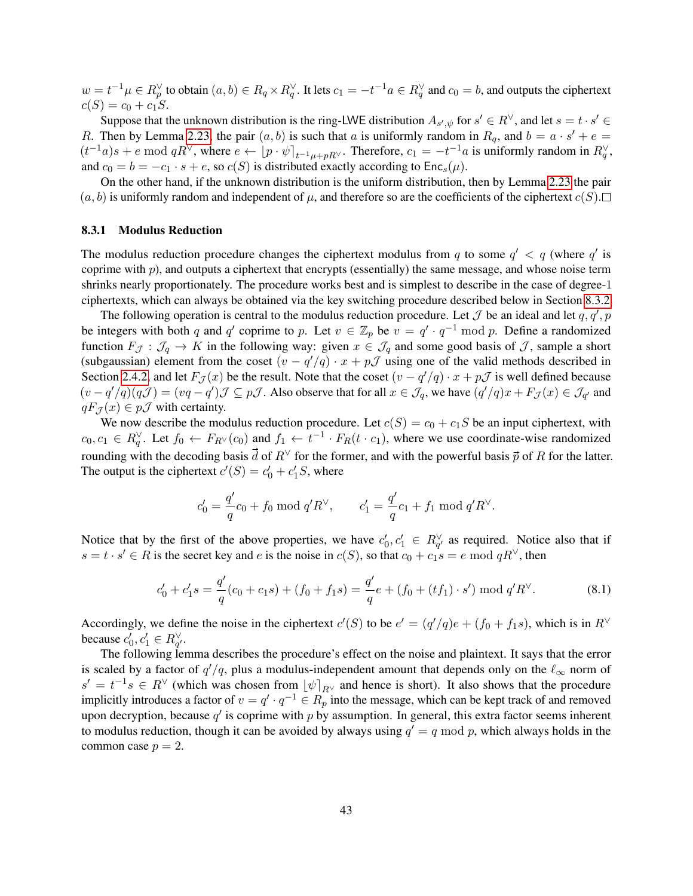$w = t^{-1}\mu \in R_p^{\vee}$  to obtain  $(a, b) \in R_q \times R_q^{\vee}$ . It lets  $c_1 = -t^{-1}a \in R_q^{\vee}$  and  $c_0 = b$ , and outputs the ciphertext  $c(S) = c_0 + c_1S$ .

Suppose that the unknown distribution is the ring-LWE distribution  $A_{s',\psi}$  for  $s' \in R^{\vee}$ , and let  $s = t \cdot s' \in R$ R. Then by Lemma [2.23,](#page-20-0) the pair  $(a, b)$  is such that a is uniformly random in  $R_q$ , and  $b = a \cdot s' + e = b$  $(t^{-1}a)s + e \bmod qR^{\vee}$ , where  $e \leftarrow [p \cdot \psi]_{t^{-1}\mu + pR^{\vee}}$ . Therefore,  $c_1 = -t^{-1}a$  is uniformly random in  $R_q^{\vee}$ , and  $c_0 = b = -c_1 \cdot s + e$ , so  $c(S)$  is distributed exactly according to  $Enc_s(\mu)$ .

On the other hand, if the unknown distribution is the uniform distribution, then by Lemma [2.23](#page-20-0) the pair  $(a, b)$  is uniformly random and independent of  $\mu$ , and therefore so are the coefficients of the ciphertext  $c(S)$ .

### 8.3.1 Modulus Reduction

The modulus reduction procedure changes the ciphertext modulus from q to some  $q' < q$  (where  $q'$  is coprime with  $p$ ), and outputs a ciphertext that encrypts (essentially) the same message, and whose noise term shrinks nearly proportionately. The procedure works best and is simplest to describe in the case of degree-1 ciphertexts, which can always be obtained via the key switching procedure described below in Section [8.3.2.](#page-43-0)

The following operation is central to the modulus reduction procedure. Let  $\mathcal J$  be an ideal and let  $q, q', p$ be integers with both q and q' coprime to p. Let  $v \in \mathbb{Z}_p$  be  $v = q' \cdot q^{-1} \bmod p$ . Define a randomized function  $F_{\mathcal{J}} : \mathcal{J}_q \to K$  in the following way: given  $x \in \mathcal{J}_q$  and some good basis of  $\mathcal{J}$ , sample a short (subgaussian) element from the coset  $(v - q'/q) \cdot x + p\mathcal{J}$  using one of the valid methods described in Section [2.4.2,](#page-13-0) and let  $F_{\mathcal{J}}(x)$  be the result. Note that the coset  $(v - q'/q) \cdot x + p\mathcal{J}$  is well defined because  $(v-q'/q)(q\mathcal{J}) = (vq-q')\mathcal{J} \subseteq p\mathcal{J}$ . Also observe that for all  $x \in \mathcal{J}_q$ , we have  $(q'/q)x + F_{\mathcal{J}}(x) \in \mathcal{J}_{q'}$  and  $qF_{\mathcal{J}}(x) \in p\mathcal{J}$  with certainty.

We now describe the modulus reduction procedure. Let  $c(S) = c_0 + c_1S$  be an input ciphertext, with  $c_0, c_1 \in R_q^{\vee}$ . Let  $f_0 \leftarrow F_{R^{\vee}}(c_0)$  and  $f_1 \leftarrow t^{-1} \cdot F_R(t \cdot c_1)$ , where we use coordinate-wise randomized rounding with the decoding basis  $\vec{d}$  of  $R^{\vee}$  for the former, and with the powerful basis  $\vec{p}$  of R for the latter. The output is the ciphertext  $c'(S) = c'_0 + c'_1 S$ , where

$$
c'_0 = \frac{q'}{q}c_0 + f_0 \bmod {q'}R^{\vee}, \qquad c'_1 = \frac{q'}{q}c_1 + f_1 \bmod {q'}R^{\vee}.
$$

Notice that by the first of the above properties, we have  $c'_0, c'_1 \in R_{q'}^{\vee}$  as required. Notice also that if  $s = t \cdot s' \in R$  is the secret key and e is the noise in  $c(S)$ , so that  $c_0 + c_1 s = e \mod qR^{\vee}$ , then

$$
c'_0 + c'_1 s = \frac{q'}{q}(c_0 + c_1 s) + (f_0 + f_1 s) = \frac{q'}{q}e + (f_0 + (tf_1) \cdot s') \bmod q' R^{\vee}.
$$
 (8.1)

Accordingly, we define the noise in the ciphertext  $c'(S)$  to be  $e' = (q'/q)e + (f_0 + f_1s)$ , which is in  $R^{\vee}$ because  $c'_0, c'_1 \in R_{q'}^{\vee}$ .

The following lemma describes the procedure's effect on the noise and plaintext. It says that the error is scaled by a factor of  $q'/q$ , plus a modulus-independent amount that depends only on the  $\ell_{\infty}$  norm of  $s' = t^{-1}s \in R^{\vee}$  (which was chosen from  $\lfloor \psi \rceil_{R^{\vee}}$  and hence is short). It also shows that the procedure implicitly introduces a factor of  $v = q' \cdot q^{-1} \in R_p$  into the message, which can be kept track of and removed upon decryption, because  $q'$  is coprime with p by assumption. In general, this extra factor seems inherent to modulus reduction, though it can be avoided by always using  $q' = q \mod p$ , which always holds in the common case  $p = 2$ .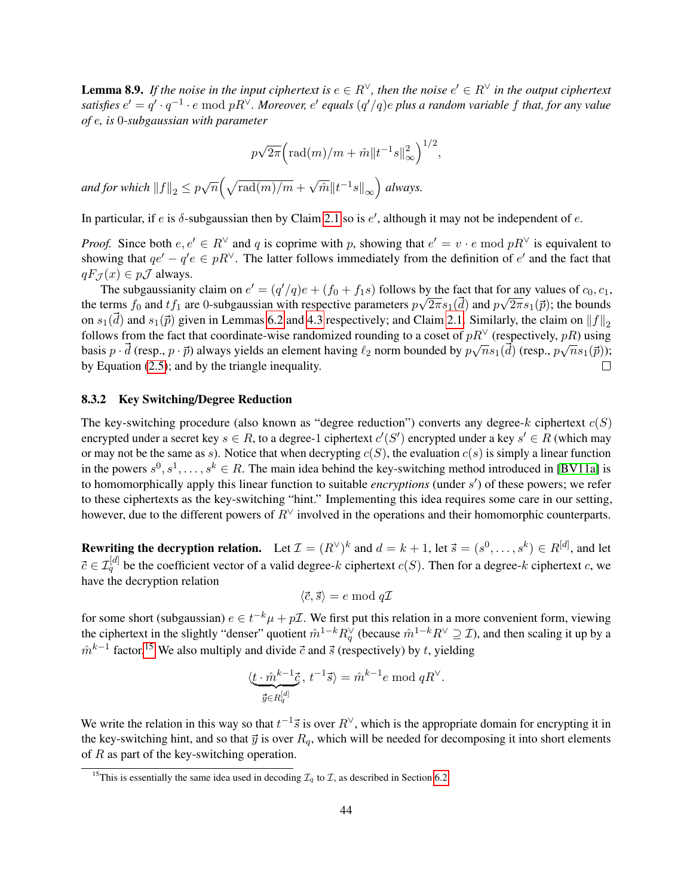**Lemma 8.9.** If the noise in the input ciphertext is  $e \in R^{\vee}$ , then the noise  $e' \in R^{\vee}$  in the output ciphertext satisfies  $e' = q' \cdot q^{-1} \cdot e \bmod pR^\vee$ . Moreover,  $e'$  equals  $(q'/q)e$  plus a random variable f that, for any value *of* e*, is* 0*-subgaussian with parameter*

$$
p\sqrt{2\pi}\Big(\mathrm{rad}(m)/m+\hat{m}\|t^{-1}s\|_\infty^2\Big)^{1/2},
$$

and for which  $||f||_2 \leq p\sqrt{n}\Big(\sqrt{\text{rad}(m)/m} +$ √  $\overline{\hat{m}}\Vert t^{-1}s\Vert_{\infty}\Big)$  always.

In particular, if e is  $\delta$ -subgaussian then by Claim [2.1](#page-9-1) so is  $e'$ , although it may not be independent of e.

*Proof.* Since both  $e, e' \in R^{\vee}$  and q is coprime with p, showing that  $e' = v \cdot e \mod pR^{\vee}$  is equivalent to showing that  $qe' - q'e \in pR^{\vee}$ . The latter follows immediately from the definition of  $e'$  and the fact that  $qF_{\mathcal{J}}(x) \in p\mathcal{J}$  always.

The subgaussianity claim on  $e' = (q'/q)e + (f_0 + f_1s)$  follows by the fact that for any values of  $c_0, c_1$ , the terms  $f_0$  and  $tf_1$  are 0-subgaussian with respective parameters  $p\sqrt{2\pi s_1(d)}$  and  $p\sqrt{2\pi s_1(\vec{p})}$ ; the bounds on  $s_1(\vec{d})$  and  $s_1(\vec{p})$  given in Lemmas [6.2](#page-28-3) and [4.3](#page-24-1) respectively; and Claim [2.1.](#page-9-1) Similarly, the claim on  $||f||_2$ follows from the fact that coordinate-wise randomized rounding to a coset of  $pR^{\vee}$  (respectively,  $pR$ ) using basis  $p \cdot d$  (resp.,  $p \cdot \vec{p}$ ) always yields an element having  $\ell_2$  norm bounded by  $p\sqrt{n}s_1(d)$  (resp.,  $p\sqrt{n}s_1(\vec{p})$ ); by Equation [\(2.5\)](#page-15-3); and by the triangle inequality.  $\Box$ 

### <span id="page-43-0"></span>8.3.2 Key Switching/Degree Reduction

The key-switching procedure (also known as "degree reduction") converts any degree- $k$  ciphertext  $c(S)$ encrypted under a secret key  $s \in R$ , to a degree-1 ciphertext  $c'(S')$  encrypted under a key  $s' \in R$  (which may or may not be the same as s). Notice that when decrypting  $c(S)$ , the evaluation  $c(s)$  is simply a linear function in the powers  $s^0, s^1, \ldots, s^k \in R$ . The main idea behind the key-switching method introduced in [\[BV11a\]](#page-47-2) is to homomorphically apply this linear function to suitable *encryptions* (under s 0 ) of these powers; we refer to these ciphertexts as the key-switching "hint." Implementing this idea requires some care in our setting, however, due to the different powers of  $R<sup>∨</sup>$  involved in the operations and their homomorphic counterparts.

**Rewriting the decryption relation.** Let  $\mathcal{I} = (R^{\vee})^k$  and  $d = k + 1$ , let  $\vec{s} = (s^0, \dots, s^k) \in R^{[d]}$ , and let  $\vec{c} \in \mathcal{I}_q^{[d]}$  be the coefficient vector of a valid degree-k ciphertext  $c(S)$ . Then for a degree-k ciphertext c, we have the decryption relation

$$
\langle \vec{c}, \vec{s} \rangle = e \bmod{q\mathcal{I}}
$$

for some short (subgaussian)  $e \in t^{-k} \mu + p \mathcal{I}$ . We first put this relation in a more convenient form, viewing the ciphertext in the slightly "denser" quotient  $\hat{m}^{1-k}R_q^{\vee}$  (because  $\hat{m}^{1-k}R^{\vee} \supseteq \mathcal{I}$ ), and then scaling it up by a  $\hat{m}^{k-1}$  factor.<sup>[15](#page-43-1)</sup> We also multiply and divide  $\vec{c}$  and  $\vec{s}$  (respectively) by t, yielding

$$
\langle \underbrace{t \cdot \hat{m}^{k-1} \vec{c}}_{\vec{y} \in R_q^{[d]}}, t^{-1} \vec{s} \rangle = \hat{m}^{k-1} e \text{ mod } qR^{\vee}.
$$

We write the relation in this way so that  $t^{-1}\vec{s}$  is over  $R^{\vee}$ , which is the appropriate domain for encrypting it in the key-switching hint, and so that  $\vec{y}$  is over  $R_q$ , which will be needed for decomposing it into short elements of  $R$  as part of the key-switching operation.

<span id="page-43-1"></span><sup>&</sup>lt;sup>15</sup>This is essentially the same idea used in decoding  $\mathcal{I}_q$  to  $\mathcal{I}$ , as described in Section [6.2.](#page-29-0)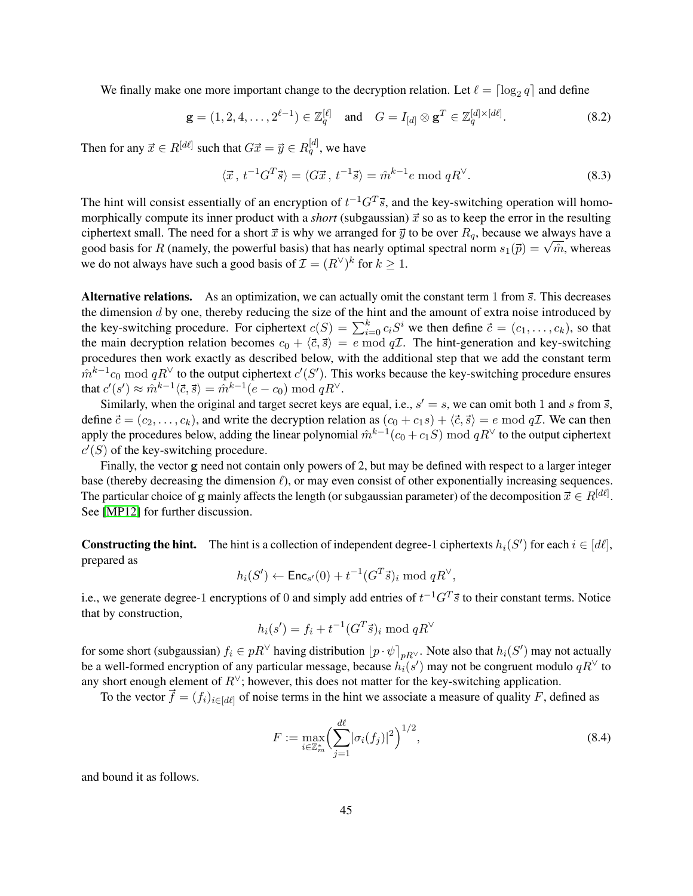We finally make one more important change to the decryption relation. Let  $\ell = \lceil \log_2 q \rceil$  and define

$$
\mathbf{g} = (1, 2, 4, \dots, 2^{\ell-1}) \in \mathbb{Z}_q^{[\ell]} \text{ and } G = I_{[d]} \otimes \mathbf{g}^T \in \mathbb{Z}_q^{[d] \times [d\ell]}.
$$
 (8.2)

Then for any  $\vec{x} \in R^{[d\ell]}$  such that  $G\vec{x} = \vec{y} \in R^{[d]}_q$ , we have

<span id="page-44-2"></span><span id="page-44-0"></span>
$$
\langle \vec{x}, t^{-1}G^T\vec{s} \rangle = \langle G\vec{x}, t^{-1}\vec{s} \rangle = \hat{m}^{k-1}e \text{ mod } qR^{\vee}.
$$
 (8.3)

The hint will consist essentially of an encryption of  $t^{-1}G^T\vec{s}$ , and the key-switching operation will homomorphically compute its inner product with a *short* (subgaussian)  $\vec{x}$  so as to keep the error in the resulting ciphertext small. The need for a short  $\vec{x}$  is why we arranged for  $\vec{y}$  to be over  $R_q$ , because we always have a efficiency conduct the powerful basis) that has nearly optimal spectral norm  $s_1(\vec{p}) = \sqrt{\hat{m}}$ , whereas good basis for R (namely, the powerful basis) that has nearly optimal spectral norm  $s_1(\vec{p}) = \sqrt{\hat{m}}$ , whereas we do not always have such a good basis of  $\mathcal{I} = (R^{\vee})^k$  for  $k \geq 1$ .

Alternative relations. As an optimization, we can actually omit the constant term 1 from  $\vec{s}$ . This decreases the dimension  $d$  by one, thereby reducing the size of the hint and the amount of extra noise introduced by the key-switching procedure. For ciphertext  $c(S) = \sum_{i=0}^{k} c_i S^i$  we then define  $\vec{c} = (c_1, \ldots, c_k)$ , so that the main decryption relation becomes  $c_0 + \langle \vec{c}, \vec{s} \rangle = e \mod q\mathcal{I}$ . The hint-generation and key-switching procedures then work exactly as described below, with the additional step that we add the constant term  $\hat{m}^{k-1}c_0 \bmod qR^{\vee}$  to the output ciphertext  $c'(S')$ . This works because the key-switching procedure ensures that  $c'(s') \approx \hat{m}^{k-1} \langle \vec{c}, \vec{s} \rangle = \hat{m}^{k-1} (e - c_0) \bmod qR^{\vee}$ .

Similarly, when the original and target secret keys are equal, i.e.,  $s' = s$ , we can omit both 1 and s from  $\vec{s}$ , define  $\vec{c} = (c_2, \ldots, c_k)$ , and write the decryption relation as  $(c_0 + c_1s) + \langle \vec{c}, \vec{s} \rangle = e \mod q\mathcal{I}$ . We can then apply the procedures below, adding the linear polynomial  $\hat{m}^{k-1}(c_0+c_1S) \bmod qR^\vee$  to the output ciphertext  $c'(S)$  of the key-switching procedure.

Finally, the vector g need not contain only powers of 2, but may be defined with respect to a larger integer base (thereby decreasing the dimension  $\ell$ ), or may even consist of other exponentially increasing sequences. The particular choice of g mainly affects the length (or subgaussian parameter) of the decomposition  $\vec{x} \in R^{[d\ell]}.$ See [\[MP12\]](#page-49-7) for further discussion.

**Constructing the hint.** The hint is a collection of independent degree-1 ciphertexts  $h_i(S')$  for each  $i \in [d\ell]$ , prepared as

$$
h_i(S') \leftarrow \mathsf{Enc}_{s'}(0) + t^{-1}(G^T \vec{s})_i \bmod qR^{\vee},
$$

i.e., we generate degree-1 encryptions of 0 and simply add entries of  $t^{-1}G^T\vec{s}$  to their constant terms. Notice that by construction,

$$
h_i(s') = f_i + t^{-1}(G^T \vec{s})_i \bmod qR^{\vee}
$$

for some short (subgaussian)  $f_i \in pR^{\vee}$  having distribution  $[p \cdot \psi]_{pR^{\vee}}$ . Note also that  $h_i(S')$  may not actually be a well-formed encryption of any particular message, because  $h_i(s')$  may not be congruent modulo  $qR^{\vee}$  to any short enough element of  $R^{\vee}$ ; however, this does not matter for the key-switching application.

To the vector  $\vec{f} = (f_i)_{i \in [d\ell]}$  of noise terms in the hint we associate a measure of quality F, defined as

<span id="page-44-1"></span>
$$
F := \max_{i \in \mathbb{Z}_m^*} \left( \sum_{j=1}^{d\ell} |\sigma_i(f_j)|^2 \right)^{1/2},\tag{8.4}
$$

and bound it as follows.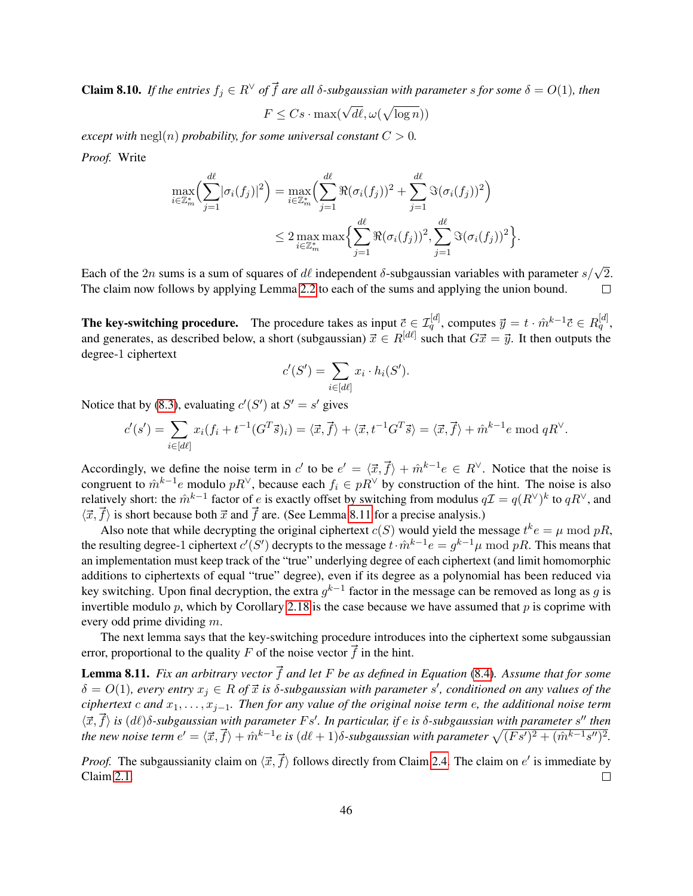**Claim 8.10.** *If the entries*  $f_i \in R^{\vee}$  *of*  $\vec{f}$  *are all*  $\delta$ -subgaussian with parameter *s* for some  $\delta = O(1)$ *, then* 

$$
F \leq Cs \cdot \max(\sqrt{d\ell}, \omega(\sqrt{\log n}))
$$

*except with*  $negl(n)$  *probability, for some universal constant*  $C > 0$ *. Proof.* Write

$$
\max_{i \in \mathbb{Z}_m^*} \left( \sum_{j=1}^{d\ell} |\sigma_i(f_j)|^2 \right) = \max_{i \in \mathbb{Z}_m^*} \left( \sum_{j=1}^{d\ell} \Re(\sigma_i(f_j))^2 + \sum_{j=1}^{d\ell} \Im(\sigma_i(f_j))^2 \right)
$$
  

$$
\leq 2 \max_{i \in \mathbb{Z}_m^*} \max \left\{ \sum_{j=1}^{d\ell} \Re(\sigma_i(f_j))^2, \sum_{j=1}^{d\ell} \Im(\sigma_i(f_j))^2 \right\}
$$

.

Each of the  $2n$  sums is a sum of squares of  $d\ell$  independent  $\delta$ -subgaussian variables with parameter  $s/\sqrt{2}$ . The claim now follows by applying Lemma [2.2](#page-9-3) to each of the sums and applying the union bound.  $\Box$ 

The key-switching procedure. The procedure takes as input  $\vec{c} \in \mathcal{I}_q^{[d]}$ , computes  $\vec{y} = t \cdot \hat{m}^{k-1} \vec{c} \in R_q^{[d]}$ , and generates, as described below, a short (subgaussian)  $\vec{x} \in R^{[d\ell]}$  such that  $G\vec{x} = \vec{y}$ . It then outputs the degree-1 ciphertext

$$
c'(S') = \sum_{i \in [d\ell]} x_i \cdot h_i(S').
$$

Notice that by [\(8.3\)](#page-44-0), evaluating  $c'(S')$  at  $S' = s'$  gives

$$
c'(s') = \sum_{i \in [d\ell]} x_i (f_i + t^{-1} (G^T \vec{s})_i) = \langle \vec{x}, \vec{f} \rangle + \langle \vec{x}, t^{-1} G^T \vec{s} \rangle = \langle \vec{x}, \vec{f} \rangle + \hat{m}^{k-1} e \mod qR^{\vee}.
$$

Accordingly, we define the noise term in c' to be  $e' = \langle \vec{x}, \vec{f} \rangle + \hat{m}^{k-1} e \in R^{\vee}$ . Notice that the noise is congruent to  $\hat{m}^{k-1}e$  modulo  $pR^{\vee}$ , because each  $f_i \in pR^{\vee}$  by construction of the hint. The noise is also relatively short: the  $\hat{m}^{k-1}$  factor of e is exactly offset by switching from modulus  $q\mathcal{I} = q(R^{\vee})^k$  to  $qR^{\vee}$ , and  $\langle \vec{x}, \vec{f} \rangle$  is short because both  $\vec{x}$  and  $\vec{f}$  are. (See Lemma [8.11](#page-45-0) for a precise analysis.)

Also note that while decrypting the original ciphertext  $c(S)$  would yield the message  $t^k e = \mu \mod pR$ , the resulting degree-1 ciphertext  $c'(S')$  decrypts to the message  $t \cdot \hat{m}^{k-1} e = g^{k-1} \mu \text{ mod } pR$ . This means that an implementation must keep track of the "true" underlying degree of each ciphertext (and limit homomorphic additions to ciphertexts of equal "true" degree), even if its degree as a polynomial has been reduced via key switching. Upon final decryption, the extra  $g^{k-1}$  factor in the message can be removed as long as g is invertible modulo  $p$ , which by Corollary [2.18](#page-18-3) is the case because we have assumed that  $p$  is coprime with every odd prime dividing m.

The next lemma says that the key-switching procedure introduces into the ciphertext some subgaussian error, proportional to the quality F of the noise vector  $\vec{f}$  in the hint.

<span id="page-45-0"></span>**Lemma 8.11.** *Fix an arbitrary vector*  $\vec{f}$  *and let* F *be as defined in Equation* [\(8.4\)](#page-44-1)*.* Assume that for some  $\delta = O(1)$ , every entry  $x_j \in R$  of  $\vec{x}$  is  $\delta$ -subgaussian with parameter s', conditioned on any values of the *ciphertext* c *and* x1, . . . , xj−1*. Then for any value of the original noise term* e*, the additional noise term*  $\langle \vec{x}, \vec{f} \rangle$  is  $(d\ell)$ δ-subgaussian with parameter  $Fs'$ . In particular, if e is δ-subgaussian with parameter s<sup>*n*</sup> then *the new noise term*  $e' = \langle \vec{x}, \vec{f} \rangle + \hat{m}^{k-1}e$  *is*  $(d\ell + 1)\delta$ -subgaussian with parameter  $\sqrt{(Fs')^2 + (\hat{m}^{k-1}s'')^2}$ .

*Proof.* The subgaussianity claim on  $\langle \vec{x}, \vec{f} \rangle$  follows directly from Claim [2.4.](#page-11-5) The claim on  $e'$  is immediate by Claim [2.1.](#page-9-1)  $\Box$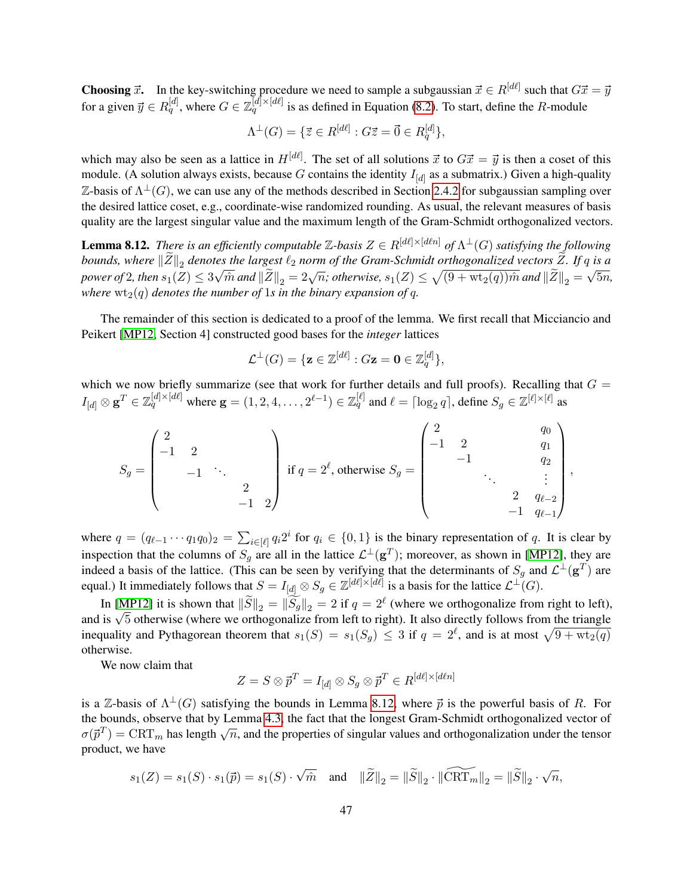**Choosing**  $\vec{x}$ . In the key-switching procedure we need to sample a subgaussian  $\vec{x} \in R^{[d\ell]}$  such that  $G\vec{x} = \vec{y}$ for a given  $\vec{y} \in R_q^{[d]}$ , where  $G \in \mathbb{Z}_q^{[d] \times [d\ell]}$  is as defined in Equation [\(8.2\)](#page-44-2). To start, define the R-module

$$
\Lambda^{\perp}(G) = \{ \vec{z} \in R^{[d\ell]} : G\vec{z} = \vec{0} \in R_q^{[d]} \},
$$

which may also be seen as a lattice in  $H^{[d\ell]}$ . The set of all solutions  $\vec{x}$  to  $G\vec{x} = \vec{y}$  is then a coset of this module. (A solution always exists, because G contains the identity  $I_{[d]}$  as a submatrix.) Given a high-quality Z-basis of  $\Lambda^{\perp}(G)$ , we can use any of the methods described in Section [2.4.2](#page-13-0) for subgaussian sampling over the desired lattice coset, e.g., coordinate-wise randomized rounding. As usual, the relevant measures of basis quality are the largest singular value and the maximum length of the Gram-Schmidt orthogonalized vectors.

<span id="page-46-0"></span>**Lemma 8.12.** *There is an efficiently computable*  $\mathbb{Z}$ -basis  $Z \in R^{[d\ell] \times [d\ell n]}$  of  $\Lambda^{\perp}(G)$  satisfying the following *bounds, where*  $||Z||_2$  *denotes the largest*  $\ell_2$  *norm of the Gram-Schmidt orthogonalized vectors* Z. If q *is a power of* 2*, then*  $s_1(Z) \leq 3\sqrt{\hat{m}}$  *and*  $\|\tilde{Z}\|_2 = 2\sqrt{n}$ ; *otherwise*,  $s_1(Z) \leq \sqrt{(9 + \text{wt}_2(q))\hat{m}}$  *and*  $\|\tilde{Z}\|_2 = \sqrt{5n}$ , *where*  $wt_2(q)$  *denotes the number of* 1*s in the binary expansion of* q.

The remainder of this section is dedicated to a proof of the lemma. We first recall that Micciancio and Peikert [\[MP12,](#page-49-7) Section 4] constructed good bases for the *integer* lattices

$$
\mathcal{L}^\perp(G)=\{\mathbf{z}\in\mathbb{Z}^{[d\ell]}:G\mathbf{z}=\mathbf{0}\in\mathbb{Z}_q^{[d]}\},
$$

which we now briefly summarize (see that work for further details and full proofs). Recalling that  $G =$  $I_{[d]}\otimes \mathbf{g}^T \in \mathbb{Z}_q^{[d]\times[d\ell]}$  where  $\mathbf{g}=(1,2,4,\ldots,2^{\ell-1})\in \mathbb{Z}_q^{[\ell]}$  and  $\ell=\lceil \log_2 q \rceil$ , define  $S_g\in \mathbb{Z}^{[\ell]\times[\ell]}$  as

$$
S_g = \begin{pmatrix} 2 & & & & \\ -1 & 2 & & & \\ & -1 & \ddots & & \\ & & 2 & & \\ & & & -1 & 2 \end{pmatrix} \text{ if } q = 2^{\ell}, \text{ otherwise } S_g = \begin{pmatrix} 2 & & & q_0 \\ -1 & 2 & & q_1 \\ & -1 & & & q_2 \\ & & \ddots & & \vdots \\ & & & 2 & q_{\ell-2} \\ & & & -1 & q_{\ell-1} \end{pmatrix},
$$

where  $q = (q_{\ell-1} \cdots q_1 q_0)_2 = \sum_{i \in [\ell]} q_i 2^i$  for  $q_i \in \{0, 1\}$  is the binary representation of q. It is clear by inspection that the columns of  $S_g$  are all in the lattice  $\mathcal{L}^{\perp}(g^T)$ ; moreover, as shown in [\[MP12\]](#page-49-7), they are indeed a basis of the lattice. (This can be seen by verifying that the determinants of  $S_g$  and  $\mathcal{L}^{\perp}(\mathbf{g}^T)$  are equal.) It immediately follows that  $S = I_{[d]} \otimes S_g \in \mathbb{Z}^{[d\ell] \times [d\ell]}$  is a basis for the lattice  $\mathcal{L}^{\perp}(G)$ .

In [\[MP12\]](#page-49-7) it is shown that  $\|\widetilde{S}\|_2 = \|\widetilde{S}_g\|_2 = 2$  if  $q = 2^{\ell}$  (where we orthogonalize from right to left), In [MP12] it is shown that  $||S||_2 = ||S_g||_2 = 2$  if  $q = 2^{\circ}$  (where we orthogonalize from right). It also directly follows from the triangle and is  $\sqrt{5}$  otherwise (where we orthogonalize from left to right). It also dire inequality and Pythagorean theorem that  $s_1(S) = s_1(S_g) \leq 3$  if  $q = 2^{\ell}$ , and is at most  $\sqrt{9 + wt_2(q)}$ otherwise.

We now claim that

$$
Z = S \otimes \vec{p}^T = I_{[d]} \otimes S_g \otimes \vec{p}^T \in R^{[d\ell] \times [d\ell n]}
$$

is a Z-basis of  $\Lambda^{\perp}(G)$  satisfying the bounds in Lemma [8.12,](#page-46-0) where  $\vec{p}$  is the powerful basis of R. For the bounds, observe that by Lemma [4.3,](#page-24-1) the fact that the longest Gram-Schmidt orthogonalized vector of  $\sigma(\vec{p}^T) = \text{CRT}_m$  has length  $\sqrt{n}$ , and the properties of singular values and orthogonalization under the tensor product, we have

$$
s_1(Z)=s_1(S)\cdot s_1(\vec{p})=s_1(S)\cdot \sqrt{\hat{m}}\quad \text{and}\quad \|\widetilde{Z}\|_2=\|\widetilde{S}\|_2\cdot \|\widetilde{\text{CRT}}_m\|_2=\|\widetilde{S}\|_2\cdot \sqrt{n},
$$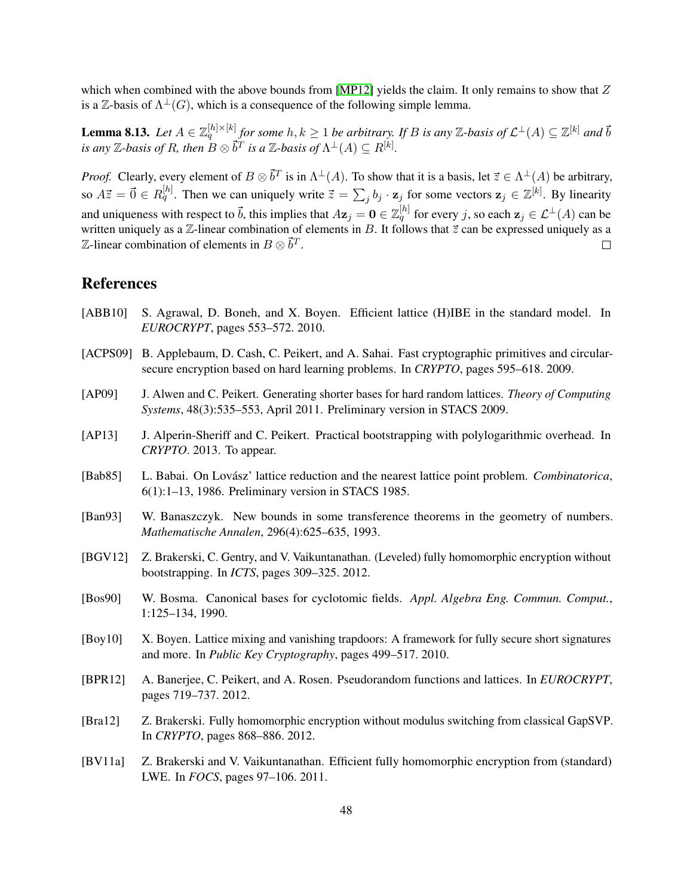which when combined with the above bounds from [\[MP12\]](#page-49-7) yields the claim. It only remains to show that  $Z$ is a Z-basis of  $\Lambda^{\perp}(G)$ , which is a consequence of the following simple lemma.

**Lemma 8.13.** Let  $A \in \mathbb{Z}_q^{[h] \times [k]}$  for some  $h, k \geq 1$  be arbitrary. If B is any Z-basis of  $\mathcal{L}^{\perp}(A) \subseteq \mathbb{Z}^{[k]}$  and  $\vec{b}$ *is any*  $\mathbb{Z}$ *-basis of R, then*  $B \otimes \vec{b}^T$  *is a*  $\mathbb{Z}$ *-basis of*  $\Lambda^{\perp}(A) \subseteq R^{[k]}$ .

*Proof.* Clearly, every element of  $B \otimes \vec{b}^T$  is in  $\Lambda^{\perp}(A)$ . To show that it is a basis, let  $\vec{z} \in \Lambda^{\perp}(A)$  be arbitrary, so  $A\vec{z} = \vec{0} \in R_q^{[h]}$ . Then we can uniquely write  $\vec{z} = \sum_j b_j \cdot z_j$  for some vectors  $z_j \in \mathbb{Z}^{[k]}$ . By linearity and uniqueness with respect to  $\vec{b}$ , this implies that  $Az_j = \mathbf{0} \in \mathbb{Z}_q^{[h]}$  for every j, so each  $z_j \in \mathcal{L}^{\perp}(A)$  can be written uniquely as a  $\mathbb Z$ -linear combination of elements in B. It follows that  $\vec z$  can be expressed uniquely as a  $\mathbb Z$ -linear combination of elements in  $B\otimes \vec b^T$ .  $\Box$ 

# References

- <span id="page-47-4"></span>[ABB10] S. Agrawal, D. Boneh, and X. Boyen. Efficient lattice (H)IBE in the standard model. In *EUROCRYPT*, pages 553–572. 2010.
- <span id="page-47-9"></span>[ACPS09] B. Applebaum, D. Cash, C. Peikert, and A. Sahai. Fast cryptographic primitives and circularsecure encryption based on hard learning problems. In *CRYPTO*, pages 595–618. 2009.
- <span id="page-47-6"></span>[AP09] J. Alwen and C. Peikert. Generating shorter bases for hard random lattices. *Theory of Computing Systems*, 48(3):535–553, April 2011. Preliminary version in STACS 2009.
- <span id="page-47-5"></span>[AP13] J. Alperin-Sheriff and C. Peikert. Practical bootstrapping with polylogarithmic overhead. In *CRYPTO*. 2013. To appear.
- <span id="page-47-7"></span>[Bab85] L. Babai. On Lovász' lattice reduction and the nearest lattice point problem. *Combinatorica*, 6(1):1–13, 1986. Preliminary version in STACS 1985.
- <span id="page-47-8"></span>[Ban93] W. Banaszczyk. New bounds in some transference theorems in the geometry of numbers. *Mathematische Annalen*, 296(4):625–635, 1993.
- <span id="page-47-0"></span>[BGV12] Z. Brakerski, C. Gentry, and V. Vaikuntanathan. (Leveled) fully homomorphic encryption without bootstrapping. In *ICTS*, pages 309–325. 2012.
- <span id="page-47-10"></span>[Bos90] W. Bosma. Canonical bases for cyclotomic fields. *Appl. Algebra Eng. Commun. Comput.*, 1:125–134, 1990.
- <span id="page-47-3"></span>[Boy10] X. Boyen. Lattice mixing and vanishing trapdoors: A framework for fully secure short signatures and more. In *Public Key Cryptography*, pages 499–517. 2010.
- <span id="page-47-1"></span>[BPR12] A. Banerjee, C. Peikert, and A. Rosen. Pseudorandom functions and lattices. In *EUROCRYPT*, pages 719–737. 2012.
- <span id="page-47-11"></span>[Bra12] Z. Brakerski. Fully homomorphic encryption without modulus switching from classical GapSVP. In *CRYPTO*, pages 868–886. 2012.
- <span id="page-47-2"></span>[BV11a] Z. Brakerski and V. Vaikuntanathan. Efficient fully homomorphic encryption from (standard) LWE. In *FOCS*, pages 97–106. 2011.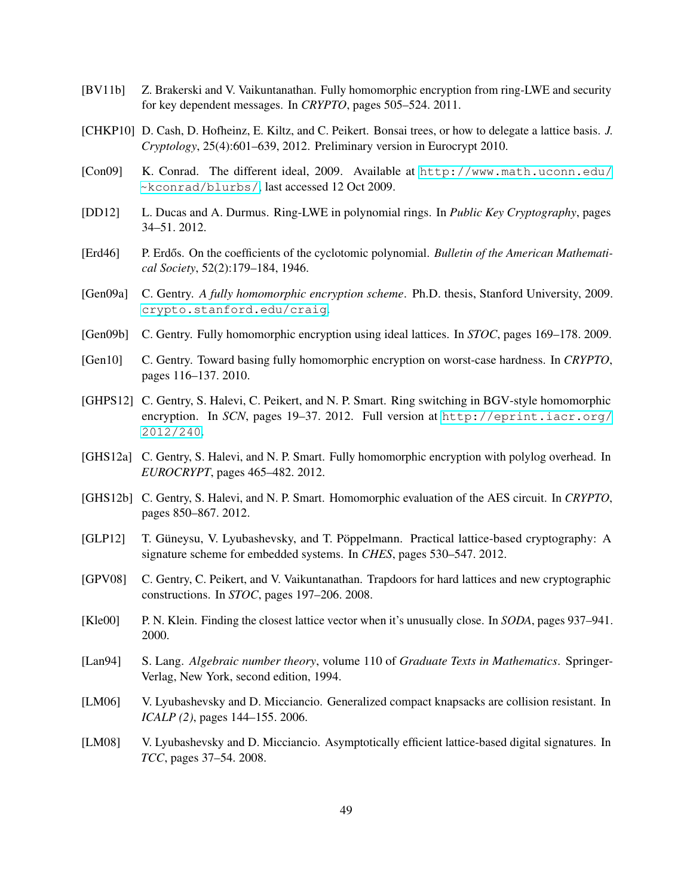- <span id="page-48-7"></span>[BV11b] Z. Brakerski and V. Vaikuntanathan. Fully homomorphic encryption from ring-LWE and security for key dependent messages. In *CRYPTO*, pages 505–524. 2011.
- <span id="page-48-12"></span>[CHKP10] D. Cash, D. Hofheinz, E. Kiltz, and C. Peikert. Bonsai trees, or how to delegate a lattice basis. *J. Cryptology*, 25(4):601–639, 2012. Preliminary version in Eurocrypt 2010.
- <span id="page-48-16"></span>[Con09] K. Conrad. The different ideal, 2009. Available at [http://www.math.uconn.edu/](http://www.math.uconn.edu/~kconrad/blurbs/) [~kconrad/blurbs/](http://www.math.uconn.edu/~kconrad/blurbs/), last accessed 12 Oct 2009.
- <span id="page-48-13"></span>[DD12] L. Ducas and A. Durmus. Ring-LWE in polynomial rings. In *Public Key Cryptography*, pages 34–51. 2012.
- <span id="page-48-10"></span>[Erd46] P. Erdős. On the coefficients of the cyclotomic polynomial. Bulletin of the American Mathemati*cal Society*, 52(2):179–184, 1946.
- <span id="page-48-1"></span>[Gen09a] C. Gentry. *A fully homomorphic encryption scheme*. Ph.D. thesis, Stanford University, 2009. <crypto.stanford.edu/craig>.
- <span id="page-48-0"></span>[Gen09b] C. Gentry. Fully homomorphic encryption using ideal lattices. In *STOC*, pages 169–178. 2009.
- <span id="page-48-6"></span>[Gen10] C. Gentry. Toward basing fully homomorphic encryption on worst-case hardness. In *CRYPTO*, pages 116–137. 2010.
- <span id="page-48-4"></span>[GHPS12] C. Gentry, S. Halevi, C. Peikert, and N. P. Smart. Ring switching in BGV-style homomorphic encryption. In *SCN*, pages 19–37. 2012. Full version at [http://eprint.iacr.org/](http://eprint.iacr.org/2012/240) [2012/240](http://eprint.iacr.org/2012/240).
- <span id="page-48-2"></span>[GHS12a] C. Gentry, S. Halevi, and N. P. Smart. Fully homomorphic encryption with polylog overhead. In *EUROCRYPT*, pages 465–482. 2012.
- <span id="page-48-3"></span>[GHS12b] C. Gentry, S. Halevi, and N. P. Smart. Homomorphic evaluation of the AES circuit. In *CRYPTO*, pages 850–867. 2012.
- <span id="page-48-8"></span>[GLP12] T. Güneysu, V. Lyubashevsky, and T. Pöppelmann. Practical lattice-based cryptography: A signature scheme for embedded systems. In *CHES*, pages 530–547. 2012.
- <span id="page-48-11"></span>[GPV08] C. Gentry, C. Peikert, and V. Vaikuntanathan. Trapdoors for hard lattices and new cryptographic constructions. In *STOC*, pages 197–206. 2008.
- <span id="page-48-14"></span>[Kle00] P. N. Klein. Finding the closest lattice vector when it's unusually close. In *SODA*, pages 937–941. 2000.
- <span id="page-48-15"></span>[Lan94] S. Lang. *Algebraic number theory*, volume 110 of *Graduate Texts in Mathematics*. Springer-Verlag, New York, second edition, 1994.
- <span id="page-48-9"></span>[LM06] V. Lyubashevsky and D. Micciancio. Generalized compact knapsacks are collision resistant. In *ICALP (2)*, pages 144–155. 2006.
- <span id="page-48-5"></span>[LM08] V. Lyubashevsky and D. Micciancio. Asymptotically efficient lattice-based digital signatures. In *TCC*, pages 37–54. 2008.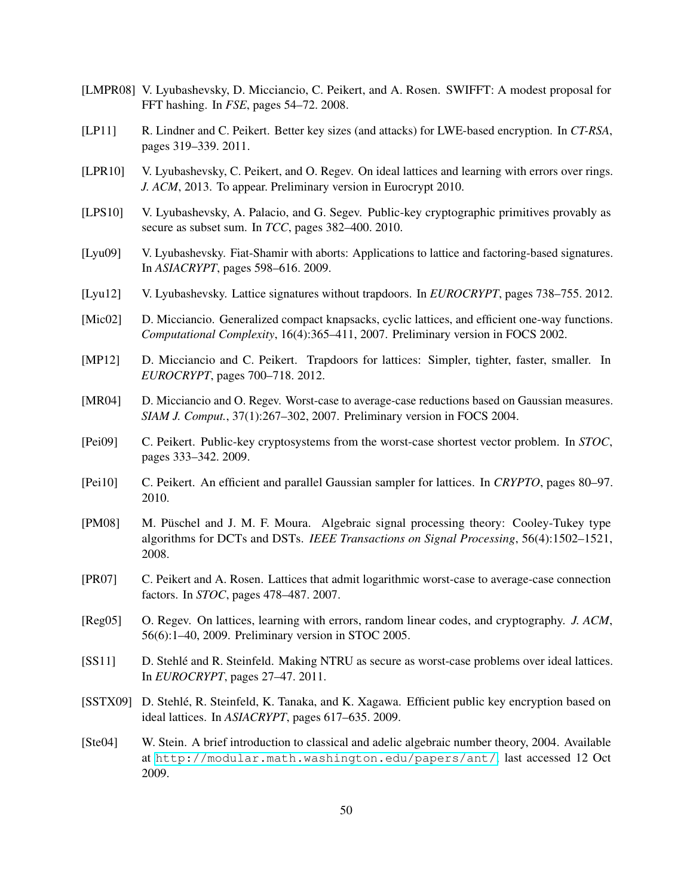- <span id="page-49-3"></span>[LMPR08] V. Lyubashevsky, D. Micciancio, C. Peikert, and A. Rosen. SWIFFT: A modest proposal for FFT hashing. In *FSE*, pages 54–72. 2008.
- <span id="page-49-16"></span>[LP11] R. Lindner and C. Peikert. Better key sizes (and attacks) for LWE-based encryption. In *CT-RSA*, pages 319–339. 2011.
- <span id="page-49-1"></span>[LPR10] V. Lyubashevsky, C. Peikert, and O. Regev. On ideal lattices and learning with errors over rings. *J. ACM*, 2013. To appear. Preliminary version in Eurocrypt 2010.
- <span id="page-49-15"></span>[LPS10] V. Lyubashevsky, A. Palacio, and G. Segev. Public-key cryptographic primitives provably as secure as subset sum. In *TCC*, pages 382–400. 2010.
- <span id="page-49-4"></span>[Lyu09] V. Lyubashevsky. Fiat-Shamir with aborts: Applications to lattice and factoring-based signatures. In *ASIACRYPT*, pages 598–616. 2009.
- <span id="page-49-6"></span>[Lyu12] V. Lyubashevsky. Lattice signatures without trapdoors. In *EUROCRYPT*, pages 738–755. 2012.
- <span id="page-49-0"></span>[Mic02] D. Micciancio. Generalized compact knapsacks, cyclic lattices, and efficient one-way functions. *Computational Complexity*, 16(4):365–411, 2007. Preliminary version in FOCS 2002.
- <span id="page-49-7"></span>[MP12] D. Micciancio and C. Peikert. Trapdoors for lattices: Simpler, tighter, faster, smaller. In *EUROCRYPT*, pages 700–718. 2012.
- <span id="page-49-11"></span>[MR04] D. Micciancio and O. Regev. Worst-case to average-case reductions based on Gaussian measures. *SIAM J. Comput.*, 37(1):267–302, 2007. Preliminary version in FOCS 2004.
- <span id="page-49-9"></span>[Pei09] C. Peikert. Public-key cryptosystems from the worst-case shortest vector problem. In *STOC*, pages 333–342. 2009.
- <span id="page-49-12"></span>[Pei10] C. Peikert. An efficient and parallel Gaussian sampler for lattices. In *CRYPTO*, pages 80–97. 2010.
- <span id="page-49-14"></span>[PM08] M. Püschel and J. M. F. Moura. Algebraic signal processing theory: Cooley-Tukey type algorithms for DCTs and DSTs. *IEEE Transactions on Signal Processing*, 56(4):1502–1521, 2008.
- <span id="page-49-8"></span>[PR07] C. Peikert and A. Rosen. Lattices that admit logarithmic worst-case to average-case connection factors. In *STOC*, pages 478–487. 2007.
- <span id="page-49-2"></span>[Reg05] O. Regev. On lattices, learning with errors, random linear codes, and cryptography. *J. ACM*, 56(6):1–40, 2009. Preliminary version in STOC 2005.
- <span id="page-49-5"></span>[SS11] D. Stehlé and R. Steinfeld. Making NTRU as secure as worst-case problems over ideal lattices. In *EUROCRYPT*, pages 27–47. 2011.
- <span id="page-49-10"></span>[SSTX09] D. Stehlé, R. Steinfeld, K. Tanaka, and K. Xagawa. Efficient public key encryption based on ideal lattices. In *ASIACRYPT*, pages 617–635. 2009.
- <span id="page-49-13"></span>[Ste04] W. Stein. A brief introduction to classical and adelic algebraic number theory, 2004. Available at <http://modular.math.washington.edu/papers/ant/>, last accessed 12 Oct 2009.